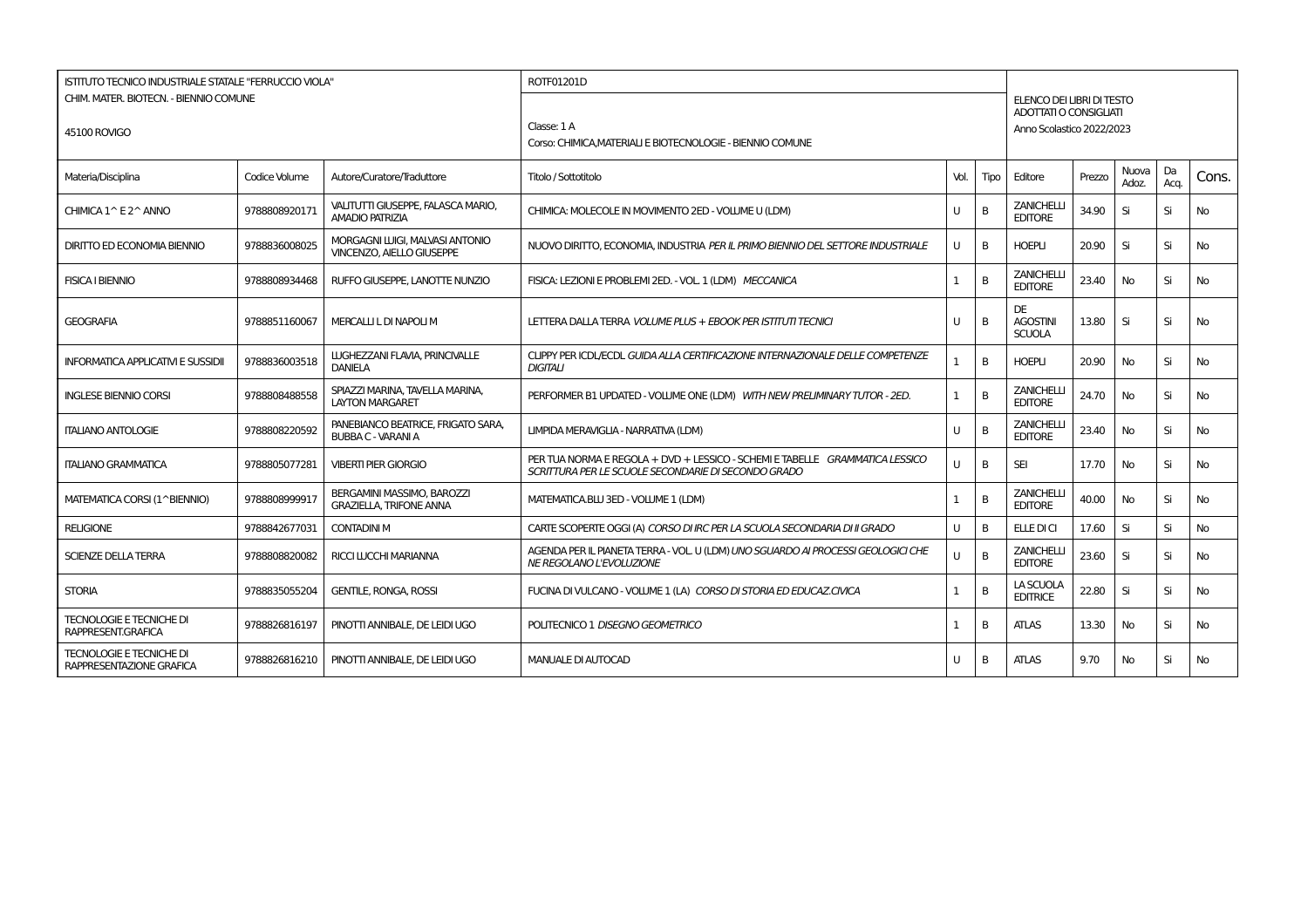| <b>ISTITUTO TECNICO INDUSTRIALE STATALE "FERRUCCIO VIOLA"</b> |               |                                                                 | ROTF01201D                                                                                                                          |      |      |                                                            |        |                |            |           |
|---------------------------------------------------------------|---------------|-----------------------------------------------------------------|-------------------------------------------------------------------------------------------------------------------------------------|------|------|------------------------------------------------------------|--------|----------------|------------|-----------|
| CHIM. MATER. BIOTECN. - BIENNIO COMUNE                        |               |                                                                 |                                                                                                                                     |      |      | ELENCO DEI LIBRI DI TESTO                                  |        |                |            |           |
| 45100 ROVIGO                                                  |               |                                                                 | Classe: 1A<br>Corso: CHIMICA, MATERIALI E BIOTECNOLOGIE - BIENNIO COMUNE                                                            |      |      | <b>ADOTTATI O CONSIGLIATI</b><br>Anno Scolastico 2022/2023 |        |                |            |           |
| Materia/Disciplina                                            | Codice Volume | Autore/Curatore/Traduttore                                      | Titolo / Sottotitolo                                                                                                                | Vol. | Tipo | Editore                                                    | Prezzo | Nuova<br>Adoz. | Da<br>Acq. | Cons.     |
| CHIMICA 1^ E 2^ ANNO                                          | 9788808920171 | VALITUTTI GIUSEPPE, FALASCA MARIO,<br><b>AMADIO PATRIZIA</b>    | CHIMICA: MOLECOLE IN MOVIMENTO 2ED - VOLUME U (LDM)                                                                                 | U    | B    | <b>ZANICHELLI</b><br><b>EDITORE</b>                        | 34.90  | Si             | Si         | <b>No</b> |
| <b>DIRITTO ED ECONOMIA BIENNIO</b>                            | 9788836008025 | MORGAGNI LUIGI, MALVASI ANTONIO<br>VINCENZO. AIELLO GIUSEPPE    | NUOVO DIRITTO, ECONOMIA, INDUSTRIA PER IL PRIMO BIENNIO DEL SETTORE INDUSTRIALE                                                     | U    | B    | <b>HOEPLI</b>                                              | 20.90  | Si             | Si         | <b>No</b> |
| <b>FISICA I BIENNIO</b>                                       | 9788808934468 | RUFFO GIUSEPPE, LANOTTE NUNZIO                                  | FISICA: LEZIONI E PROBLEMI 2ED. - VOL. 1 (LDM) MECCANICA                                                                            | 1    | B    | <b>ZANICHELLI</b><br><b>EDITORE</b>                        | 23.40  | No             | Si         | No        |
| <b>GEOGRAFIA</b>                                              | 9788851160067 | MERCALLI L DI NAPOLI M                                          | LETTERA DALLA TERRA VOLUME PLUS + EBOOK PER ISTITUTI TECNICI                                                                        | U    | B    | <b>DE</b><br><b>AGOSTINI</b><br><b>SCUOLA</b>              | 13.80  | Si             | Si         | <b>No</b> |
| <b>INFORMATICA APPLICATIVI E SUSSIDII</b>                     | 9788836003518 | LUGHEZZANI FLAVIA, PRINCIVALLE<br><b>DANIELA</b>                | CLIPPY PER ICDL/ECDL GUIDA ALLA CERTIFICAZIONE INTERNAZIONALE DELLE COMPETENZE<br><b>DIGITALI</b>                                   |      | B    | <b>HOEPLI</b>                                              | 20.90  | <b>No</b>      | Si         | No        |
| <b>INGLESE BIENNIO CORSI</b>                                  | 9788808488558 | SPIAZZI MARINA, TAVELLA MARINA,<br><b>LAYTON MARGARET</b>       | PERFORMER B1 UPDATED - VOLUME ONE (LDM) WITH NEW PRELIMINARY TUTOR - 2ED.                                                           |      | B    | <b>ZANICHELLI</b><br><b>EDITORE</b>                        | 24.70  | <b>No</b>      | Si         | <b>No</b> |
| <b>ITALIANO ANTOLOGIE</b>                                     | 9788808220592 | PANEBIANCO BEATRICE, FRIGATO SARA,<br><b>BUBBA C - VARANI A</b> | LIMPIDA MERAVIGLIA - NARRATIVA (LDM)                                                                                                | U    | B    | <b>ZANICHELLI</b><br><b>EDITORE</b>                        | 23.40  | No             | Si         | No        |
| <b>ITALIANO GRAMMATICA</b>                                    | 9788805077281 | <b>VIBERTI PIER GIORGIO</b>                                     | PER TUA NORMA E REGOLA + DVD + LESSICO - SCHEMI E TABELLE GRAMMATICA LESSICO<br>SCRITTURA PER LE SCUOLE SECONDARIE DI SECONDO GRADO | U    | B    | <b>SEI</b>                                                 | 17.70  | No             | Si         | No.       |
| MATEMATICA CORSI (1^BIENNIO)                                  | 9788808999917 | BERGAMINI MASSIMO, BAROZZI<br><b>GRAZIELLA, TRIFONE ANNA</b>    | MATEMATICA.BLU 3ED - VOLUME 1 (LDM)                                                                                                 |      | B    | <b>ZANICHELLI</b><br><b>EDITORE</b>                        | 40.00  | No             | Si         | No        |
| <b>RELIGIONE</b>                                              | 9788842677031 | <b>CONTADINI M</b>                                              | CARTE SCOPERTE OGGI (A) CORSO DI IRC PER LA SCUOLA SECONDARIA DI II GRADO                                                           | U    | B    | ELLE DI CI                                                 | 17.60  | Si             | Si         | <b>No</b> |
| <b>SCIENZE DELLA TERRA</b>                                    | 9788808820082 | <b>RICCI LUCCHI MARIANNA</b>                                    | AGENDA PER IL PIANETA TERRA - VOL. U (LDM) UNO SGUARDO AI PROCESSI GEOLOGICI CHE<br>NE REGOLANO L'EVOLUZIONE                        | U    | B    | <b>ZANICHELLI</b><br><b>EDITORE</b>                        | 23.60  | Si             | Si         | No        |
| <b>STORIA</b>                                                 | 9788835055204 | <b>GENTILE, RONGA, ROSSI</b>                                    | FUCINA DI VULCANO - VOLUME 1 (LA) CORSO DI STORIA ED EDUCAZ.CIVICA                                                                  |      | B    | LA SCUOLA<br><b>EDITRICE</b>                               | 22.80  | Si             | Si         | No.       |
| <b>TECNOLOGIE E TECNICHE DI</b><br>RAPPRESENT.GRAFICA         | 9788826816197 | PINOTTI ANNIBALE, DE LEIDI UGO                                  | POLITECNICO 1 DISEGNO GEOMETRICO                                                                                                    |      | B    | <b>ATLAS</b>                                               | 13.30  | No             | Si         | No.       |
| <b>TECNOLOGIE E TECNICHE DI</b><br>RAPPRESENTAZIONE GRAFICA   | 9788826816210 | PINOTTI ANNIBALE. DE LEIDI UGO                                  | <b>MANUALE DI AUTOCAD</b>                                                                                                           | U    | B    | <b>ATLAS</b>                                               | 9.70   | No             | Si         | No.       |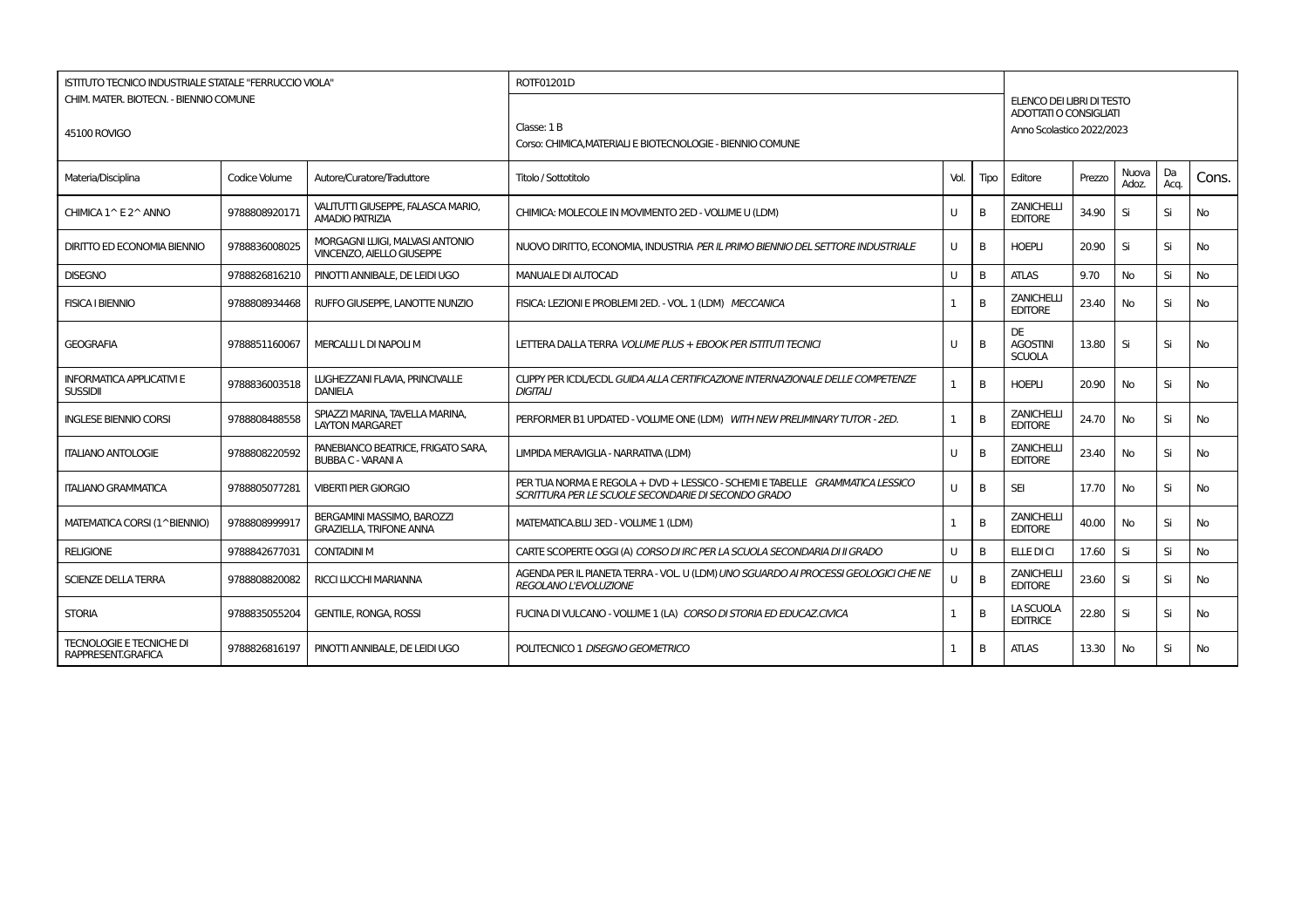| <b>ISTITUTO TECNICO INDUSTRIALE STATALE "FERRUCCIO VIOLA"</b> |               |                                                                     | ROTF01201D                                                                                                                          |              |      |                                                            |        |                |            |           |
|---------------------------------------------------------------|---------------|---------------------------------------------------------------------|-------------------------------------------------------------------------------------------------------------------------------------|--------------|------|------------------------------------------------------------|--------|----------------|------------|-----------|
| CHIM. MATER. BIOTECN. - BIENNIO COMUNE                        |               |                                                                     |                                                                                                                                     |              |      | ELENCO DEI LIBRI DI TESTO<br><b>ADOTTATI O CONSIGLIATI</b> |        |                |            |           |
| 45100 ROVIGO                                                  |               |                                                                     | Classe: 1 B                                                                                                                         |              |      | Anno Scolastico 2022/2023                                  |        |                |            |           |
|                                                               |               |                                                                     | Corso: CHIMICA, MATERIALI E BIOTECNOLOGIE - BIENNIO COMUNE                                                                          |              |      |                                                            |        |                |            |           |
| Materia/Disciplina                                            | Codice Volume | Autore/Curatore/Traduttore                                          | Titolo / Sottotitolo                                                                                                                | Vol.         | Tipo | Editore                                                    | Prezzo | Nuova<br>Adoz. | Da<br>Aca. | Cons.     |
| CHIMICA 1^ E 2^ ANNO                                          | 9788808920171 | VALITUTTI GIUSEPPE, FALASCA MARIO,<br><b>AMADIO PATRIZIA</b>        | CHIMICA: MOLECOLE IN MOVIMENTO 2ED - VOLUME U (LDM)                                                                                 | U            | B    | <b>ZANICHELLI</b><br><b>EDITORE</b>                        | 34.90  | Si             | Si         | No        |
| <b>DIRITTO ED ECONOMIA BIENNIO</b>                            | 9788836008025 | MORGAGNI LUIGI, MALVASI ANTONIO<br><b>VINCENZO, AIELLO GIUSEPPE</b> | NUOVO DIRITTO, ECONOMIA, INDUSTRIA PER IL PRIMO BIENNIO DEL SETTORE INDUSTRIALE                                                     | U            | B    | <b>HOEPLI</b>                                              | 20.90  | Si             | Si         | <b>No</b> |
| <b>DISEGNO</b>                                                | 9788826816210 | PINOTTI ANNIBALE, DE LEIDI UGO                                      | <b>MANUALE DI AUTOCAD</b>                                                                                                           | U            | B    | <b>ATLAS</b>                                               | 9.70   | <b>No</b>      | Si         | No        |
| <b>FISICA I BIENNIO</b>                                       | 9788808934468 | RUFFO GIUSEPPE, LANOTTE NUNZIO                                      | FISICA: LEZIONI E PROBLEMI 2ED. - VOL. 1 (LDM) MECCANICA                                                                            | 1            | B    | <b>ZANICHELLI</b><br><b>EDITORE</b>                        | 23.40  | No             | Si         | No.       |
| <b>GEOGRAFIA</b>                                              | 9788851160067 | MERCALLI L DI NAPOLI M                                              | LETTERA DALLA TERRA VOLUME PLUS + EBOOK PER ISTITUTI TECNICI                                                                        | $\mathbf{U}$ | B    | DE<br><b>AGOSTINI</b><br><b>SCUOLA</b>                     | 13.80  | Si             | Si         | No        |
| <b>INFORMATICA APPLICATIVI E</b><br><b>SUSSIDII</b>           | 9788836003518 | LUGHEZZANI FLAVIA, PRINCIVALLE<br><b>DANIELA</b>                    | CLIPPY PER ICDL/ECDL GUIDA ALLA CERTIFICAZIONE INTERNAZIONALE DELLE COMPETENZE<br><b>DIGITALI</b>                                   | $\mathbf{1}$ | B    | <b>HOEPLI</b>                                              | 20.90  | No             | Si         | <b>No</b> |
| <b>INGLESE BIENNIO CORSI</b>                                  | 9788808488558 | SPIAZZI MARINA, TAVELLA MARINA,<br><b>LAYTON MARGARET</b>           | PERFORMER B1 UPDATED - VOLUME ONE (LDM) WITH NEW PRELIMINARY TUTOR - 2ED.                                                           | $\mathbf{1}$ | B    | <b>ZANICHELLI</b><br><b>EDITORE</b>                        | 24.70  | No             | Si         | <b>No</b> |
| <b>ITALIANO ANTOLOGIE</b>                                     | 9788808220592 | PANEBIANCO BEATRICE, FRIGATO SARA,<br><b>BUBBA C - VARANI A</b>     | LIMPIDA MERAVIGLIA - NARRATIVA (LDM)                                                                                                | U            | B    | <b>ZANICHELLI</b><br><b>EDITORE</b>                        | 23.40  | No.            | Si         | <b>No</b> |
| <b>ITALIANO GRAMMATICA</b>                                    | 9788805077281 | <b>VIBERTI PIER GIORGIO</b>                                         | PER TUA NORMA E REGOLA + DVD + LESSICO - SCHEMI E TABELLE GRAMMATICA LESSICO<br>SCRITTURA PER LE SCUOLE SECONDARIE DI SECONDO GRADO | $\mathbf{U}$ | B    | <b>SEI</b>                                                 | 17.70  | No             | Si         | No.       |
| MATEMATICA CORSI (1^BIENNIO)                                  | 978880899991  | BERGAMINI MASSIMO, BAROZZI<br><b>GRAZIELLA, TRIFONE ANNA</b>        | MATEMATICA.BLU 3ED - VOLUME 1 (LDM)                                                                                                 | 1            | B    | <b>ZANICHELLI</b><br><b>EDITORE</b>                        | 40.00  | No.            | Si         | No.       |
| <b>RELIGIONE</b>                                              | 9788842677031 | <b>CONTADINI M</b>                                                  | CARTE SCOPERTE OGGI (A) CORSO DI IRC PER LA SCUOLA SECONDARIA DI II GRADO                                                           | U            | B    | ELLE DI CI                                                 | 17.60  | Si             | Si         | <b>No</b> |
| <b>SCIENZE DELLA TERRA</b>                                    | 9788808820082 | <b>RICCI LUCCHI MARIANNA</b>                                        | AGENDA PER IL PIANETA TERRA - VOL. U (LDM) UNO SGUARDO AI PROCESSI GEOLOGICI CHE NE<br>REGOLANO L'EVOLUZIONE                        | $\mathbf{U}$ | B    | <b>ZANICHELLI</b><br><b>EDITORE</b>                        | 23.60  | Si             | Si         | No        |
| <b>STORIA</b>                                                 | 9788835055204 | <b>GENTILE, RONGA, ROSSI</b>                                        | FUCINA DI VULCANO - VOLUME 1 (LA) CORSO DI STORIA ED EDUCAZ.CIVICA                                                                  | 1            | B    | LA SCUOLA<br><b>EDITRICE</b>                               | 22.80  | Si             | Si         | <b>No</b> |
| <b>TECNOLOGIE E TECNICHE DI</b><br>RAPPRESENT.GRAFICA         | 9788826816197 | PINOTTI ANNIBALE. DE LEIDI UGO                                      | POLITECNICO 1 DISEGNO GEOMETRICO                                                                                                    | -1           | B    | <b>ATLAS</b>                                               | 13.30  | No             | Si         | No.       |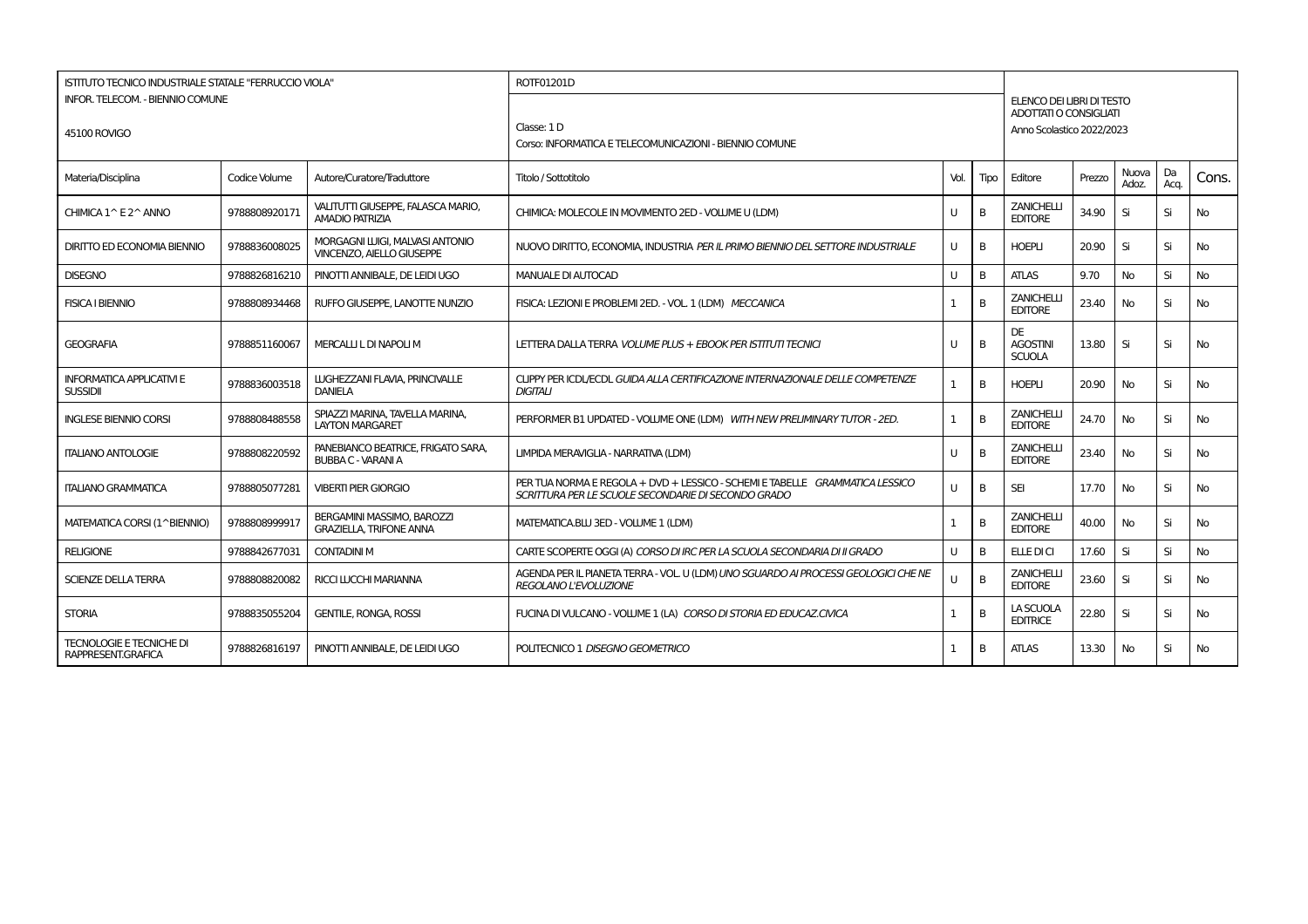| <b>ISTITUTO TECNICO INDUSTRIALE STATALE "FERRUCCIO VIOLA"</b><br><b>INFOR. TELECOM. - BIENNIO COMUNE</b><br>45100 ROVIGO |               |                                                                     | ROTF01201D<br>Classe: 1 D<br>Corso: INFORMATICA E TELECOMUNICAZIONI - BIENNIO COMUNE                                                |      |      | ELENCO DEI LIBRI DI TESTO<br>ADOTTATI O CONSIGLIATI<br>Anno Scolastico 2022/2023 |        |                |            |           |
|--------------------------------------------------------------------------------------------------------------------------|---------------|---------------------------------------------------------------------|-------------------------------------------------------------------------------------------------------------------------------------|------|------|----------------------------------------------------------------------------------|--------|----------------|------------|-----------|
| Materia/Disciplina                                                                                                       | Codice Volume | Autore/Curatore/Traduttore                                          | Titolo / Sottotitolo                                                                                                                | Vol. | Tipo | Editore                                                                          | Prezzo | Nuova<br>Adoz. | Da<br>Acq. | Cons.     |
| CHIMICA 1^ E 2^ ANNO                                                                                                     | 9788808920171 | VALITUTTI GIUSEPPE, FALASCA MARIO,<br><b>AMADIO PATRIZIA</b>        | CHIMICA: MOLECOLE IN MOVIMENTO 2ED - VOLUME U (LDM)                                                                                 | U    | B    | <b>ZANICHELLI</b><br><b>EDITORE</b>                                              | 34.90  | Si             | Si         | No        |
| <b>DIRITTO ED ECONOMIA BIENNIO</b>                                                                                       | 9788836008025 | MORGAGNI LUIGI, MALVASI ANTONIO<br><b>VINCENZO, AIELLO GIUSEPPE</b> | NUOVO DIRITTO, ECONOMIA, INDUSTRIA PER IL PRIMO BIENNIO DEL SETTORE INDUSTRIALE                                                     | U    | B    | <b>HOEPLI</b>                                                                    | 20.90  | Si             | Si         | <b>No</b> |
| <b>DISEGNO</b>                                                                                                           | 9788826816210 | PINOTTI ANNIBALE, DE LEIDI UGO                                      | <b>MANUALE DI AUTOCAD</b>                                                                                                           | U    | B    | <b>ATLAS</b>                                                                     | 9.70   | No             | Si         | No        |
| <b>FISICA I BIENNIO</b>                                                                                                  | 9788808934468 | RUFFO GIUSEPPE. LANOTTE NUNZIO                                      | FISICA: LEZIONI E PROBLEMI 2ED. - VOL. 1 (LDM) MECCANICA                                                                            | 1    | B    | <b>ZANICHELL</b><br><b>EDITORE</b>                                               | 23.40  | No             | Si         | No        |
| <b>GEOGRAFIA</b>                                                                                                         | 9788851160067 | MERCALLI L DI NAPOLI M                                              | LETTERA DALLA TERRA VOLUME PLUS + EBOOK PER ISTITUTI TECNICI                                                                        | U    | B    | <b>DE</b><br><b>AGOSTINI</b><br><b>SCUOLA</b>                                    | 13.80  | Si             | Si         | <b>No</b> |
| <b>INFORMATICA APPLICATIVI E</b><br><b>SUSSIDII</b>                                                                      | 9788836003518 | LUGHEZZANI FLAVIA, PRINCIVALLE<br><b>DANIELA</b>                    | CLIPPY PER ICDL/ECDL GUIDA ALLA CERTIFICAZIONE INTERNAZIONALE DELLE COMPETENZE<br><b>DIGITALI</b>                                   |      | B    | <b>HOEPLI</b>                                                                    | 20.90  | <b>No</b>      | Si         | <b>No</b> |
| <b>INGLESE BIENNIO CORSI</b>                                                                                             | 9788808488558 | SPIAZZI MARINA, TAVELLA MARINA,<br><b>LAYTON MARGARET</b>           | PERFORMER B1 UPDATED - VOLUME ONE (LDM) WITH NEW PRELIMINARY TUTOR - 2ED.                                                           | 1    | B    | <b>ZANICHELLI</b><br><b>EDITORE</b>                                              | 24.70  | No             | Si         | No        |
| <b>ITALIANO ANTOLOGIE</b>                                                                                                | 9788808220592 | PANEBIANCO BEATRICE, FRIGATO SARA,<br><b>BUBBA C - VARANI A</b>     | LIMPIDA MERAVIGLIA - NARRATIVA (LDM)                                                                                                | U    | B    | <b>ZANICHELLI</b><br><b>EDITORE</b>                                              | 23.40  | <b>No</b>      | Si         | No        |
| <b>ITALIANO GRAMMATICA</b>                                                                                               | 9788805077281 | <b>VIBERTI PIER GIORGIO</b>                                         | PER TUA NORMA E REGOLA + DVD + LESSICO - SCHEMI E TABELLE GRAMMATICA LESSICO<br>SCRITTURA PER LE SCUOLE SECONDARIE DI SECONDO GRADO | U    | B    | <b>SEI</b>                                                                       | 17.70  | No             | Si         | No        |
| MATEMATICA CORSI (1^BIENNIO)                                                                                             | 9788808999917 | BERGAMINI MASSIMO, BAROZZI<br><b>GRAZIELLA, TRIFONE ANNA</b>        | MATEMATICA.BLU 3ED - VOLUME 1 (LDM)                                                                                                 |      | B    | <b>ZANICHELLI</b><br><b>EDITORE</b>                                              | 40.00  | No             | Si         | No        |
| <b>RELIGIONE</b>                                                                                                         | 9788842677031 | <b>CONTADINI M</b>                                                  | CARTE SCOPERTE OGGI (A) CORSO DI IRC PER LA SCUOLA SECONDARIA DI II GRADO                                                           | U    | B    | ELLE DI CI                                                                       | 17.60  | Si             | Si         | <b>No</b> |
| <b>SCIENZE DELLA TERRA</b>                                                                                               | 9788808820082 | <b>RICCI LUCCHI MARIANNA</b>                                        | AGENDA PER IL PIANETA TERRA - VOL U (LDM) UNO SGUARDO AI PROCESSI GEOLOGICI CHE NE<br>REGOLANO L'EVOLUZIONE                         | H.   | B    | <b>ZANICHELLI</b><br><b>EDITORE</b>                                              | 23.60  | Si             | Si         | No        |
| <b>STORIA</b>                                                                                                            | 9788835055204 | <b>GENTILE, RONGA, ROSSI</b>                                        | FUCINA DI VULCANO - VOLUME 1 (LA) CORSO DI STORIA ED EDUCAZ.CIVICA                                                                  | 1    | B    | LA SCUOLA<br><b>EDITRICE</b>                                                     | 22.80  | Si             | Si         | No        |
| <b>TECNOLOGIE E TECNICHE DI</b><br>RAPPRESENT.GRAFICA                                                                    | 9788826816197 | PINOTTI ANNIBALE, DE LEIDI UGO                                      | POLITECNICO 1 DISEGNO GEOMETRICO                                                                                                    | -1   | B    | <b>ATLAS</b>                                                                     | 13.30  | No             | Si         | No        |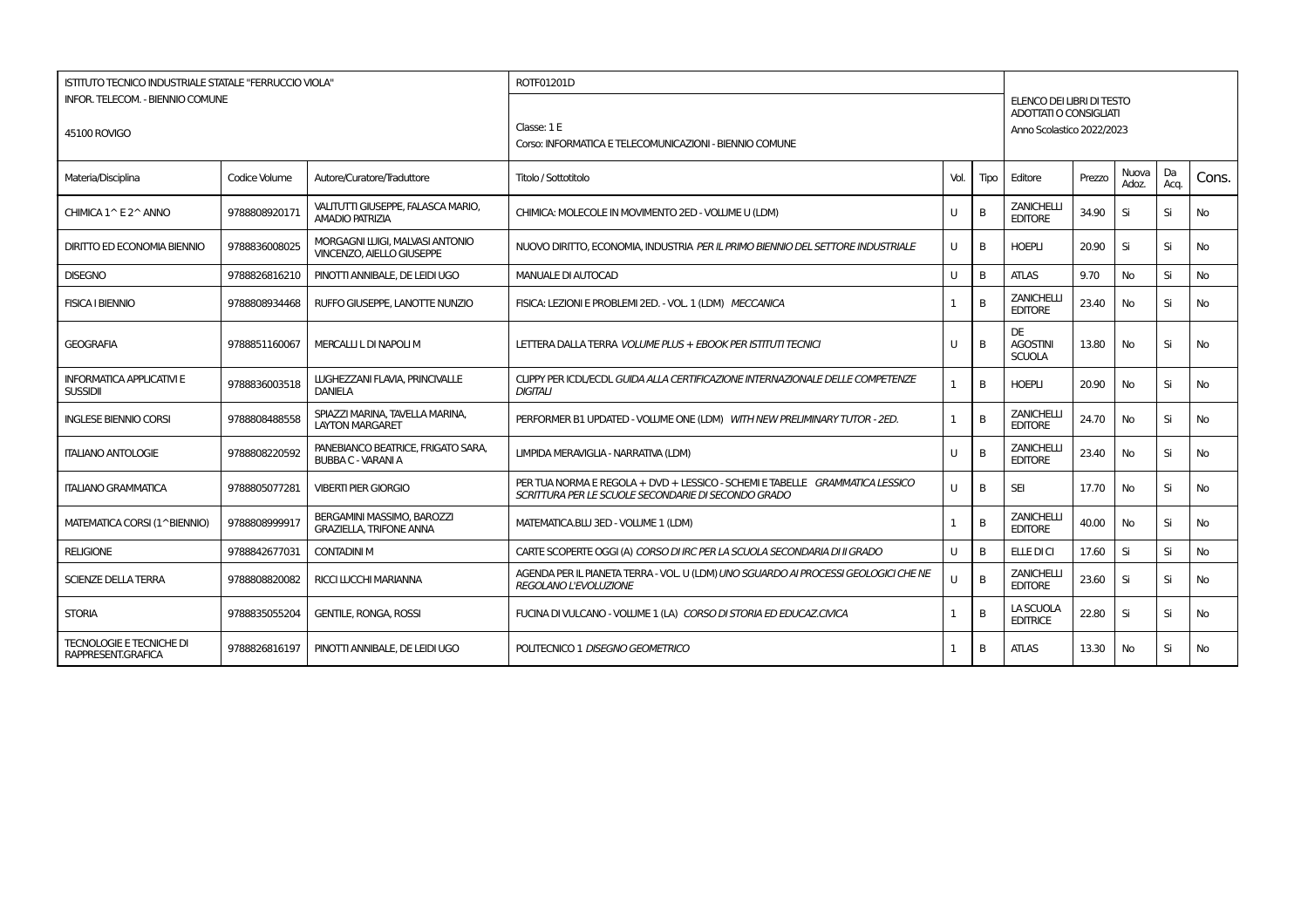| <b>ISTITUTO TECNICO INDUSTRIALE STATALE "FERRUCCIO VIOLA"</b><br>INFOR. TELECOM. - BIENNIO COMUNE<br>45100 ROVIGO |               |                                                                     | ROTF01201D<br>Classe: 1 E<br>Corso: INFORMATICA E TELECOMUNICAZIONI - BIENNIO COMUNE                                                |      |      | ELENCO DEI LIBRI DI TESTO<br>ADOTTATI O CONSIGLIATI<br>Anno Scolastico 2022/2023 |        |                |            |           |
|-------------------------------------------------------------------------------------------------------------------|---------------|---------------------------------------------------------------------|-------------------------------------------------------------------------------------------------------------------------------------|------|------|----------------------------------------------------------------------------------|--------|----------------|------------|-----------|
| Materia/Disciplina                                                                                                | Codice Volume | Autore/Curatore/Traduttore                                          | Titolo / Sottotitolo                                                                                                                | Vol. | Tipo | Editore                                                                          | Prezzo | Nuova<br>Adoz. | Da<br>Acq. | Cons.     |
| CHIMICA 1^ E 2^ ANNO                                                                                              | 9788808920171 | VALITUTTI GIUSEPPE, FALASCA MARIO,<br><b>AMADIO PATRIZIA</b>        | CHIMICA: MOLECOLE IN MOVIMENTO 2ED - VOLUME U (LDM)                                                                                 | U    | B    | <b>ZANICHELLI</b><br><b>EDITORE</b>                                              | 34.90  | Si             | Si         | No        |
| <b>DIRITTO ED ECONOMIA BIENNIO</b>                                                                                | 9788836008025 | MORGAGNI LUIGI, MALVASI ANTONIO<br><b>VINCENZO, AIELLO GIUSEPPE</b> | NUOVO DIRITTO, ECONOMIA, INDUSTRIA PER IL PRIMO BIENNIO DEL SETTORE INDUSTRIALE                                                     | U    | B    | <b>HOEPLI</b>                                                                    | 20.90  | Si             | Si         | <b>No</b> |
| <b>DISEGNO</b>                                                                                                    | 9788826816210 | PINOTTI ANNIBALE, DE LEIDI UGO                                      | <b>MANUALE DI AUTOCAD</b>                                                                                                           | U    | B    | <b>ATLAS</b>                                                                     | 9.70   | No             | Si         | No        |
| <b>FISICA I BIENNIO</b>                                                                                           | 9788808934468 | RUFFO GIUSEPPE. LANOTTE NUNZIO                                      | FISICA: LEZIONI E PROBLEMI 2ED. - VOL. 1 (LDM) MECCANICA                                                                            | 1    | B    | <b>ZANICHELL</b><br><b>EDITORE</b>                                               | 23.40  | No             | Si         | No        |
| <b>GEOGRAFIA</b>                                                                                                  | 9788851160067 | MERCALLI L DI NAPOLI M                                              | LETTERA DALLA TERRA VOLUME PLUS + EBOOK PER ISTITUTI TECNICI                                                                        | U    | B    | <b>DE</b><br><b>AGOSTINI</b><br><b>SCUOLA</b>                                    | 13.80  | <b>No</b>      | Si         | <b>No</b> |
| <b>INFORMATICA APPLICATIVI E</b><br><b>SUSSIDII</b>                                                               | 9788836003518 | LUGHEZZANI FLAVIA, PRINCIVALLE<br><b>DANIELA</b>                    | CLIPPY PER ICDL/ECDL GUIDA ALLA CERTIFICAZIONE INTERNAZIONALE DELLE COMPETENZE<br><b>DIGITALI</b>                                   |      | B    | <b>HOEPLI</b>                                                                    | 20.90  | <b>No</b>      | Si         | <b>No</b> |
| <b>INGLESE BIENNIO CORSI</b>                                                                                      | 9788808488558 | SPIAZZI MARINA, TAVELLA MARINA,<br><b>LAYTON MARGARET</b>           | PERFORMER B1 UPDATED - VOLUME ONE (LDM) WITH NEW PRELIMINARY TUTOR - 2ED.                                                           | 1    | B    | <b>ZANICHELLI</b><br><b>EDITORE</b>                                              | 24.70  | No             | Si         | No        |
| <b>ITALIANO ANTOLOGIE</b>                                                                                         | 9788808220592 | PANEBIANCO BEATRICE, FRIGATO SARA,<br><b>BUBBA C - VARANI A</b>     | LIMPIDA MERAVIGLIA - NARRATIVA (LDM)                                                                                                | U    | B    | <b>ZANICHELLI</b><br><b>EDITORE</b>                                              | 23.40  | <b>No</b>      | Si         | No        |
| <b>ITALIANO GRAMMATICA</b>                                                                                        | 9788805077281 | <b>VIBERTI PIER GIORGIO</b>                                         | PER TUA NORMA E REGOLA + DVD + LESSICO - SCHEMI E TABELLE GRAMMATICA LESSICO<br>SCRITTURA PER LE SCUOLE SECONDARIE DI SECONDO GRADO | U    | B    | <b>SEI</b>                                                                       | 17.70  | No             | Si         | No        |
| MATEMATICA CORSI (1^BIENNIO)                                                                                      | 9788808999917 | BERGAMINI MASSIMO, BAROZZI<br><b>GRAZIELLA, TRIFONE ANNA</b>        | MATEMATICA.BLU 3ED - VOLUME 1 (LDM)                                                                                                 |      | B    | <b>ZANICHELLI</b><br><b>EDITORE</b>                                              | 40.00  | No             | Si         | No        |
| <b>RELIGIONE</b>                                                                                                  | 9788842677031 | <b>CONTADINI M</b>                                                  | CARTE SCOPERTE OGGI (A) CORSO DI IRC PER LA SCUOLA SECONDARIA DI II GRADO                                                           | U    | B    | ELLE DI CI                                                                       | 17.60  | Si             | Si         | <b>No</b> |
| <b>SCIENZE DELLA TERRA</b>                                                                                        | 9788808820082 | <b>RICCI LUCCHI MARIANNA</b>                                        | AGENDA PER IL PIANETA TERRA - VOL U (LDM) UNO SGUARDO AI PROCESSI GEOLOGICI CHE NE<br>REGOLANO L'EVOLUZIONE                         | H.   | B    | <b>ZANICHELLI</b><br><b>EDITORE</b>                                              | 23.60  | Si             | Si         | No        |
| <b>STORIA</b>                                                                                                     | 9788835055204 | <b>GENTILE, RONGA, ROSSI</b>                                        | FUCINA DI VULCANO - VOLUME 1 (LA) CORSO DI STORIA ED EDUCAZ.CIVICA                                                                  | 1    | B    | LA SCUOLA<br><b>EDITRICE</b>                                                     | 22.80  | Si             | Si         | No        |
| <b>TECNOLOGIE E TECNICHE DI</b><br>RAPPRESENT.GRAFICA                                                             | 9788826816197 | PINOTTI ANNIBALE, DE LEIDI UGO                                      | POLITECNICO 1 DISEGNO GEOMETRICO                                                                                                    | -1   | B    | <b>ATLAS</b>                                                                     | 13.30  | No             | Si         | No        |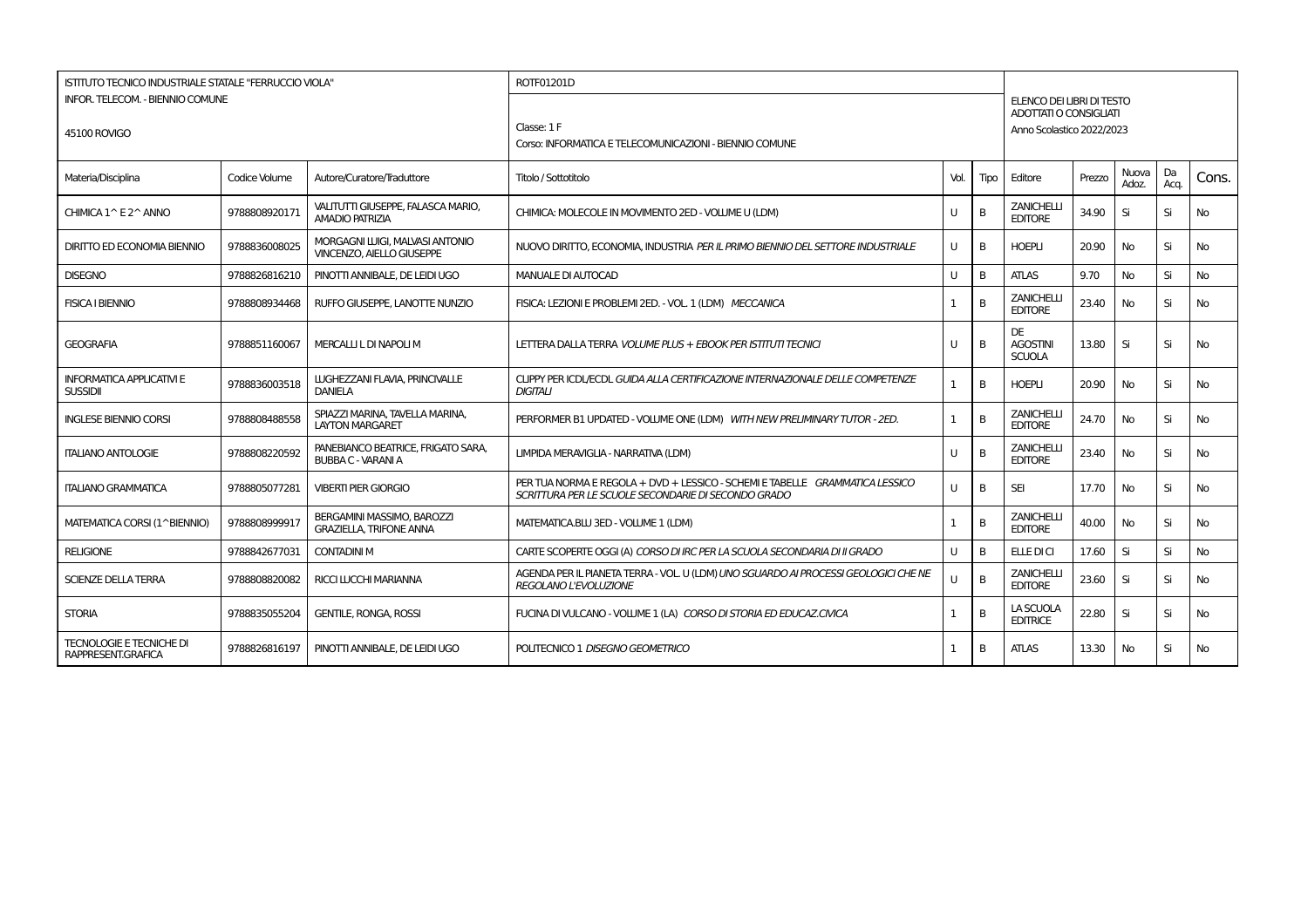| ISTITUTO TECNICO INDUSTRIALE STATALE "FERRUCCIO VIOLA" |               |                                                                     | ROTF01201D                                                                                                                          |              |      |                                                            |        |           |      |           |
|--------------------------------------------------------|---------------|---------------------------------------------------------------------|-------------------------------------------------------------------------------------------------------------------------------------|--------------|------|------------------------------------------------------------|--------|-----------|------|-----------|
| INFOR. TELECOM. - BIENNIO COMUNE                       |               |                                                                     |                                                                                                                                     |              |      | ELENCO DEI LIBRI DI TESTO<br><b>ADOTTATI O CONSIGLIATI</b> |        |           |      |           |
| 45100 ROVIGO                                           |               |                                                                     | Classe: 1 F                                                                                                                         |              |      | Anno Scolastico 2022/2023                                  |        |           |      |           |
|                                                        |               |                                                                     | Corso: INFORMATICA E TELECOMUNICAZIONI - BIENNIO COMUNE                                                                             |              |      |                                                            |        |           |      |           |
|                                                        |               |                                                                     |                                                                                                                                     |              |      |                                                            |        | Nuova     | Da   |           |
| Materia/Disciplina                                     | Codice Volume | Autore/Curatore/Traduttore                                          | Titolo / Sottotitolo                                                                                                                | Vol.         | Tipo | Editore                                                    | Prezzo | Adoz.     | Aca. | Cons.     |
| CHIMICA 1^ E 2^ ANNO                                   | 9788808920171 | VALITUTTI GIUSEPPE, FALASCA MARIO,<br><b>AMADIO PATRIZIA</b>        | CHIMICA: MOLECOLE IN MOVIMENTO 2ED - VOLUME U (LDM)                                                                                 | U            | B    | <b>ZANICHELLI</b><br><b>EDITORE</b>                        | 34.90  | Si        | Si   | No.       |
| DIRITTO ED ECONOMIA BIENNIO                            | 9788836008025 | MORGAGNI LUIGI, MALVASI ANTONIO<br><b>VINCENZO, AIELLO GIUSEPPE</b> | NUOVO DIRITTO, ECONOMIA, INDUSTRIA <i>PER IL PRIMO BIENNIO DEL SETTORE INDUSTRIALE</i>                                              | U            | B    | <b>HOEPLI</b>                                              | 20.90  | No.       | Si   | <b>No</b> |
| <b>DISEGNO</b>                                         | 9788826816210 | PINOTTI ANNIBALE, DE LEIDI UGO                                      | <b>MANUALE DI AUTOCAD</b>                                                                                                           | U            | B    | <b>ATLAS</b>                                               | 9.70   | <b>No</b> | Si   | <b>No</b> |
| <b>FISICA I BIENNIO</b>                                | 9788808934468 | RUFFO GIUSEPPE, LANOTTE NUNZIO                                      | FISICA: LEZIONI E PROBLEMI 2ED. - VOL. 1 (LDM) MECCANICA                                                                            | $\mathbf{1}$ | B    | <b>ZANICHELLI</b><br><b>EDITORE</b>                        | 23.40  | <b>No</b> | Si   | <b>No</b> |
| <b>GEOGRAFIA</b>                                       | 9788851160067 | MERCALLI L DI NAPOLI M                                              | LETTERA DALLA TERRA VOLUME PLUS + EBOOK PER ISTITUTI TECNICI                                                                        | U            | B    | DE<br><b>AGOSTINI</b><br><b>SCUOLA</b>                     | 13.80  | Si        | Si   | No        |
| <b>INFORMATICA APPLICATIVI E</b><br><b>SUSSIDII</b>    | 9788836003518 | LUGHEZZANI FLAVIA, PRINCIVALLE<br><b>DANIELA</b>                    | CUPPY PER ICDL/ECDL GUIDA ALLA CERTIFICAZIONE INTERNAZIONALE DELLE COMPETENZE<br><b>DIGITALI</b>                                    | $\mathbf{1}$ | B    | <b>HOEPLI</b>                                              | 20.90  | <b>No</b> | Si   | <b>No</b> |
| <b>INGLESE BIENNIO CORSI</b>                           | 9788808488558 | SPIAZZI MARINA, TAVELLA MARINA,<br><b>LAYTON MARGARET</b>           | PERFORMER B1 UPDATED - VOLUME ONE (LDM) WITH NEW PRELIMINARY TUTOR - 2ED.                                                           | 1            | B    | <b>ZANICHELLI</b><br><b>EDITORE</b>                        | 24.70  | <b>No</b> | Si   | <b>No</b> |
| <b>ITALIANO ANTOLOGIE</b>                              | 9788808220592 | PANEBIANCO BEATRICE, FRIGATO SARA,<br><b>BUBBA C - VARANI A</b>     | LIMPIDA MERAVIGLIA - NARRATIVA (LDM)                                                                                                | U            | B    | <b>ZANICHELLI</b><br><b>EDITORE</b>                        | 23.40  | No        | Si   | <b>No</b> |
| <b>ITALIANO GRAMMATICA</b>                             | 9788805077281 | <b>VIBERTI PIER GIORGIO</b>                                         | PER TUA NORMA E REGOLA + DVD + LESSICO - SCHEMI E TABELLE GRAMMATICA LESSICO<br>SCRITTURA PER LE SCUOLE SECONDARIE DI SECONDO GRADO | $\mathbf{U}$ | B    | <b>SEI</b>                                                 | 17.70  | <b>No</b> | Si   | No.       |
| MATEMATICA CORSI (1^BIENNIO)                           | 9788808999917 | BERGAMINI MASSIMO, BAROZZI<br><b>GRAZIELLA, TRIFONE ANNA</b>        | MATEMATICA.BLU 3ED - VOLUME 1 (LDM)                                                                                                 | 1            | B    | <b>ZANICHELLI</b><br><b>EDITORE</b>                        | 40.00  | No.       | Si   | No        |
| <b>RELIGIONE</b>                                       | 9788842677031 | <b>CONTADINI M</b>                                                  | CARTE SCOPERTE OGGI (A) CORSO DI IRC PER LA SCUOLA SECONDARIA DI II GRADO                                                           | U            | B    | ELLE DI CI                                                 | 17.60  | Si        | Si   | No        |
| <b>SCIENZE DELLA TERRA</b>                             | 9788808820082 | <b>RICCI LUCCHI MARIANNA</b>                                        | AGENDA PER IL PIANETA TERRA - VOL. U (LDM) UNO SGUARDO AI PROCESSI GEOLOGICI CHE NE<br>REGOLANO L'EVOLUZIONE                        | U            | B    | <b>ZANICHELLI</b><br><b>EDITORE</b>                        | 23.60  | Si        | Si   | No        |
| <b>STORIA</b>                                          | 9788835055204 | <b>GENTILE, RONGA, ROSSI</b>                                        | FUCINA DI VULCANO - VOLUME 1 (LA) CORSO DI STORIA ED EDUCAZ.CIVICA                                                                  | 1            | B    | LA SCUOLA<br><b>EDITRICE</b>                               | 22.80  | Si        | Si   | <b>No</b> |
| <b>TECNOLOGIE E TECNICHE DI</b><br>RAPPRESENT.GRAFICA  | 9788826816197 | PINOTTI ANNIBALE. DE LEIDI UGO                                      | POLITECNICO 1 DISEGNO GEOMETRICO                                                                                                    | $\mathbf{1}$ | B    | <b>ATLAS</b>                                               | 13.30  | <b>No</b> | Si   | No.       |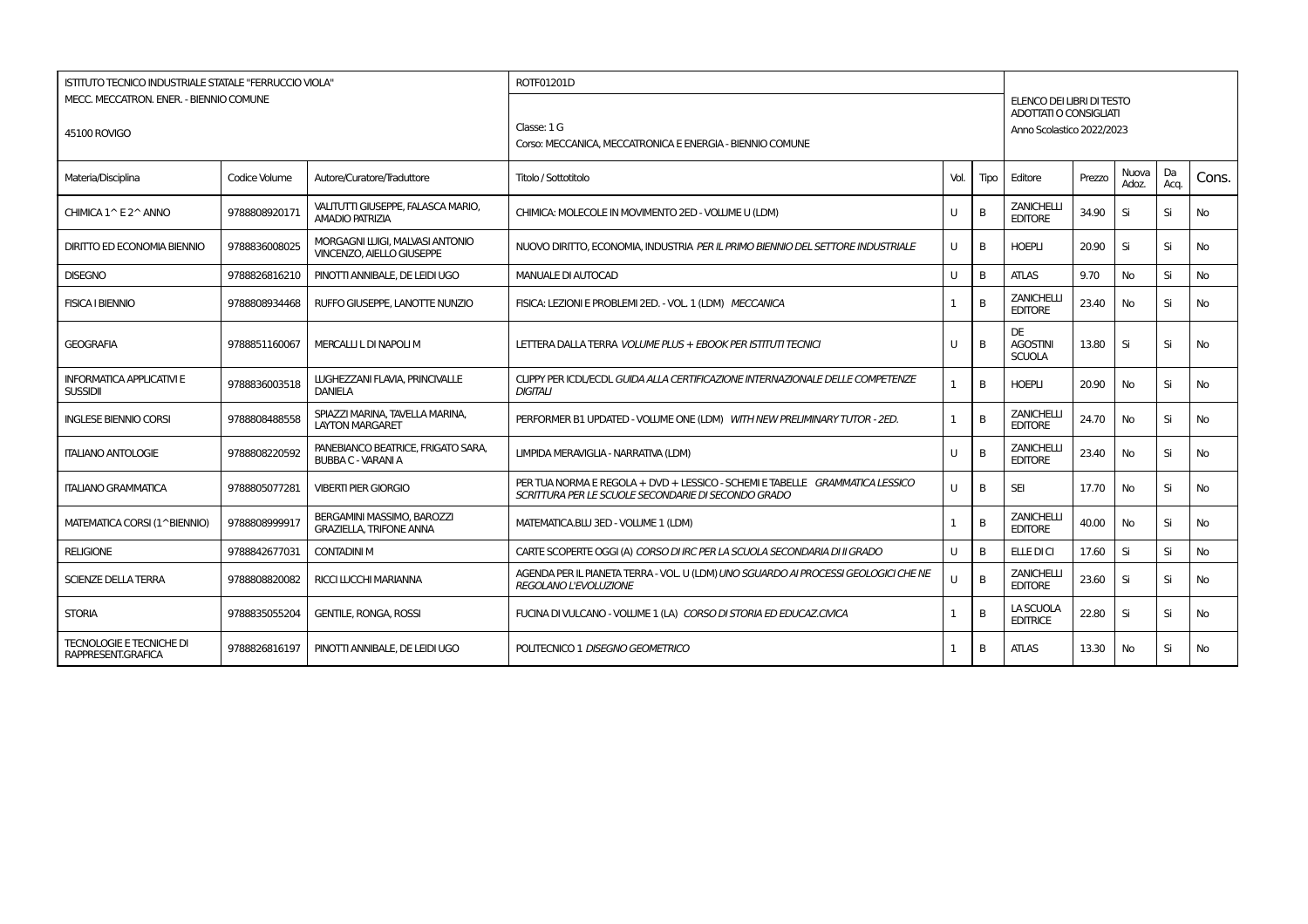| ISTITUTO TECNICO INDUSTRIALE STATALE "FERRUCCIO VIOLA" |               |                                                                     | ROTF01201D                                                                                                                          |              |      |                                                            |        |           |      |           |
|--------------------------------------------------------|---------------|---------------------------------------------------------------------|-------------------------------------------------------------------------------------------------------------------------------------|--------------|------|------------------------------------------------------------|--------|-----------|------|-----------|
| MECC. MECCATRON. ENER. - BIENNIO COMUNE                |               |                                                                     |                                                                                                                                     |              |      | ELENCO DEI LIBRI DI TESTO<br><b>ADOTTATI O CONSIGLIATI</b> |        |           |      |           |
| 45100 ROVIGO                                           |               |                                                                     | Classe: 1 G                                                                                                                         |              |      | Anno Scolastico 2022/2023                                  |        |           |      |           |
|                                                        |               |                                                                     | Corso: MECCANICA, MECCATRONICA E ENERGIA - BIENNIO COMUNE                                                                           |              |      |                                                            |        |           |      |           |
|                                                        |               |                                                                     |                                                                                                                                     |              |      | Editore                                                    | Prezzo | Nuova     | Da   |           |
| Materia/Disciplina                                     | Codice Volume | Autore/Curatore/Traduttore                                          | Titolo / Sottotitolo                                                                                                                | Vol.         | Tipo |                                                            |        | Adoz.     | Aca. | Cons.     |
| CHIMICA 1^ E 2^ ANNO                                   | 9788808920171 | VALITUTTI GIUSEPPE, FALASCA MARIO,<br><b>AMADIO PATRIZIA</b>        | CHIMICA: MOLECOLE IN MOVIMENTO 2ED - VOLUME U (LDM)                                                                                 | U            | B    | <b>ZANICHELLI</b><br><b>EDITORE</b>                        | 34.90  | Si        | Si   | No.       |
| DIRITTO ED ECONOMIA BIENNIO                            | 9788836008025 | MORGAGNI LUIGI, MALVASI ANTONIO<br><b>VINCENZO, AIELLO GIUSEPPE</b> | NUOVO DIRITTO, ECONOMIA, INDUSTRIA <i>PER IL PRIMO BIENNIO DEL SETTORE INDUSTRIALE</i>                                              | U            | B    | <b>HOEPLI</b>                                              | 20.90  | Si        | Si   | <b>No</b> |
| <b>DISEGNO</b>                                         | 9788826816210 | PINOTTI ANNIBALE, DE LEIDI UGO                                      | <b>MANUALE DI AUTOCAD</b>                                                                                                           | U            | B    | <b>ATLAS</b>                                               | 9.70   | <b>No</b> | Si   | <b>No</b> |
| <b>FISICA I BIENNIO</b>                                | 9788808934468 | RUFFO GIUSEPPE, LANOTTE NUNZIO                                      | FISICA: LEZIONI E PROBLEMI 2ED. - VOL. 1 (LDM) MECCANICA                                                                            | $\mathbf{1}$ | B    | <b>ZANICHELLI</b><br><b>EDITORE</b>                        | 23.40  | <b>No</b> | Si   | No        |
| <b>GEOGRAFIA</b>                                       | 9788851160067 | MERCALLI L DI NAPOLI M                                              | LETTERA DALLA TERRA VOLUME PLUS + EBOOK PER ISTITUTI TECNICI                                                                        | U            | B    | DE<br><b>AGOSTINI</b><br><b>SCUOLA</b>                     | 13.80  | Si        | Si   | No        |
| <b>INFORMATICA APPLICATIVI E</b><br><b>SUSSIDII</b>    | 9788836003518 | LUGHEZZANI FLAVIA, PRINCIVALLE<br><b>DANIELA</b>                    | CUPPY PER ICDL/ECDL GUIDA ALLA CERTIFICAZIONE INTERNAZIONALE DELLE COMPETENZE<br><b>DIGITALI</b>                                    | $\mathbf{1}$ | B    | <b>HOEPLI</b>                                              | 20.90  | <b>No</b> | Si   | <b>No</b> |
| <b>INGLESE BIENNIO CORSI</b>                           | 9788808488558 | SPIAZZI MARINA, TAVELLA MARINA,<br><b>LAYTON MARGARET</b>           | PERFORMER B1 UPDATED - VOLUME ONE (LDM) WITH NEW PRELIMINARY TUTOR - 2ED.                                                           | 1            | B    | <b>ZANICHELLI</b><br><b>EDITORE</b>                        | 24.70  | <b>No</b> | Si   | <b>No</b> |
| <b>ITALIANO ANTOLOGIE</b>                              | 9788808220592 | PANEBIANCO BEATRICE, FRIGATO SARA,<br><b>BUBBA C - VARANI A</b>     | LIMPIDA MERAVIGLIA - NARRATIVA (LDM)                                                                                                | U            | B    | <b>ZANICHELLI</b><br><b>EDITORE</b>                        | 23.40  | No        | Si   | <b>No</b> |
| <b>ITALIANO GRAMMATICA</b>                             | 9788805077281 | <b>VIBERTI PIER GIORGIO</b>                                         | PER TUA NORMA E REGOLA + DVD + LESSICO - SCHEMI E TABELLE GRAMMATICA LESSICO<br>SCRITTURA PER LE SCUOLE SECONDARIE DI SECONDO GRADO | $\mathbf{U}$ | B    | <b>SEI</b>                                                 | 17.70  | <b>No</b> | Si   | No.       |
| MATEMATICA CORSI (1^BIENNIO)                           | 9788808999917 | BERGAMINI MASSIMO, BAROZZI<br><b>GRAZIELLA, TRIFONE ANNA</b>        | MATEMATICA.BLU 3ED - VOLUME 1 (LDM)                                                                                                 | 1            | B    | <b>ZANICHELLI</b><br><b>EDITORE</b>                        | 40.00  | No.       | Si   | No.       |
| <b>RELIGIONE</b>                                       | 9788842677031 | <b>CONTADINI M</b>                                                  | CARTE SCOPERTE OGGI (A) CORSO DI IRC PER LA SCUOLA SECONDARIA DI II GRADO                                                           | $\cup$       | B    | ELLE DI CI                                                 | 17.60  | Si        | Si   | No        |
| <b>SCIENZE DELLA TERRA</b>                             | 9788808820082 | <b>RICCI LUCCHI MARIANNA</b>                                        | AGENDA PER IL PIANETA TERRA - VOL. U (LDM) UNO SGUARDO AI PROCESSI GEOLOGICI CHE NE<br>REGOLANO L'EVOLUZIONE                        | $\mathbf{U}$ | B    | <b>ZANICHELLI</b><br><b>EDITORE</b>                        | 23.60  | Si        | Si   | No        |
| <b>STORIA</b>                                          | 9788835055204 | <b>GENTILE, RONGA, ROSSI</b>                                        | FUCINA DI VULCANO - VOLUME 1 (LA) CORSO DI STORIA ED EDUCAZ.CIVICA                                                                  | 1            | B    | LA SCUOLA<br><b>EDITRICE</b>                               | 22.80  | Si        | Si   | <b>No</b> |
| <b>TECNOLOGIE E TECNICHE DI</b><br>RAPPRESENT.GRAFICA  | 9788826816197 | PINOTTI ANNIBALE. DE LEIDI UGO                                      | POLITECNICO 1 DISEGNO GEOMETRICO                                                                                                    | $\mathbf{1}$ | B    | <b>ATLAS</b>                                               | 13.30  | <b>No</b> | Si   | No.       |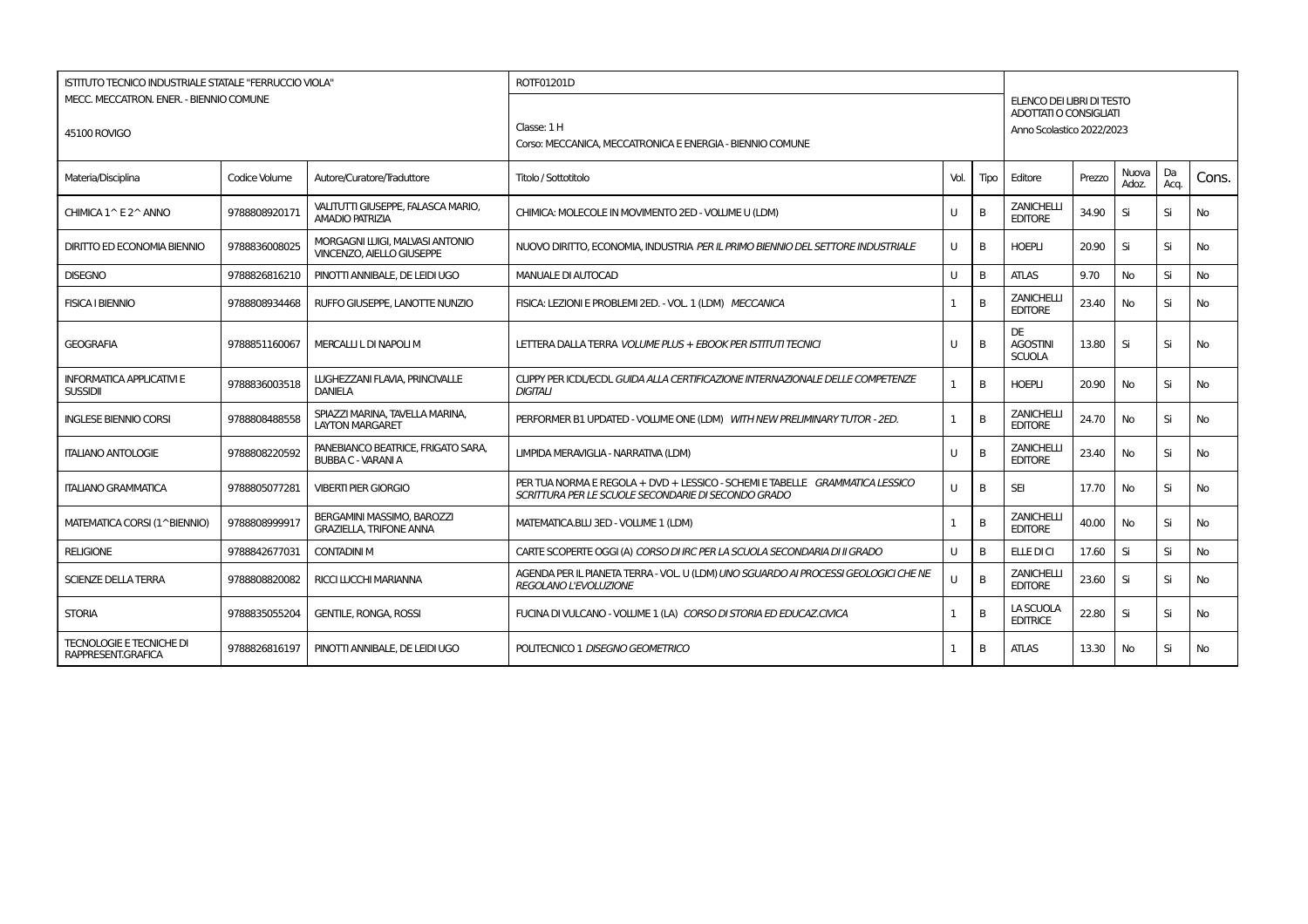| ISTITUTO TECNICO INDUSTRIALE STATALE "FERRUCCIO VIOLA" |               |                                                                     | ROTF01201D                                                                                                                          |              |      |                                                            |        |                |            |           |
|--------------------------------------------------------|---------------|---------------------------------------------------------------------|-------------------------------------------------------------------------------------------------------------------------------------|--------------|------|------------------------------------------------------------|--------|----------------|------------|-----------|
| MECC. MECCATRON. ENER. - BIENNIO COMUNE                |               |                                                                     |                                                                                                                                     |              |      | ELENCO DEI LIBRI DI TESTO<br><b>ADOTTATI O CONSIGLIATI</b> |        |                |            |           |
| 45100 ROVIGO                                           |               |                                                                     | Classe: 1 H                                                                                                                         |              |      | Anno Scolastico 2022/2023                                  |        |                |            |           |
|                                                        |               |                                                                     | Corso: MECCANICA, MECCATRONICA E ENERGIA - BIENNIO COMUNE                                                                           |              |      |                                                            |        |                |            |           |
| Materia/Disciplina                                     | Codice Volume | Autore/Curatore/Traduttore                                          | Titolo / Sottotitolo                                                                                                                | Vol.         | Tipo | Editore                                                    | Prezzo | Nuova<br>Adoz. | Da<br>Aca. | Cons.     |
| CHIMICA 1^ E 2^ ANNO                                   | 9788808920171 | VALITUTTI GIUSEPPE, FALASCA MARIO,<br><b>AMADIO PATRIZIA</b>        | CHIMICA: MOLECOLE IN MOVIMENTO 2ED - VOLUME U (LDM)                                                                                 | U            | B    | <b>ZANICHELLI</b><br><b>EDITORE</b>                        | 34.90  | Si             | Si         | No        |
| <b>DIRITTO ED ECONOMIA BIENNIO</b>                     | 9788836008025 | MORGAGNI LUIGI, MALVASI ANTONIO<br><b>VINCENZO, AIELLO GIUSEPPE</b> | NUOVO DIRITTO, ECONOMIA, INDUSTRIA PER IL PRIMO BIENNIO DEL SETTORE INDUSTRIALE                                                     | U            | B    | <b>HOEPLI</b>                                              | 20.90  | Si             | Si         | <b>No</b> |
| <b>DISEGNO</b>                                         | 9788826816210 | PINOTTI ANNIBALE, DE LEIDI UGO                                      | <b>MANUALE DI AUTOCAD</b>                                                                                                           | U            | B    | <b>ATLAS</b>                                               | 9.70   | <b>No</b>      | Si         | No        |
| <b>FISICA I BIENNIO</b>                                | 9788808934468 | RUFFO GIUSEPPE, LANOTTE NUNZIO                                      | FISICA: LEZIONI E PROBLEMI 2ED. - VOL. 1 (LDM) MECCANICA                                                                            | 1            | B    | <b>ZANICHELLI</b><br><b>EDITORE</b>                        | 23.40  | No             | Si         | No.       |
| <b>GEOGRAFIA</b>                                       | 9788851160067 | MERCALLI L DI NAPOLI M                                              | LETTERA DALLA TERRA VOLUME PLUS + EBOOK PER ISTITUTI TECNICI                                                                        | $\mathbf{U}$ | B    | DE<br><b>AGOSTINI</b><br><b>SCUOLA</b>                     | 13.80  | Si             | Si         | No        |
| <b>INFORMATICA APPLICATIVI E</b><br><b>SUSSIDII</b>    | 9788836003518 | LUGHEZZANI FLAVIA, PRINCIVALLE<br><b>DANIELA</b>                    | CLIPPY PER ICDL/ECDL GUIDA ALLA CERTIFICAZIONE INTERNAZIONALE DELLE COMPETENZE<br><b>DIGITALI</b>                                   | $\mathbf{1}$ | B    | <b>HOEPLI</b>                                              | 20.90  | <b>No</b>      | Si         | <b>No</b> |
| <b>INGLESE BIENNIO CORSI</b>                           | 9788808488558 | SPIAZZI MARINA, TAVELLA MARINA,<br><b>LAYTON MARGARET</b>           | PERFORMER B1 UPDATED - VOLUME ONE (LDM) WITH NEW PRELIMINARY TUTOR - 2ED.                                                           | $\mathbf{1}$ | B    | <b>ZANICHELLI</b><br><b>EDITORE</b>                        | 24.70  | No             | Si         | <b>No</b> |
| <b>ITALIANO ANTOLOGIE</b>                              | 9788808220592 | PANEBIANCO BEATRICE, FRIGATO SARA,<br><b>BUBBA C - VARANI A</b>     | LIMPIDA MERAVIGLIA - NARRATIVA (LDM)                                                                                                | U            | B    | <b>ZANICHELLI</b><br><b>EDITORE</b>                        | 23.40  | No.            | Si         | <b>No</b> |
| <b>ITALIANO GRAMMATICA</b>                             | 9788805077281 | <b>VIBERTI PIER GIORGIO</b>                                         | PER TUA NORMA E REGOLA + DVD + LESSICO - SCHEMI E TABELLE GRAMMATICA LESSICO<br>SCRITTURA PER LE SCUOLE SECONDARIE DI SECONDO GRADO | $\mathbf{U}$ | B    | <b>SEI</b>                                                 | 17.70  | <b>No</b>      | Si         | No.       |
| MATEMATICA CORSI (1^BIENNIO)                           | 978880899991  | BERGAMINI MASSIMO, BAROZZI<br><b>GRAZIELLA, TRIFONE ANNA</b>        | MATEMATICA.BLU 3ED - VOLUME 1 (LDM)                                                                                                 | 1            | B    | <b>ZANICHELLI</b><br><b>EDITORE</b>                        | 40.00  | No.            | Si         | No.       |
| <b>RELIGIONE</b>                                       | 9788842677031 | <b>CONTADINI M</b>                                                  | CARTE SCOPERTE OGGI (A) CORSO DI IRC PER LA SCUOLA SECONDARIA DI II GRADO                                                           | U            | B    | ELLE DI CI                                                 | 17.60  | Si             | Si         | <b>No</b> |
| <b>SCIENZE DELLA TERRA</b>                             | 9788808820082 | <b>RICCI LUCCHI MARIANNA</b>                                        | AGENDA PER IL PIANETA TERRA - VOL. U (LDM) UNO SGUARDO AI PROCESSI GEOLOGICI CHE NE<br>REGOLANO L'EVOLUZIONE                        | $\mathbf{U}$ | B    | <b>ZANICHELLI</b><br><b>EDITORE</b>                        | 23.60  | Si             | Si         | No        |
| <b>STORIA</b>                                          | 9788835055204 | <b>GENTILE, RONGA, ROSSI</b>                                        | FUCINA DI VULCANO - VOLUME 1 (LA) CORSO DI STORIA ED EDUCAZ.CIVICA                                                                  | 1            | B    | LA SCUOLA<br><b>EDITRICE</b>                               | 22.80  | Si             | Si         | <b>No</b> |
| <b>TECNOLOGIE E TECNICHE DI</b><br>RAPPRESENT.GRAFICA  | 9788826816197 | PINOTTI ANNIBALE, DE LEIDI UGO                                      | POLITECNICO 1 DISEGNO GEOMETRICO                                                                                                    | -1           | B    | <b>ATLAS</b>                                               | 13.30  | No             | Si         | No.       |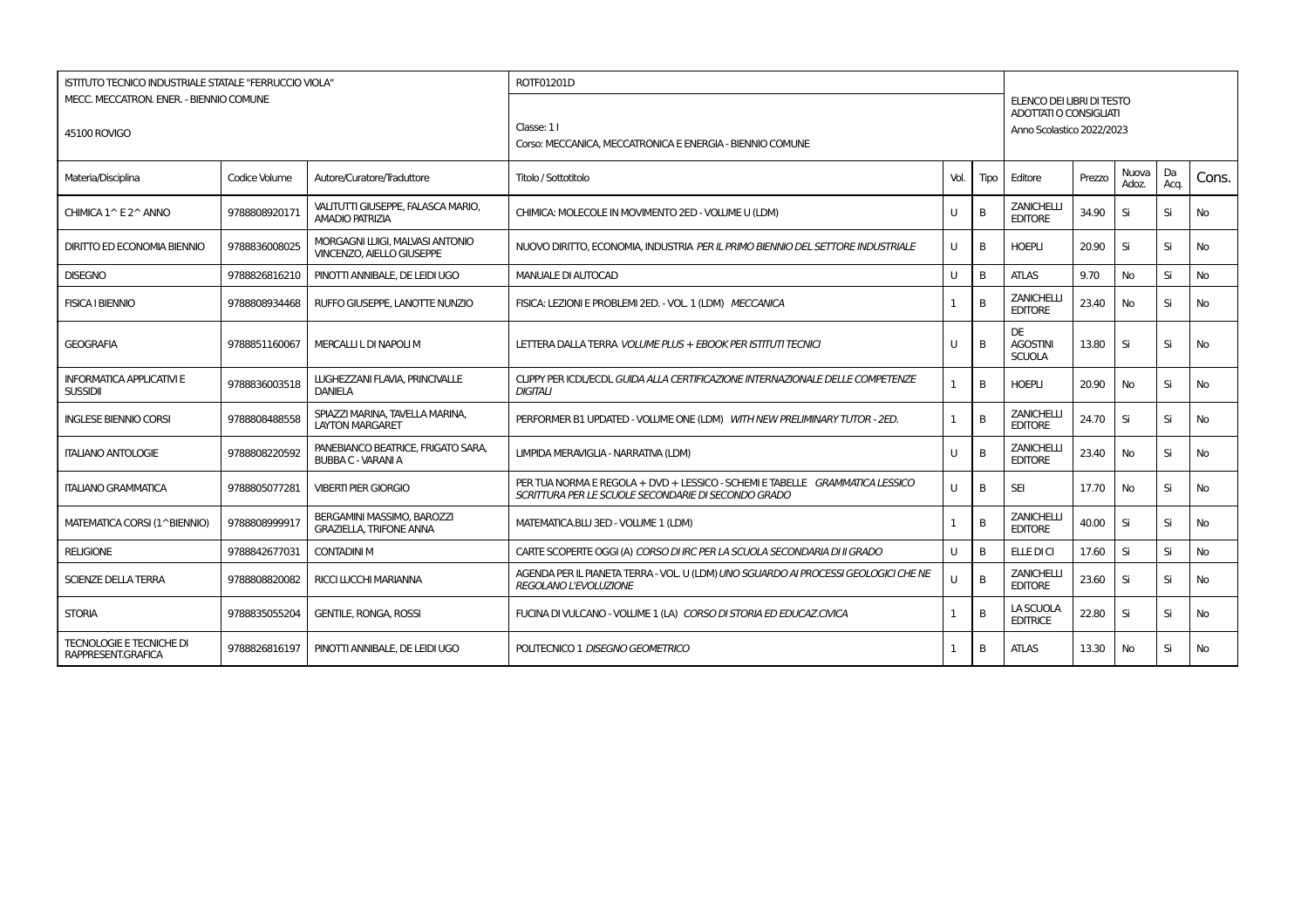| ISTITUTO TECNICO INDUSTRIALE STATALE "FERRUCCIO VIOLA" |               |                                                                     | ROTF01201D                                                                                                                          |              |      |                                                            |        |                |            |           |
|--------------------------------------------------------|---------------|---------------------------------------------------------------------|-------------------------------------------------------------------------------------------------------------------------------------|--------------|------|------------------------------------------------------------|--------|----------------|------------|-----------|
| MECC. MECCATRON. ENER. - BIENNIO COMUNE                |               |                                                                     |                                                                                                                                     |              |      | ELENCO DEI LIBRI DI TESTO<br><b>ADOTTATI O CONSIGLIATI</b> |        |                |            |           |
| 45100 ROVIGO                                           |               |                                                                     | Classe: 11                                                                                                                          |              |      | Anno Scolastico 2022/2023                                  |        |                |            |           |
|                                                        |               |                                                                     | Corso: MECCANICA, MECCATRONICA E ENERGIA - BIENNIO COMUNE                                                                           |              |      |                                                            |        |                |            |           |
| Materia/Disciplina                                     | Codice Volume | Autore/Curatore/Traduttore                                          | Titolo / Sottotitolo                                                                                                                | Vol.         | Tipo | Editore                                                    | Prezzo | Nuova<br>Adoz. | Da<br>Aca. | Cons.     |
| CHIMICA 1^ E 2^ ANNO                                   | 9788808920171 | VALITUTTI GIUSEPPE, FALASCA MARIO,<br><b>AMADIO PATRIZIA</b>        | CHIMICA: MOLECOLE IN MOVIMENTO 2ED - VOLUME U (LDM)                                                                                 | U            | B    | <b>ZANICHELLI</b><br><b>EDITORE</b>                        | 34.90  | Si             | Si         | No        |
| <b>DIRITTO ED ECONOMIA BIENNIO</b>                     | 9788836008025 | MORGAGNI LUIGI, MALVASI ANTONIO<br><b>VINCENZO, AIELLO GIUSEPPE</b> | NUOVO DIRITTO, ECONOMIA, INDUSTRIA PER IL PRIMO BIENNIO DEL SETTORE INDUSTRIALE                                                     | U            | B    | <b>HOEPLI</b>                                              | 20.90  | Si             | Si         | <b>No</b> |
| <b>DISEGNO</b>                                         | 9788826816210 | PINOTTI ANNIBALE, DE LEIDI UGO                                      | <b>MANUALE DI AUTOCAD</b>                                                                                                           | U            | B    | <b>ATLAS</b>                                               | 9.70   | <b>No</b>      | Si         | No        |
| <b>FISICA I BIENNIO</b>                                | 9788808934468 | RUFFO GIUSEPPE, LANOTTE NUNZIO                                      | FISICA: LEZIONI E PROBLEMI 2ED. - VOL. 1 (LDM) MECCANICA                                                                            | 1            | B    | <b>ZANICHELLI</b><br><b>EDITORE</b>                        | 23.40  | No             | Si         | No.       |
| <b>GEOGRAFIA</b>                                       | 9788851160067 | MERCALLI L DI NAPOLI M                                              | LETTERA DALLA TERRA VOLUME PLUS + EBOOK PER ISTITUTI TECNICI                                                                        | $\mathbf{U}$ | B    | DE<br><b>AGOSTINI</b><br><b>SCUOLA</b>                     | 13.80  | Si             | Si         | No        |
| <b>INFORMATICA APPLICATIVI E</b><br><b>SUSSIDII</b>    | 9788836003518 | LUGHEZZANI FLAVIA, PRINCIVALLE<br><b>DANIELA</b>                    | CLIPPY PER ICDL/ECDL GUIDA ALLA CERTIFICAZIONE INTERNAZIONALE DELLE COMPETENZE<br><b>DIGITALI</b>                                   | $\mathbf{1}$ | B    | <b>HOEPLI</b>                                              | 20.90  | <b>No</b>      | Si         | <b>No</b> |
| <b>INGLESE BIENNIO CORSI</b>                           | 9788808488558 | SPIAZZI MARINA, TAVELLA MARINA,<br><b>LAYTON MARGARET</b>           | PERFORMER B1 UPDATED - VOLUME ONE (LDM) WITH NEW PRELIMINARY TUTOR - 2ED.                                                           | $\mathbf{1}$ | B    | <b>ZANICHELLI</b><br><b>EDITORE</b>                        | 24.70  | Si             | Si         | <b>No</b> |
| <b>ITALIANO ANTOLOGIE</b>                              | 9788808220592 | PANEBIANCO BEATRICE, FRIGATO SARA,<br><b>BUBBA C - VARANI A</b>     | LIMPIDA MERAVIGLIA - NARRATIVA (LDM)                                                                                                | U            | B    | <b>ZANICHELLI</b><br><b>EDITORE</b>                        | 23.40  | No.            | Si         | <b>No</b> |
| <b>ITALIANO GRAMMATICA</b>                             | 9788805077281 | <b>VIBERTI PIER GIORGIO</b>                                         | PER TUA NORMA E REGOLA + DVD + LESSICO - SCHEMI E TABELLE GRAMMATICA LESSICO<br>SCRITTURA PER LE SCUOLE SECONDARIE DI SECONDO GRADO | $\mathbf{U}$ | B    | <b>SEI</b>                                                 | 17.70  | No             | Si         | No.       |
| MATEMATICA CORSI (1^BIENNIO)                           | 9788808999917 | BERGAMINI MASSIMO, BAROZZI<br><b>GRAZIELLA, TRIFONE ANNA</b>        | MATEMATICA.BLU 3ED - VOLUME 1 (LDM)                                                                                                 | $\mathbf{1}$ | B    | <b>ZANICHELLI</b><br><b>EDITORE</b>                        | 40.00  | Si             | Si         | No        |
| <b>RELIGIONE</b>                                       | 9788842677031 | <b>CONTADINI M</b>                                                  | CARTE SCOPERTE OGGI (A) CORSO DI IRC PER LA SCUOLA SECONDARIA DI II GRADO                                                           | U            | B    | ELLE DI CI                                                 | 17.60  | Si             | Si         | <b>No</b> |
| <b>SCIENZE DELLA TERRA</b>                             | 9788808820082 | <b>RICCI LUCCHI MARIANNA</b>                                        | AGENDA PER IL PIANETA TERRA - VOL. U (LDM) UNO SGUARDO AI PROCESSI GEOLOGICI CHE NE<br>REGOLANO L'EVOLUZIONE                        | $\mathbf{U}$ | B    | <b>ZANICHELLI</b><br><b>EDITORE</b>                        | 23.60  | Si             | Si         | No        |
| <b>STORIA</b>                                          | 9788835055204 | <b>GENTILE, RONGA, ROSSI</b>                                        | FUCINA DI VULCANO - VOLUME 1 (LA) CORSO DI STORIA ED EDUCAZ.CIVICA                                                                  | 1            | B    | LA SCUOLA<br><b>EDITRICE</b>                               | 22.80  | Si             | Si         | No        |
| <b>TECNOLOGIE E TECNICHE DI</b><br>RAPPRESENT.GRAFICA  | 9788826816197 | PINOTTI ANNIBALE, DE LEIDI UGO                                      | POLITECNICO 1 DISEGNO GEOMETRICO                                                                                                    | -1           | B    | <b>ATLAS</b>                                               | 13.30  | No             | Si         | No.       |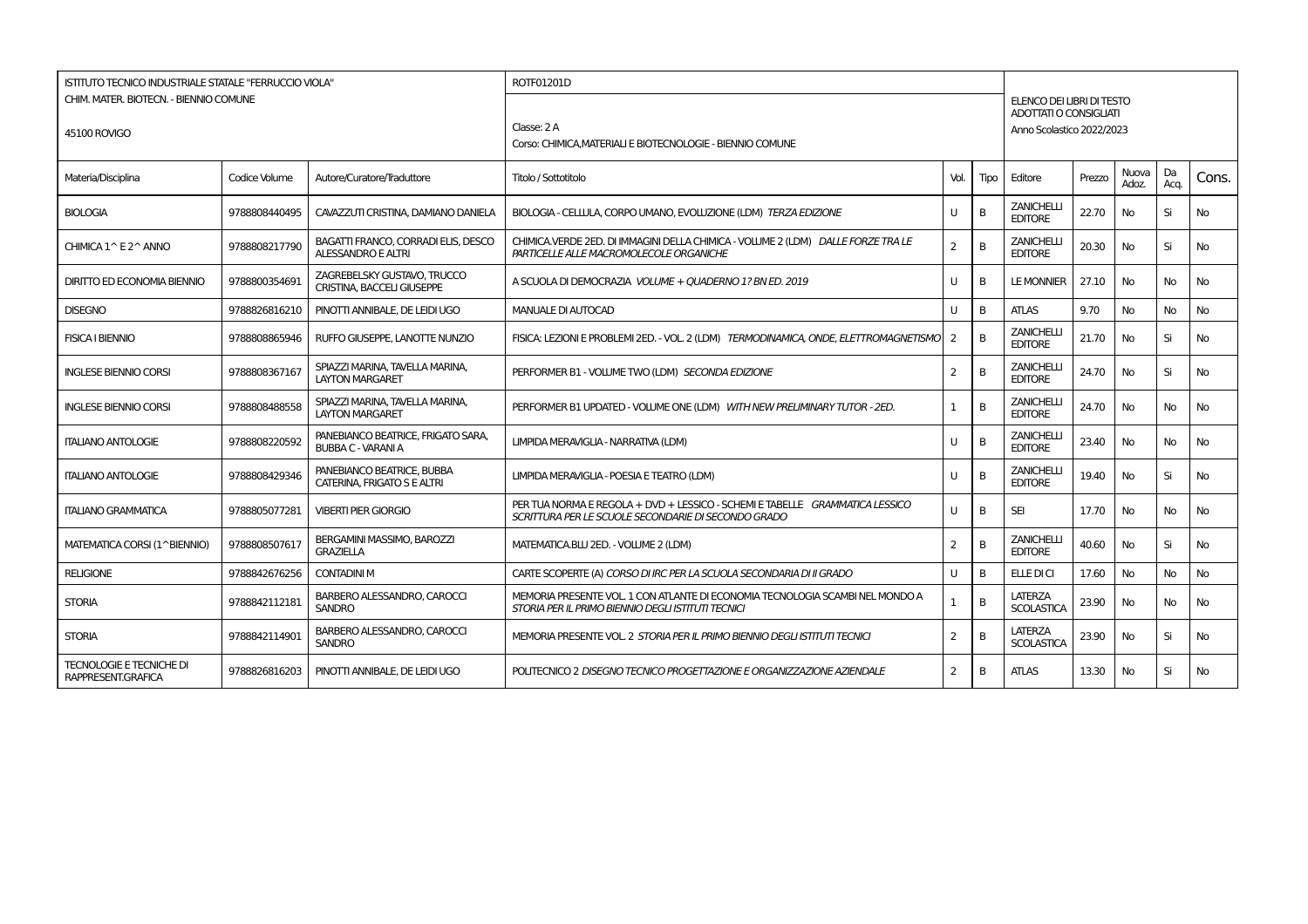| <b>ISTITUTO TECNICO INDUSTRIALE STATALE "FERRUCCIO VIOLA"</b> |               |                                                                  | ROTF01201D                                                                                                                          |                |      |                                                     |        |                |            |           |
|---------------------------------------------------------------|---------------|------------------------------------------------------------------|-------------------------------------------------------------------------------------------------------------------------------------|----------------|------|-----------------------------------------------------|--------|----------------|------------|-----------|
| CHIM. MATER. BIOTECN. - BIENNIO COMUNE                        |               |                                                                  |                                                                                                                                     |                |      | ELENCO DEI LIBRI DI TESTO<br>ADOTTATI O CONSIGLIATI |        |                |            |           |
| 45100 ROVIGO                                                  |               |                                                                  | Classe: 2 A                                                                                                                         |                |      | Anno Scolastico 2022/2023                           |        |                |            |           |
|                                                               |               |                                                                  | Corso: CHIMICA, MATERIALI E BIOTECNOLOGIE - BIENNIO COMUNE                                                                          |                |      |                                                     |        |                |            |           |
| Materia/Disciplina                                            | Codice Volume | Autore/Curatore/Traduttore                                       | Titolo / Sottotitolo                                                                                                                | Vol.           | Tipo | Editore                                             | Prezzo | Nuova<br>Adoz. | Da<br>Acq. | Cons.     |
| <b>BIOLOGIA</b>                                               | 9788808440495 | CAVAZZUTI CRISTINA, DAMIANO DANIELA                              | BIOLOGIA - CELLULA, CORPO UMANO, EVOLUZIONE (LDM) TERZA EDIZIONE                                                                    | u              | B    | <b>ZANICHELLI</b><br><b>EDITORE</b>                 | 22.70  | No             | Si         | <b>No</b> |
| CHIMICA 1^ E 2^ ANNO                                          | 9788808217790 | BAGATTI FRANCO, CORRADI ELIS, DESCO<br><b>ALESSANDRO E ALTRI</b> | CHIMICA.VERDE 2ED. DI IMMAGINI DELLA CHIMICA - VOLUME 2 (LDM) DALLE FORZE TRA LE<br>PARTICELLE ALLE MACROMOLECOLE ORGANICHE         | $\overline{2}$ | B    | <b>ZANICHELLI</b><br><b>EDITORE</b>                 | 20.30  | No             | Si         | <b>No</b> |
| <b>DIRITTO ED ECONOMIA BIENNIO</b>                            | 9788800354691 | ZAGREBELSKY GUSTAVO, TRUCCO<br>CRISTINA, BACCELI GIUSEPPE        | A SCUOLA DI DEMOCRAZIA VOLUME + QUADERNO 1? BN ED. 2019                                                                             |                | B    | <b>LE MONNIER</b>                                   | 27.10  | No             | <b>No</b>  | <b>No</b> |
| <b>DISEGNO</b>                                                | 9788826816210 | PINOTTI ANNIBALE. DE LEIDI UGO                                   | <b>MANUALE DI AUTOCAD</b>                                                                                                           | U              | B    | <b>ATLAS</b>                                        | 9.70   | No             | No         | <b>No</b> |
| <b>FISICA I BIENNIO</b>                                       | 9788808865946 | RUFFO GIUSEPPE. LANOTTE NUNZIO                                   | FISICA: LEZIONI E PROBLEMI 2ED. - VOL. 2 (LDM) TERMODINAMICA, ONDE, ELETTROMAGNETISMO                                               | $\mathcal{P}$  | B    | <b>ZANICHELLI</b><br><b>EDITORE</b>                 | 21.70  | No             | Si         | No        |
| <b>INGLESE BIENNIO CORSI</b>                                  | 9788808367167 | SPIAZZI MARINA, TAVELLA MARINA,<br><b>LAYTON MARGARET</b>        | PERFORMER B1 - VOLUME TWO (LDM) SECONDA EDIZIONE                                                                                    | 2              | B    | <b>ZANICHELLI</b><br><b>EDITORE</b>                 | 24.70  | No             | Si         | <b>No</b> |
| <b>INGLESE BIENNIO CORSI</b>                                  | 9788808488558 | SPIAZZI MARINA, TAVELLA MARINA,<br><b>LAYTON MARGARET</b>        | PERFORMER B1 UPDATED - VOLUME ONE (LDM) WITH NEW PRELIMINARY TUTOR - 2ED.                                                           |                | В    | <b>ZANICHELLI</b><br><b>EDITORE</b>                 | 24.70  | No             | No         | No        |
| <b>ITALIANO ANTOLOGIE</b>                                     | 9788808220592 | PANEBIANCO BEATRICE. FRIGATO SARA.<br><b>BUBBA C - VARANI A</b>  | LIMPIDA MERAVIGLIA - NARRATIVA (LDM)                                                                                                | U              | B    | <b>ZANICHELLI</b><br><b>EDITORE</b>                 | 23.40  | No             | No         | No        |
| <b>ITALIANO ANTOLOGIE</b>                                     | 9788808429346 | PANEBIANCO BEATRICE, BUBBA<br>CATERINA, FRIGATO S E ALTRI        | LIMPIDA MERAVIGLIA - POESIA E TEATRO (LDM)                                                                                          | U              | B    | <b>ZANICHELL</b><br><b>EDITORE</b>                  | 19.40  | No             | Si         | <b>No</b> |
| <b>ITALIANO GRAMMATICA</b>                                    | 9788805077281 | <b>VIBERTI PIER GIORGIO</b>                                      | PER TUA NORMA E REGOLA + DVD + LESSICO - SCHEMI E TABELLE GRAMMATICA LESSICO<br>SCRITTURA PER LE SCUOLE SECONDARIE DI SECONDO GRADO | u              | B    | <b>SEI</b>                                          | 17.70  | No             | No         | <b>No</b> |
| MATEMATICA CORSI (1^BIENNIO)                                  | 9788808507617 | BERGAMINI MASSIMO, BAROZZI<br><b>GRAZIELLA</b>                   | MATEMATICA.BLU 2ED. - VOLUME 2 (LDM)                                                                                                | $\overline{2}$ | B    | <b>ZANICHELLI</b><br><b>EDITORE</b>                 | 40.60  | No             | Si         | <b>No</b> |
| <b>RELIGIONE</b>                                              | 9788842676256 | <b>CONTADINI M</b>                                               | CARTE SCOPERTE (A) CORSO DI IRC PER LA SCUOLA SECONDARIA DI II GRADO                                                                | U              | B    | ELLE DI CI                                          | 17.60  | No             | No         | <b>No</b> |
| <b>STORIA</b>                                                 | 9788842112181 | BARBERO ALESSANDRO, CAROCCI<br><b>SANDRO</b>                     | MEMORIA PRESENTE VOL. 1 CON ATLANTE DI ECONOMIA TECNOLOGIA SCAMBI NEL MONDO A<br>STORIA PER IL PRIMO BIENNIO DEGLI ISTITUTI TECNICI |                | B    | <b>LATERZA</b><br><b>SCOLASTICA</b>                 | 23.90  | No             | No         | <b>No</b> |
| <b>STORIA</b>                                                 | 9788842114901 | BARBERO ALESSANDRO, CAROCCI<br><b>SANDRO</b>                     | MEMORIA PRESENTE VOL. 2 STORIA PER IL PRIMO BIENNIO DEGLI ISTITUTI TECNICI                                                          | 2              | B    | LATERZA<br><b>SCOLASTICA</b>                        | 23.90  | No             | Si         | <b>No</b> |
| <b>TECNOLOGIE E TECNICHE DI</b><br>RAPPRESENT.GRAFICA         | 9788826816203 | PINOTTI ANNIBALE, DE LEIDI UGO                                   | POLITECNICO 2 DISEGNO TECNICO PROGETTAZIONE E ORGANIZZAZIONE AZIENDALE                                                              | 2              | B    | <b>ATLAS</b>                                        | 13.30  | No             | Si         | <b>No</b> |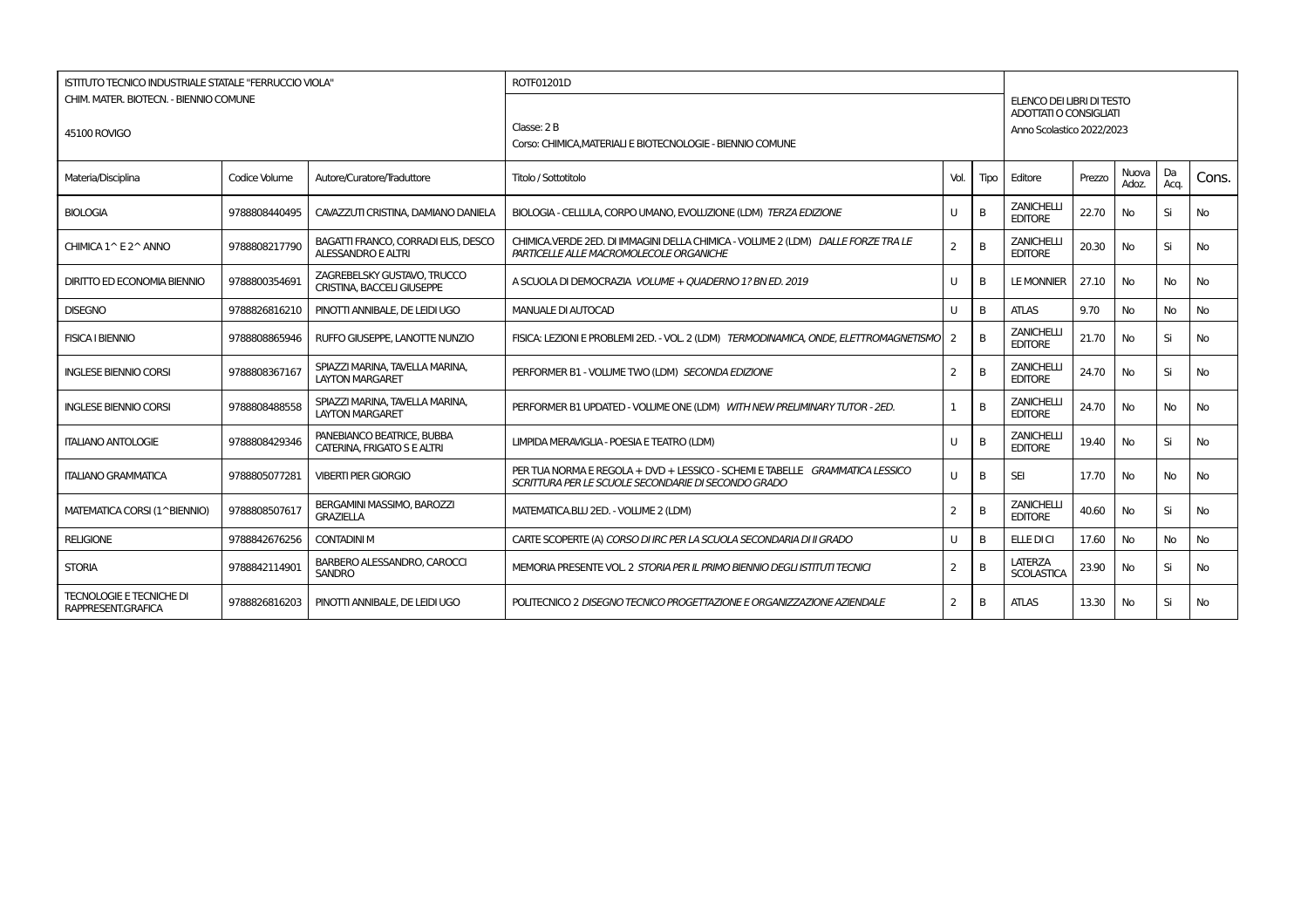| ISTITUTO TECNICO INDUSTRIALE STATALE "FERRUCCIO VIOLA" |               |                                                                  | ROTF01201D                                                                                                                          |                |              |                                                     |        |                       |            |           |
|--------------------------------------------------------|---------------|------------------------------------------------------------------|-------------------------------------------------------------------------------------------------------------------------------------|----------------|--------------|-----------------------------------------------------|--------|-----------------------|------------|-----------|
| CHIM. MATER. BIOTECN. - BIENNIO COMUNE                 |               |                                                                  |                                                                                                                                     |                |              | ELENCO DEI LIBRI DI TESTO<br>ADOTTATI O CONSIGLIATI |        |                       |            |           |
| 45100 ROVIGO                                           |               |                                                                  | Classe: 2B                                                                                                                          |                |              | Anno Scolastico 2022/2023                           |        |                       |            |           |
|                                                        |               |                                                                  | Corso: CHIMICA.MATERIALI E BIOTECNOLOGIE - BIENNIO COMUNE                                                                           |                |              |                                                     |        |                       |            |           |
| Materia/Disciplina                                     | Codice Volume | Autore/Curatore/Traduttore                                       | Titolo / Sottotitolo                                                                                                                | Vol.           | Tipo         | Editore                                             | Prezzo | <b>Nuova</b><br>Adoz. | Da<br>Acq. | Cons.     |
| <b>BIOLOGIA</b>                                        | 9788808440495 | CAVAZZUTI CRISTINA, DAMIANO DANIELA                              | BIOLOGIA - CELLULA, CORPO UMANO, EVOLUZIONE (LDM) TERZA EDIZIONE                                                                    |                | <sub>B</sub> | <b>ZANICHELLI</b><br><b>EDITORE</b>                 | 22.70  | No                    | Si         | No        |
| CHIMICA 1^ E 2^ ANNO                                   | 9788808217790 | BAGATTI FRANCO, CORRADI ELIS, DESCO<br>ALESSANDRO E ALTRI        | CHIMICA.VERDE 2ED. DI IMMAGINI DELLA CHIMICA - VOLUME 2 (LDM) DALLE FORZE TRA LE<br>PARTICELLE ALLE MACROMOLECOLE ORGANICHE         | 2              | B            | <b>ZANICHELLI</b><br><b>EDITORE</b>                 | 20.30  | No                    | Si         | <b>No</b> |
| <b>DIRITTO ED ECONOMIA BIENNIO</b>                     | 9788800354691 | ZAGREBELSKY GUSTAVO. TRUCCO<br><b>CRISTINA, BACCELI GIUSEPPE</b> | A SCUOLA DI DEMOCRAZIA VOLUME + OUADERNO 1? BN ED. 2019                                                                             | $\mathbf{I}$   | B            | <b>LE MONNIER</b>                                   | 27.10  | No                    | <b>No</b>  | <b>No</b> |
| <b>DISEGNO</b>                                         | 9788826816210 | PINOTTI ANNIBALE. DE LEIDI UGO                                   | MANUALE DI AUTOCAD                                                                                                                  |                | B            | <b>ATLAS</b>                                        | 9.70   | <b>No</b>             | <b>No</b>  | <b>No</b> |
| <b>FISICA I BIENNIO</b>                                | 9788808865946 | RUFFO GIUSEPPE. LANOTTE NUNZIO                                   | FISICA: LEZIONI E PROBLEMI 2ED. - VOL. 2 (LDM) TERMODINAMICA, ONDE, ELETTROMAGNETISMO                                               | 2              | B            | <b>ZANICHELLI</b><br><b>EDITORE</b>                 | 21.70  | No                    | Si         | No        |
| <b>INGLESE BIENNIO CORSI</b>                           | 9788808367167 | SPIAZZI MARINA. TAVELLA MARINA.<br><b>LAYTON MARGARET</b>        | PERFORMER B1 - VOLUME TWO (LDM) SECONDA EDIZIONE                                                                                    | 2              | B            | <b>ZANICHELLI</b><br><b>EDITORE</b>                 | 24.70  | No                    | Si         | <b>No</b> |
| <b>INGLESE BIENNIO CORSI</b>                           | 9788808488558 | SPIAZZI MARINA, TAVELLA MARINA,<br><b>LAYTON MARGARET</b>        | PERFORMER B1 UPDATED - VOLUME ONE (LDM) WITH NEW PRELIMINARY TUTOR - 2ED.                                                           |                | B            | <b>ZANICHELLI</b><br><b>EDITORE</b>                 | 24.70  | No                    | No         | No        |
| <b>ITALIANO ANTOLOGIE</b>                              | 9788808429346 | PANEBIANCO BEATRICE. BUBBA<br>CATERINA, FRIGATO S E ALTRI        | LIMPIDA MERAVIGLIA - POESIA E TEATRO (LDM)                                                                                          |                | B            | <b>ZANICHELLI</b><br><b>EDITORE</b>                 | 19.40  | No                    | Si         | No        |
| <b>ITALIANO GRAMMATICA</b>                             | 9788805077281 | <b>VIBERTI PIER GIORGIO</b>                                      | PER TUA NORMA E REGOLA + DVD + LESSICO - SCHEMI E TABELLE GRAMMATICA LESSICO<br>SCRITTURA PER LE SCUOLE SECONDARIE DI SECONDO GRADO | $\mathbf{H}$   | <sub>B</sub> | <b>SEI</b>                                          | 17.70  | No                    | <b>No</b>  | <b>No</b> |
| MATEMATICA CORSI (1^BIENNIO)                           | 9788808507617 | BERGAMINI MASSIMO, BAROZZI<br><b>GRAZIELLA</b>                   | MATEMATICA.BLU 2ED. - VOLUME 2 (LDM)                                                                                                | $\overline{2}$ | B            | <b>ZANICHELLI</b><br><b>EDITORE</b>                 | 40.60  | No                    | Si         | <b>No</b> |
| <b>RELIGIONE</b>                                       | 9788842676256 | <b>CONTADINI M</b>                                               | CARTE SCOPERTE (A) CORSO DI IRC PER LA SCUOLA SECONDARIA DI II GRADO                                                                |                | B            | <b>ELLE DI CI</b>                                   | 17.60  | No                    | <b>No</b>  | <b>No</b> |
| <b>STORIA</b>                                          | 9788842114901 | BARBERO ALESSANDRO, CAROCCI<br><b>SANDRO</b>                     | MEMORIA PRESENTE VOL. 2 STORIA PER IL PRIMO BIENNIO DEGLI ISTITUTI TECNICI                                                          | $\overline{2}$ | B            | LATERZA<br><b>SCOLASTICA</b>                        | 23.90  | No                    | Si         | <b>No</b> |
| <b>TECNOLOGIE E TECNICHE DI</b><br>RAPPRESENT.GRAFICA  | 9788826816203 | PINOTTI ANNIBALE. DE LEIDI UGO                                   | POLITECNICO 2 DISEGNO TECNICO PROGETTAZIONE E ORGANIZZAZIONE AZIENDALE                                                              | 2              | B            | <b>ATLAS</b>                                        | 13.30  | <b>No</b>             | Si         | <b>No</b> |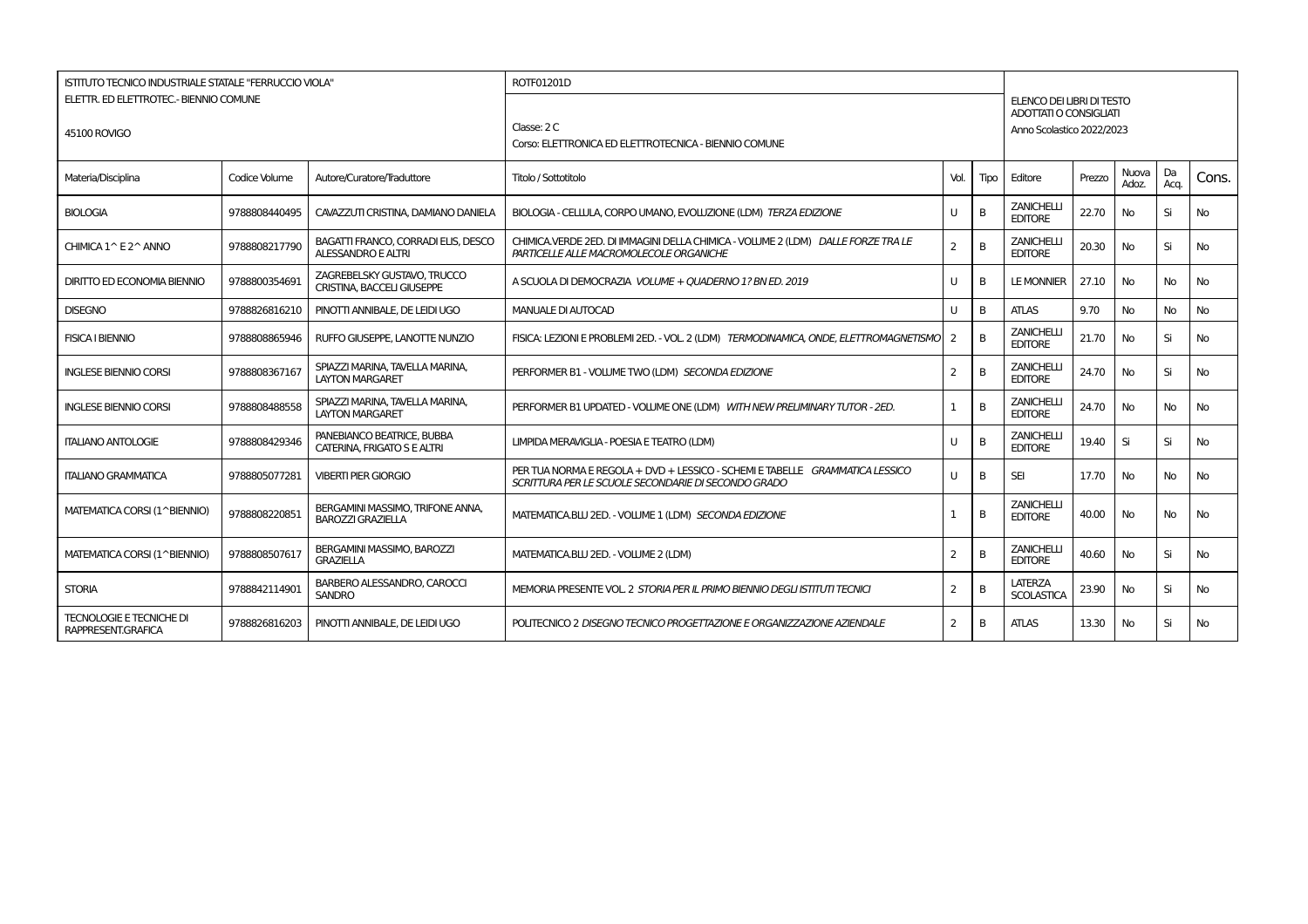| ISTITUTO TECNICO INDUSTRIALE STATALE "FERRUCCIO VIOLA" |               |                                                                  | ROTF01201D                                                                                                                          |                |              |                                                     |        |                |            |           |
|--------------------------------------------------------|---------------|------------------------------------------------------------------|-------------------------------------------------------------------------------------------------------------------------------------|----------------|--------------|-----------------------------------------------------|--------|----------------|------------|-----------|
| ELETTR. ED ELETTROTEC - BIENNIO COMUNE                 |               |                                                                  |                                                                                                                                     |                |              | ELENCO DEI LIBRI DI TESTO<br>ADOTTATI O CONSIGLIATI |        |                |            |           |
| 45100 ROVIGO                                           |               |                                                                  | Classe: 2 C                                                                                                                         |                |              | Anno Scolastico 2022/2023                           |        |                |            |           |
|                                                        |               |                                                                  | Corso: ELETTRONICA ED ELETTROTECNICA - BIENNIO COMUNE                                                                               |                |              |                                                     |        |                |            |           |
| Materia/Disciplina                                     | Codice Volume | Autore/Curatore/Traduttore                                       | Titolo / Sottotitolo                                                                                                                | Vol.           | <b>Tipo</b>  | Editore                                             | Prezzo | Nuova<br>Adoz. | Da<br>Acq. | Cons.     |
| <b>BIOLOGIA</b>                                        | 9788808440495 | CAVAZZUTI CRISTINA, DAMIANO DANIELA                              | BIOLOGIA - CELLULA, CORPO UMANO, EVOLUZIONE (LDM) TERZA EDIZIONE                                                                    | u              | B            | <b>ZANICHELLI</b><br><b>EDITORE</b>                 | 22.70  | No             | Si         | No        |
| CHIMICA 1^ E 2^ ANNO                                   | 9788808217790 | BAGATTI FRANCO, CORRADI ELIS, DESCO<br><b>ALESSANDRO E ALTRI</b> | CHIMICA.VERDE 2ED. DI IMMAGINI DELLA CHIMICA - VOLUME 2 (LDM) DALLE FORZE TRA LE<br>PARTICELLE ALLE MACROMOLECOLE ORGANICHE         | 2              | B            | <b>ZANICHELLI</b><br><b>EDITORE</b>                 | 20.30  | No             | Si         | No        |
| <b>DIRITTO ED ECONOMIA BIENNIO</b>                     | 9788800354691 | ZAGREBELSKY GUSTAVO, TRUCCO<br><b>CRISTINA, BACCELI GIUSEPPE</b> | A SCUOLA DI DEMOCRAZIA VOLUME + QUADERNO 1? BN ED. 2019                                                                             |                | B            | <b>LE MONNIER</b>                                   | 27.10  | No             | No         | No        |
| <b>DISEGNO</b>                                         | 9788826816210 | PINOTTI ANNIBALE, DE LEIDI UGO                                   | MANUALE DI AUTOCAD                                                                                                                  | U              | B            | <b>ATLAS</b>                                        | 9.70   | No             | No         | <b>No</b> |
| <b>FISICA I BIENNIO</b>                                | 9788808865946 | RUFFO GIUSEPPE, LANOTTE NUNZIO                                   | FISICA: LEZIONI E PROBLEMI 2ED. - VOL. 2 (LDM) TERMODINAMICA, ONDE, ELETTROMAGNETISMO                                               | -2             | B            | <b>ZANICHELLI</b><br><b>EDITORE</b>                 | 21.70  | No             | Si         | No        |
| <b>INGLESE BIENNIO CORSI</b>                           | 9788808367167 | SPIAZZI MARINA, TAVELLA MARINA,<br><b>LAYTON MARGARET</b>        | PERFORMER B1 - VOLUME TWO (LDM) SECONDA EDIZIONE                                                                                    | $\overline{2}$ | B            | <b>ZANICHELLI</b><br><b>EDITORE</b>                 | 24.70  | No             | Si         | No        |
| <b>INGLESE BIENNIO CORSI</b>                           | 9788808488558 | SPIAZZI MARINA, TAVELLA MARINA,<br><b>LAYTON MARGARET</b>        | PERFORMER B1 UPDATED - VOLUME ONE (LDM) WITH NEW PRELIMINARY TUTOR - 2ED.                                                           | $\mathbf{1}$   | B            | <b>ZANICHELLI</b><br><b>EDITORE</b>                 | 24.70  | No             | No         | No        |
| <b>ITALIANO ANTOLOGIE</b>                              | 9788808429346 | PANEBIANCO BEATRICE. BUBBA<br>CATERINA, FRIGATO S E ALTRI        | LIMPIDA MERAVIGLIA - POESIA E TEATRO (LDM)                                                                                          |                | B            | <b>ZANICHELLI</b><br><b>EDITORE</b>                 | 19.40  | Si             | Si         | No        |
| <b>ITALIANO GRAMMATICA</b>                             | 9788805077281 | <b>VIBERTI PIER GIORGIO</b>                                      | PER TUA NORMA E REGOLA + DVD + LESSICO - SCHEMI E TABELLE GRAMMATICA LESSICO<br>SCRITTURA PER LE SCUOLE SECONDARIE DI SECONDO GRADO | $\mathbf{U}$   | <sub>B</sub> | <b>SEI</b>                                          | 17.70  | No             | No         | <b>No</b> |
| MATEMATICA CORSI (1^BIENNIO)                           | 9788808220851 | BERGAMINI MASSIMO, TRIFONE ANNA<br><b>BAROZZI GRAZIELLA</b>      | MATEMATICA.BLU 2ED. - VOLUME 1 (LDM) SECONDA EDIZIONE                                                                               |                | B            | <b>ZANICHELLI</b><br><b>EDITORE</b>                 | 40.00  | No             | <b>No</b>  | <b>No</b> |
| MATEMATICA CORSI (1^BIENNIO)                           | 9788808507617 | BERGAMINI MASSIMO, BAROZZI<br><b>GRAZIELLA</b>                   | MATEMATICA.BLU 2ED. - VOLUME 2 (LDM)                                                                                                | 2              | B            | <b>ZANICHELLI</b><br><b>EDITORE</b>                 | 40.60  | No             | Si         | <b>No</b> |
| <b>STORIA</b>                                          | 9788842114901 | BARBERO ALESSANDRO, CAROCCI<br><b>SANDRO</b>                     | MEMORIA PRESENTE VOL. 2 STORIA PER IL PRIMO BIENNIO DEGLI ISTITUTI TECNICI                                                          | $\overline{2}$ | В            | <b>LATERZA</b><br><b>SCOLASTICA</b>                 | 23.90  | No             | Si         | No        |
| <b>TECNOLOGIE E TECNICHE DI</b><br>RAPPRESENT.GRAFICA  | 9788826816203 | PINOTTI ANNIBALE. DE LEIDI UGO                                   | POLITECNICO 2 DISEGNO TECNICO PROGETTAZIONE E ORGANIZZAZIONE AZIENDALE                                                              | 2              | B            | <b>ATLAS</b>                                        | 13.30  | No             | Si         | <b>No</b> |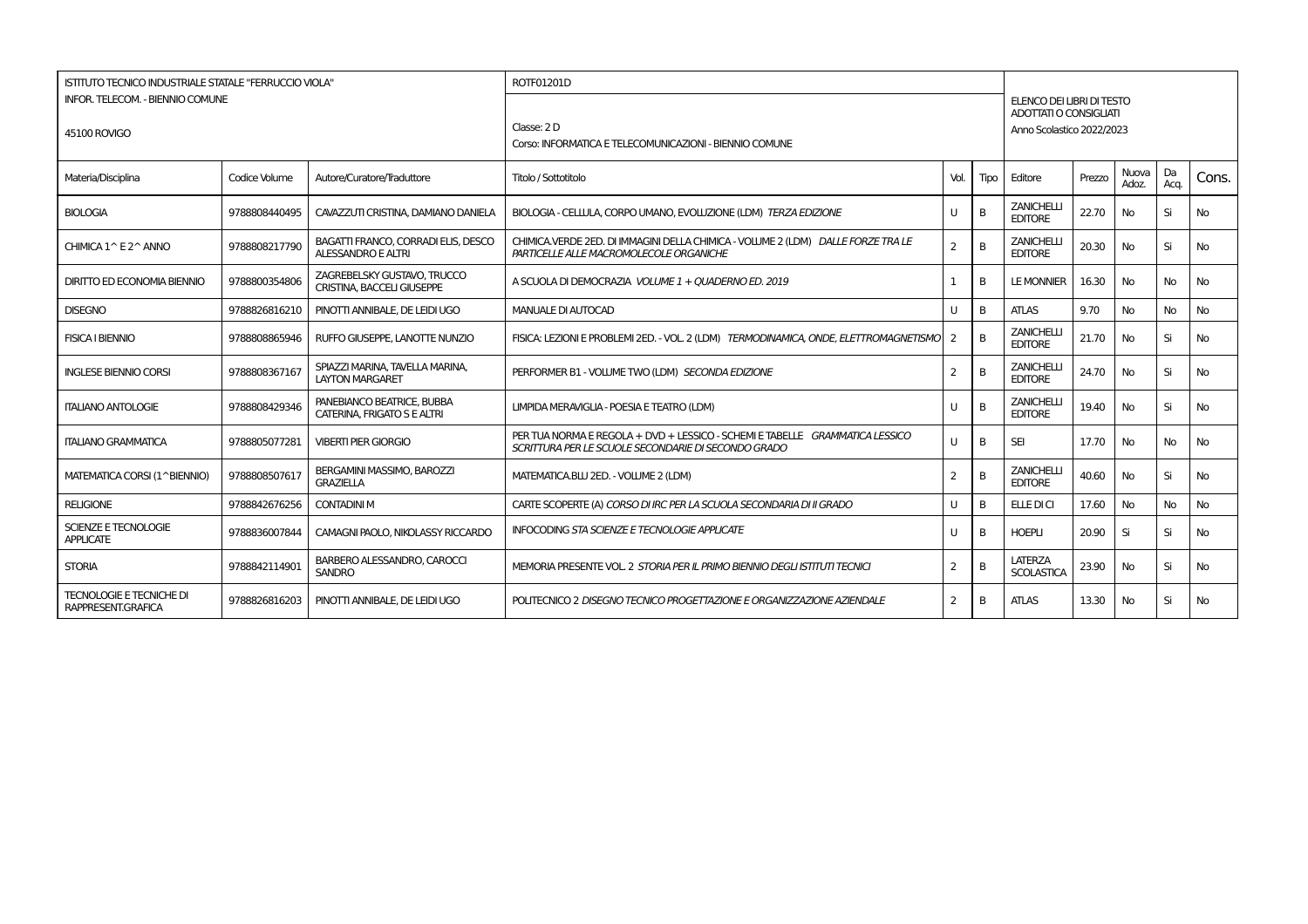| <b>ISTITUTO TECNICO INDUSTRIALE STATALE "FERRUCCIO VIOLA"</b> |               |                                                                  | ROTF01201D                                                                                                                          |                |              |                                                     |        |                |            |           |
|---------------------------------------------------------------|---------------|------------------------------------------------------------------|-------------------------------------------------------------------------------------------------------------------------------------|----------------|--------------|-----------------------------------------------------|--------|----------------|------------|-----------|
| <b>INFOR. TELECOM. - BIENNIO COMUNE</b>                       |               |                                                                  |                                                                                                                                     |                |              | ELENCO DEI LIBRI DI TESTO                           |        |                |            |           |
| 45100 ROVIGO                                                  |               |                                                                  | Classe: 2 D                                                                                                                         |                |              | ADOTTATI O CONSIGLIATI<br>Anno Scolastico 2022/2023 |        |                |            |           |
|                                                               |               |                                                                  | Corso: INFORMATICA E TELECOMUNICAZIONI - BIENNIO COMUNE                                                                             |                |              |                                                     |        |                |            |           |
| Materia/Disciplina                                            | Codice Volume | Autore/Curatore/Traduttore                                       | Titolo / Sottotitolo                                                                                                                | Vol.           | Tipo         | Editore                                             | Prezzo | Nuova<br>Adoz. | Da<br>Aca. | Cons.     |
| <b>BIOLOGIA</b>                                               | 9788808440495 | CAVAZZUTI CRISTINA, DAMIANO DANIELA                              | BIOLOGIA - CELLULA, CORPO UMANO, EVOLUZIONE (LDM) TERZA EDIZIONE                                                                    |                | B            | <b>ZANICHELLI</b><br><b>EDITORE</b>                 | 22.70  | No             | Si         | No        |
| CHIMICA 1^ E 2^ ANNO                                          | 9788808217790 | BAGATTI FRANCO, CORRADI ELIS, DESCO<br><b>ALESSANDRO E ALTRI</b> | CHIMICA.VERDE 2ED. DI IMMAGINI DELLA CHIMICA - VOLUME 2 (LDM) DALLE FORZE TRA LE<br>PARTICELLE ALLE MACROMOLECOLE ORGANICHE         | 2              | B            | <b>ZANICHELLI</b><br><b>EDITORE</b>                 | 20.30  | No             | Si         | No        |
| <b>DIRITTO ED ECONOMIA BIENNIO</b>                            | 9788800354806 | ZAGREBELSKY GUSTAVO. TRUCCO<br><b>CRISTINA, BACCELI GIUSEPPE</b> | A SCUOLA DI DEMOCRAZIA VOLUME 1 + OUADERNO ED. 2019                                                                                 |                | B            | <b>LE MONNIER</b>                                   | 16.30  | No             | No         | No        |
| <b>DISEGNO</b>                                                | 9788826816210 | PINOTTI ANNIBALE. DE LEIDI UGO                                   | MANUALE DI AUTOCAD                                                                                                                  |                | B            | <b>ATLAS</b>                                        | 9.70   | No             | No         | <b>No</b> |
| <b>FISICA I BIENNIO</b>                                       | 9788808865946 | RUFFO GIUSEPPE. LANOTTE NUNZIO                                   | FISICA: LEZIONI E PROBLEMI 2ED. - VOL. 2 (LDM) TERMODINAMICA, ONDE, ELETTROMAGNETISMO                                               |                | B            | <b>ZANICHELLI</b><br><b>EDITORE</b>                 | 21.70  | No             | Si         | No.       |
| <b>INGLESE BIENNIO CORSI</b>                                  | 9788808367167 | SPIAZZI MARINA, TAVELLA MARINA,<br><b>LAYTON MARGARET</b>        | PERFORMER B1 - VOLUME TWO (LDM) SECONDA EDIZIONE                                                                                    | 2              | B            | <b>ZANICHELLI</b><br><b>EDITORE</b>                 | 24.70  | No             | Si         | No        |
| <b>ITALIANO ANTOLOGIE</b>                                     | 9788808429346 | PANEBIANCO BEATRICE, BUBBA<br>CATERINA, FRIGATO S E ALTRI        | LIMPIDA MERAVIGLIA - POESIA E TEATRO (LDM)                                                                                          |                | B            | <b>ZANICHELLI</b><br><b>EDITORE</b>                 | 19.40  | <b>No</b>      | Si         | <b>No</b> |
| <b>ITALIANO GRAMMATICA</b>                                    | 9788805077281 | <b>VIBERTI PIER GIORGIO</b>                                      | PER TUA NORMA E REGOLA + DVD + LESSICO - SCHEMI E TABELLE GRAMMATICA LESSICO<br>SCRITTURA PER LE SCUOLE SECONDARIE DI SECONDO GRADO |                | B            | <b>SEI</b>                                          | 17.70  | No.            | <b>No</b>  | <b>No</b> |
| MATEMATICA CORSI (1^BIENNIO)                                  | 9788808507617 | BERGAMINI MASSIMO, BAROZZI<br><b>GRAZIELLA</b>                   | MATEMATICA.BLU 2ED. - VOLUME 2 (LDM)                                                                                                | $\overline{2}$ | B            | <b>ZANICHELLI</b><br><b>EDITORE</b>                 | 40.60  | No             | Si         | <b>No</b> |
| <b>RELIGIONE</b>                                              | 9788842676256 | <b>CONTADINI M</b>                                               | CARTE SCOPERTE (A) CORSO DI IRC PER LA SCUOLA SECONDARIA DI II GRADO                                                                |                | <sub>B</sub> | ELLE DI CI                                          | 17.60  | <b>No</b>      | <b>No</b>  | <b>No</b> |
| SCIENZE E TECNOLOGIE<br><b>APPLICATE</b>                      | 9788836007844 | CAMAGNI PAOLO, NIKOLASSY RICCARDO                                | <b>INFOCODING STA SCIENZE E TECNOLOGIE APPLICATE</b>                                                                                | U              | B            | <b>HOEPLI</b>                                       | 20.90  | Si             | Si         | <b>No</b> |
| <b>STORIA</b>                                                 | 9788842114901 | BARBERO ALESSANDRO, CAROCCI<br><b>SANDRO</b>                     | MEMORIA PRESENTE VOL. 2 STORIA PER IL PRIMO BIENNIO DEGLI ISTITUTI TECNICI                                                          | 2              | B            | LATERZA<br><b>SCOLASTICA</b>                        | 23.90  | No             | Si         | <b>No</b> |
| <b>TECNOLOGIE E TECNICHE DI</b><br>RAPPRESENT.GRAFICA         | 9788826816203 | PINOTTI ANNIBALE. DE LEIDI UGO                                   | POLITECNICO 2 <i>DISEGNO TECNICO PROGETTAZIONE E ORGANIZZAZIONE AZIENDALE</i>                                                       | 2              | B            | <b>ATLAS</b>                                        | 13.30  | No             | Si         | No        |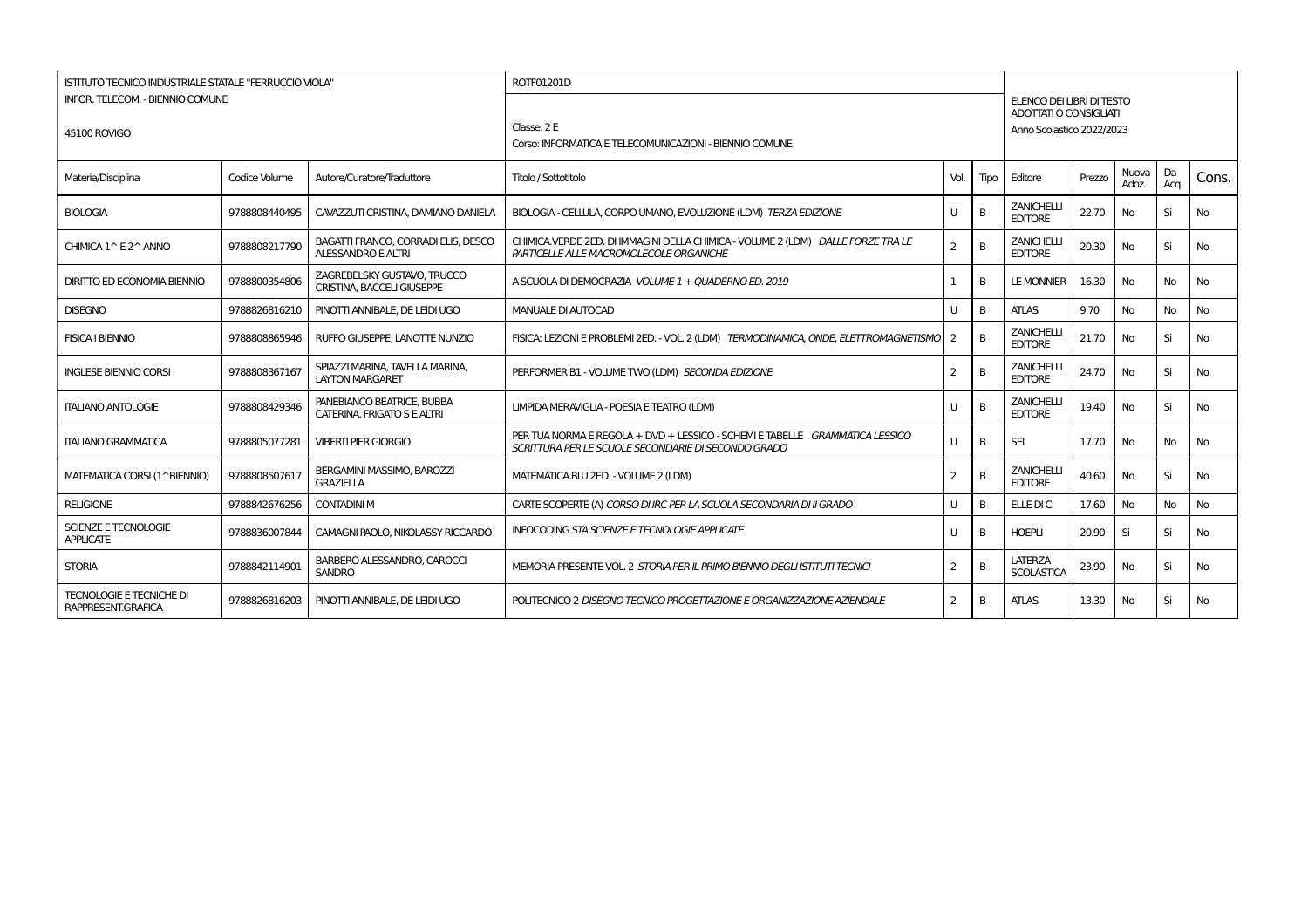| <b>ISTITUTO TECNICO INDUSTRIALE STATALE "FERRUCCIO VIOLA"</b> |               |                                                                  | ROTF01201D                                                                                                                          |                |              |                                                     |        |                |            |           |
|---------------------------------------------------------------|---------------|------------------------------------------------------------------|-------------------------------------------------------------------------------------------------------------------------------------|----------------|--------------|-----------------------------------------------------|--------|----------------|------------|-----------|
| <b>INFOR. TELECOM. - BIENNIO COMUNE</b>                       |               |                                                                  |                                                                                                                                     |                |              | ELENCO DEI LIBRI DI TESTO                           |        |                |            |           |
| 45100 ROVIGO                                                  |               |                                                                  | Classe: 2 E                                                                                                                         |                |              | ADOTTATI O CONSIGLIATI<br>Anno Scolastico 2022/2023 |        |                |            |           |
|                                                               |               |                                                                  | Corso: INFORMATICA E TELECOMUNICAZIONI - BIENNIO COMUNE                                                                             |                |              |                                                     |        |                |            |           |
| Materia/Disciplina                                            | Codice Volume | Autore/Curatore/Traduttore                                       | Titolo / Sottotitolo                                                                                                                | Vol.           | Tipo         | Editore                                             | Prezzo | Nuova<br>Adoz. | Da<br>Aca. | Cons.     |
| <b>BIOLOGIA</b>                                               | 9788808440495 | CAVAZZUTI CRISTINA, DAMIANO DANIELA                              | BIOLOGIA - CELLULA, CORPO UMANO, EVOLUZIONE (LDM) TERZA EDIZIONE                                                                    |                | B            | <b>ZANICHELLI</b><br><b>EDITORE</b>                 | 22.70  | No             | Si         | No        |
| CHIMICA 1^ E 2^ ANNO                                          | 9788808217790 | BAGATTI FRANCO, CORRADI ELIS, DESCO<br><b>ALESSANDRO E ALTRI</b> | CHIMICA.VERDE 2ED. DI IMMAGINI DELLA CHIMICA - VOLUME 2 (LDM) DALLE FORZE TRA LE<br>PARTICELLE ALLE MACROMOLECOLE ORGANICHE         | 2              | B            | <b>ZANICHELLI</b><br><b>EDITORE</b>                 | 20.30  | No             | Si         | No        |
| <b>DIRITTO ED ECONOMIA BIENNIO</b>                            | 9788800354806 | ZAGREBELSKY GUSTAVO. TRUCCO<br><b>CRISTINA, BACCELI GIUSEPPE</b> | A SCUOLA DI DEMOCRAZIA VOLUME 1 + OUADERNO ED. 2019                                                                                 |                | B            | <b>LE MONNIER</b>                                   | 16.30  | No             | No         | No        |
| <b>DISEGNO</b>                                                | 9788826816210 | PINOTTI ANNIBALE. DE LEIDI UGO                                   | MANUALE DI AUTOCAD                                                                                                                  |                | B            | <b>ATLAS</b>                                        | 9.70   | No             | No         | <b>No</b> |
| <b>FISICA I BIENNIO</b>                                       | 9788808865946 | RUFFO GIUSEPPE. LANOTTE NUNZIO                                   | FISICA: LEZIONI E PROBLEMI 2ED. - VOL. 2 (LDM) TERMODINAMICA, ONDE, ELETTROMAGNETISMO                                               |                | B            | <b>ZANICHELLI</b><br><b>EDITORE</b>                 | 21.70  | No             | Si         | No.       |
| <b>INGLESE BIENNIO CORSI</b>                                  | 9788808367167 | SPIAZZI MARINA, TAVELLA MARINA,<br><b>LAYTON MARGARET</b>        | PERFORMER B1 - VOLUME TWO (LDM) SECONDA EDIZIONE                                                                                    | 2              | B            | <b>ZANICHELLI</b><br><b>EDITORE</b>                 | 24.70  | No             | Si         | No        |
| <b>ITALIANO ANTOLOGIE</b>                                     | 9788808429346 | PANEBIANCO BEATRICE, BUBBA<br>CATERINA, FRIGATO S E ALTRI        | LIMPIDA MERAVIGLIA - POESIA E TEATRO (LDM)                                                                                          | U              | B            | <b>ZANICHELLI</b><br><b>EDITORE</b>                 | 19.40  | <b>No</b>      | Si         | <b>No</b> |
| <b>ITALIANO GRAMMATICA</b>                                    | 9788805077281 | <b>VIBERTI PIER GIORGIO</b>                                      | PER TUA NORMA E REGOLA + DVD + LESSICO - SCHEMI E TABELLE GRAMMATICA LESSICO<br>SCRITTURA PER LE SCUOLE SECONDARIE DI SECONDO GRADO |                | B            | <b>SEI</b>                                          | 17.70  | No.            | <b>No</b>  | <b>No</b> |
| MATEMATICA CORSI (1^BIENNIO)                                  | 9788808507617 | BERGAMINI MASSIMO, BAROZZI<br><b>GRAZIELLA</b>                   | MATEMATICA.BLU 2ED. - VOLUME 2 (LDM)                                                                                                | $\overline{2}$ | B            | <b>ZANICHELLI</b><br><b>EDITORE</b>                 | 40.60  | No             | Si         | <b>No</b> |
| <b>RELIGIONE</b>                                              | 9788842676256 | <b>CONTADINI M</b>                                               | CARTE SCOPERTE (A) CORSO DI IRC PER LA SCUOLA SECONDARIA DI II GRADO                                                                |                | <sub>B</sub> | ELLE DI CI                                          | 17.60  | <b>No</b>      | <b>No</b>  | <b>No</b> |
| SCIENZE E TECNOLOGIE<br><b>APPLICATE</b>                      | 9788836007844 | CAMAGNI PAOLO, NIKOLASSY RICCARDO                                | <b>INFOCODING STA SCIENZE E TECNOLOGIE APPLICATE</b>                                                                                | U              | B            | <b>HOEPLI</b>                                       | 20.90  | Si             | Si         | <b>No</b> |
| <b>STORIA</b>                                                 | 9788842114901 | BARBERO ALESSANDRO, CAROCCI<br><b>SANDRO</b>                     | MEMORIA PRESENTE VOL. 2 STORIA PER IL PRIMO BIENNIO DEGLI ISTITUTI TECNICI                                                          | 2              | B            | LATERZA<br><b>SCOLASTICA</b>                        | 23.90  | No             | Si         | <b>No</b> |
| <b>TECNOLOGIE E TECNICHE DI</b><br>RAPPRESENT.GRAFICA         | 9788826816203 | PINOTTI ANNIBALE. DE LEIDI UGO                                   | POLITECNICO 2 <i>DISEGNO TECNICO PROGETTAZIONE E ORGANIZZAZIONE AZIENDALE</i>                                                       | 2              | B            | <b>ATLAS</b>                                        | 13.30  | No             | Si         | No        |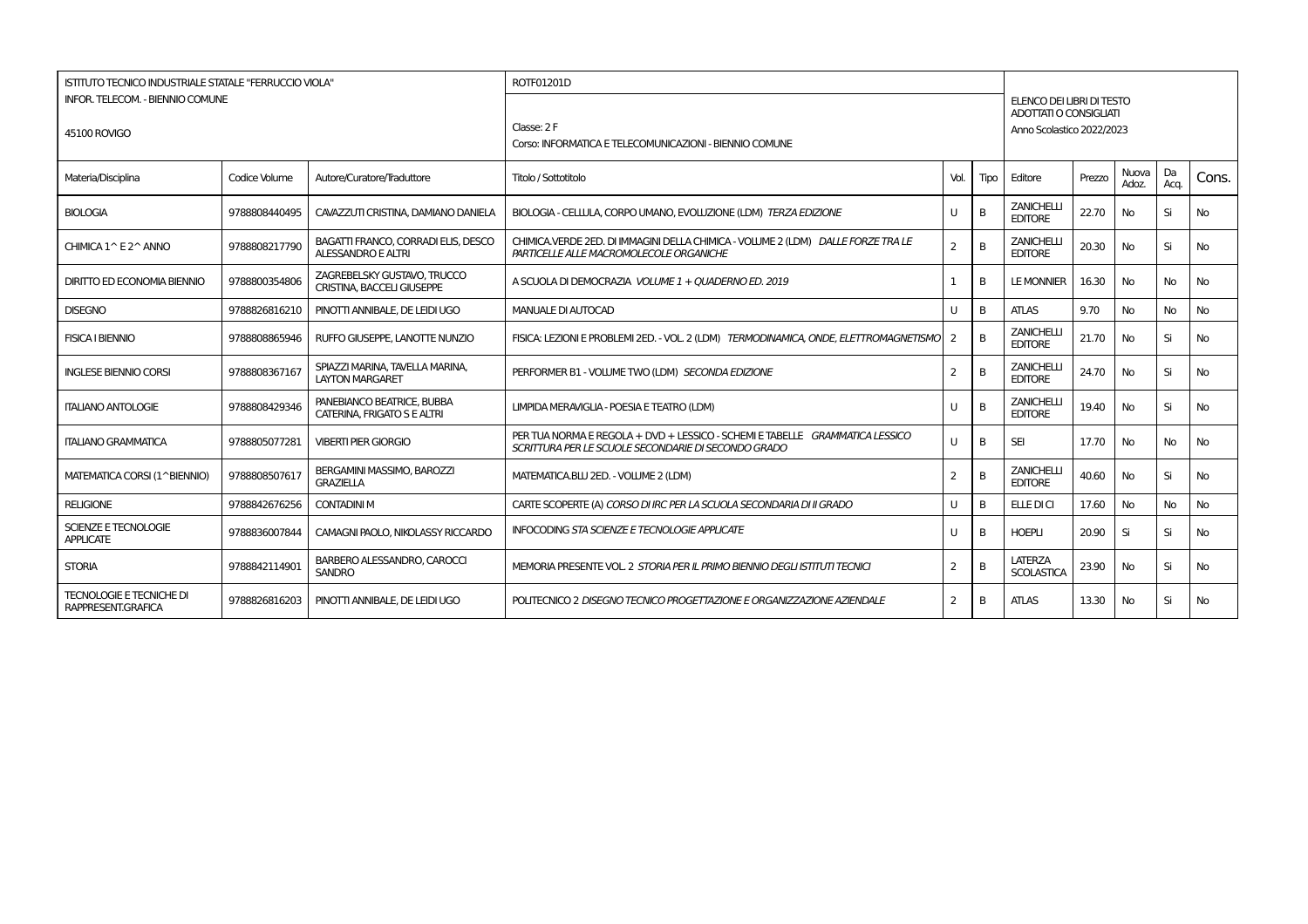| <b>ISTITUTO TECNICO INDUSTRIALE STATALE "FERRUCCIO VIOLA"</b> |               |                                                                  | ROTF01201D                                                                                                                          |                |              |                                                     |        |                |            |           |
|---------------------------------------------------------------|---------------|------------------------------------------------------------------|-------------------------------------------------------------------------------------------------------------------------------------|----------------|--------------|-----------------------------------------------------|--------|----------------|------------|-----------|
| <b>INFOR. TELECOM. - BIENNIO COMUNE</b>                       |               |                                                                  |                                                                                                                                     |                |              | ELENCO DEI LIBRI DI TESTO                           |        |                |            |           |
| 45100 ROVIGO                                                  |               |                                                                  | Classe: 2 F                                                                                                                         |                |              | ADOTTATI O CONSIGLIATI<br>Anno Scolastico 2022/2023 |        |                |            |           |
|                                                               |               |                                                                  | Corso: INFORMATICA E TELECOMUNICAZIONI - BIENNIO COMUNE                                                                             |                |              |                                                     |        |                |            |           |
| Materia/Disciplina                                            | Codice Volume | Autore/Curatore/Traduttore                                       | Titolo / Sottotitolo                                                                                                                | Vol.           | Tipo         | Editore                                             | Prezzo | Nuova<br>Adoz. | Da<br>Aca. | Cons.     |
| <b>BIOLOGIA</b>                                               | 9788808440495 | CAVAZZUTI CRISTINA, DAMIANO DANIELA                              | BIOLOGIA - CELLULA, CORPO UMANO, EVOLUZIONE (LDM) TERZA EDIZIONE                                                                    |                | B            | <b>ZANICHELLI</b><br><b>EDITORE</b>                 | 22.70  | No             | Si         | No        |
| CHIMICA 1^ E 2^ ANNO                                          | 9788808217790 | BAGATTI FRANCO, CORRADI ELIS, DESCO<br><b>ALESSANDRO E ALTRI</b> | CHIMICA.VERDE 2ED. DI IMMAGINI DELLA CHIMICA - VOLUME 2 (LDM) DALLE FORZE TRA LE<br>PARTICELLE ALLE MACROMOLECOLE ORGANICHE         | 2              | B            | <b>ZANICHELLI</b><br><b>EDITORE</b>                 | 20.30  | No             | Si         | No        |
| <b>DIRITTO ED ECONOMIA BIENNIO</b>                            | 9788800354806 | ZAGREBELSKY GUSTAVO. TRUCCO<br><b>CRISTINA, BACCELI GIUSEPPE</b> | A SCUOLA DI DEMOCRAZIA VOLUME 1 + OUADERNO ED. 2019                                                                                 |                | B            | <b>LE MONNIER</b>                                   | 16.30  | No             | No         | No        |
| <b>DISEGNO</b>                                                | 9788826816210 | PINOTTI ANNIBALE. DE LEIDI UGO                                   | MANUALE DI AUTOCAD                                                                                                                  |                | B            | <b>ATLAS</b>                                        | 9.70   | No             | No         | <b>No</b> |
| <b>FISICA I BIENNIO</b>                                       | 9788808865946 | RUFFO GIUSEPPE. LANOTTE NUNZIO                                   | FISICA: LEZIONI E PROBLEMI 2ED. - VOL. 2 (LDM) TERMODINAMICA, ONDE, ELETTROMAGNETISMO                                               |                | B            | <b>ZANICHELLI</b><br><b>EDITORE</b>                 | 21.70  | No             | Si         | No.       |
| <b>INGLESE BIENNIO CORSI</b>                                  | 9788808367167 | SPIAZZI MARINA, TAVELLA MARINA,<br><b>LAYTON MARGARET</b>        | PERFORMER B1 - VOLUME TWO (LDM) SECONDA EDIZIONE                                                                                    | 2              | B            | <b>ZANICHELLI</b><br><b>EDITORE</b>                 | 24.70  | No             | Si         | No        |
| <b>ITALIANO ANTOLOGIE</b>                                     | 9788808429346 | PANEBIANCO BEATRICE, BUBBA<br>CATERINA, FRIGATO S E ALTRI        | LIMPIDA MERAVIGLIA - POESIA E TEATRO (LDM)                                                                                          |                | B            | <b>ZANICHELLI</b><br><b>EDITORE</b>                 | 19.40  | <b>No</b>      | Si         | <b>No</b> |
| <b>ITALIANO GRAMMATICA</b>                                    | 9788805077281 | <b>VIBERTI PIER GIORGIO</b>                                      | PER TUA NORMA E REGOLA + DVD + LESSICO - SCHEMI E TABELLE GRAMMATICA LESSICO<br>SCRITTURA PER LE SCUOLE SECONDARIE DI SECONDO GRADO |                | B            | <b>SEI</b>                                          | 17.70  | No.            | <b>No</b>  | <b>No</b> |
| MATEMATICA CORSI (1^BIENNIO)                                  | 9788808507617 | BERGAMINI MASSIMO, BAROZZI<br><b>GRAZIELLA</b>                   | MATEMATICA.BLU 2ED. - VOLUME 2 (LDM)                                                                                                | $\overline{2}$ | B            | <b>ZANICHELLI</b><br><b>EDITORE</b>                 | 40.60  | No             | Si         | <b>No</b> |
| <b>RELIGIONE</b>                                              | 9788842676256 | <b>CONTADINI M</b>                                               | CARTE SCOPERTE (A) CORSO DI IRC PER LA SCUOLA SECONDARIA DI II GRADO                                                                |                | <sub>B</sub> | ELLE DI CI                                          | 17.60  | <b>No</b>      | <b>No</b>  | <b>No</b> |
| SCIENZE E TECNOLOGIE<br><b>APPLICATE</b>                      | 9788836007844 | CAMAGNI PAOLO, NIKOLASSY RICCARDO                                | <b>INFOCODING STA SCIENZE E TECNOLOGIE APPLICATE</b>                                                                                | U              | B            | <b>HOEPLI</b>                                       | 20.90  | Si             | Si         | <b>No</b> |
| <b>STORIA</b>                                                 | 9788842114901 | BARBERO ALESSANDRO, CAROCCI<br><b>SANDRO</b>                     | MEMORIA PRESENTE VOL. 2 STORIA PER IL PRIMO BIENNIO DEGLI ISTITUTI TECNICI                                                          | 2              | B            | LATERZA<br><b>SCOLASTICA</b>                        | 23.90  | No             | Si         | <b>No</b> |
| <b>TECNOLOGIE E TECNICHE DI</b><br>RAPPRESENT.GRAFICA         | 9788826816203 | PINOTTI ANNIBALE. DE LEIDI UGO                                   | POLITECNICO 2 <i>DISEGNO TECNICO PROGETTAZIONE E ORGANIZZAZIONE AZIENDALE</i>                                                       | 2              | B            | <b>ATLAS</b>                                        | 13.30  | No             | Si         | No        |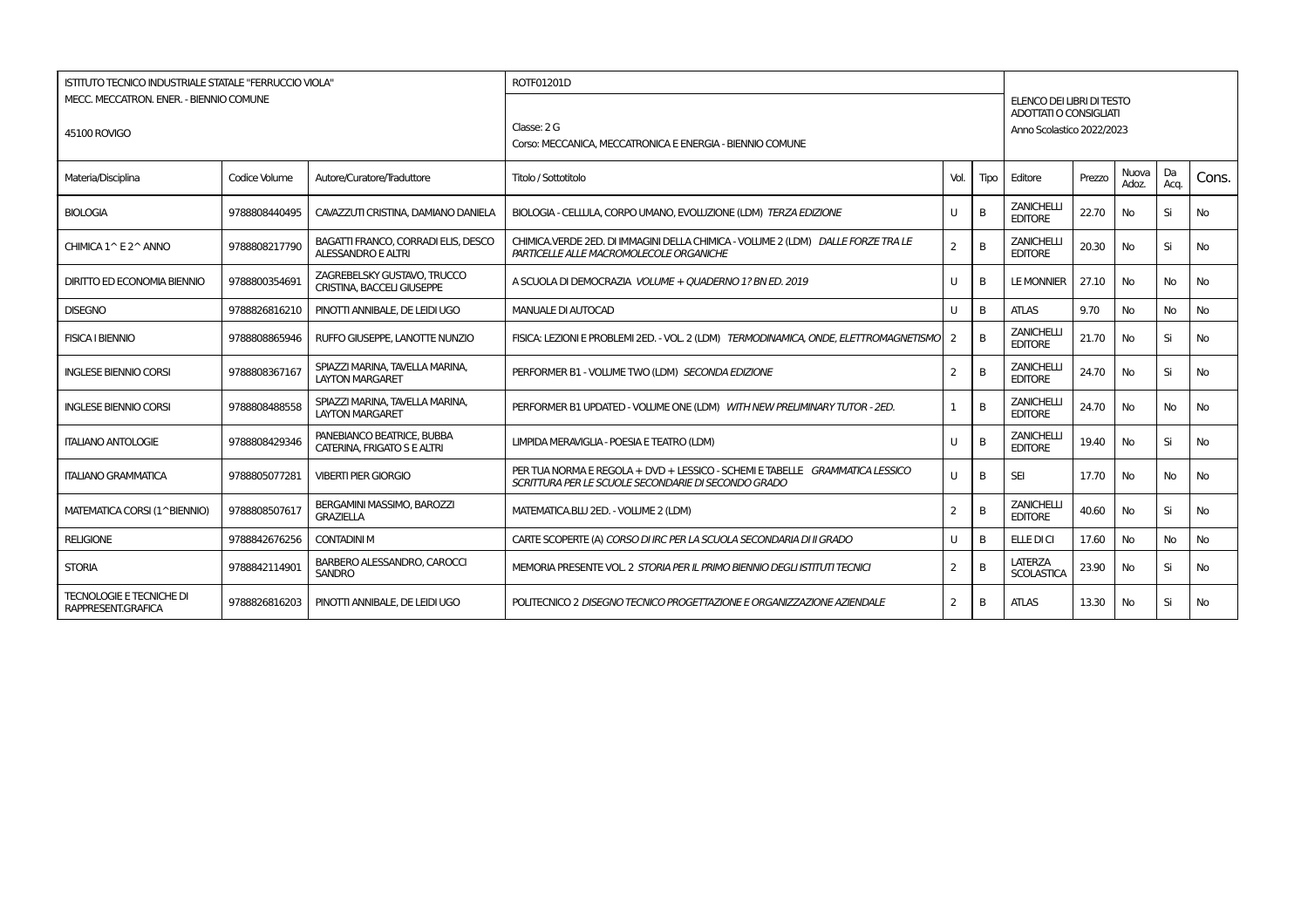| ISTITUTO TECNICO INDUSTRIALE STATALE "FERRUCCIO VIOLA" |               |                                                                  | ROTF01201D                                                                                                                          |              |              |                                                     |        |                |            |           |
|--------------------------------------------------------|---------------|------------------------------------------------------------------|-------------------------------------------------------------------------------------------------------------------------------------|--------------|--------------|-----------------------------------------------------|--------|----------------|------------|-----------|
| MECC. MECCATRON. ENER. - BIENNIO COMUNE                |               |                                                                  |                                                                                                                                     |              |              | ELENCO DEI LIBRI DI TESTO<br>ADOTTATI O CONSIGLIATI |        |                |            |           |
| 45100 ROVIGO                                           |               |                                                                  | Classe: 2 G                                                                                                                         |              |              | Anno Scolastico 2022/2023                           |        |                |            |           |
|                                                        |               |                                                                  | Corso: MECCANICA, MECCATRONICA E ENERGIA - BIENNIO COMUNE                                                                           |              |              |                                                     |        |                |            |           |
| Materia/Disciplina                                     | Codice Volume | Autore/Curatore/Traduttore                                       | Titolo / Sottotitolo                                                                                                                | Vol.         | <b>Tipo</b>  | Editore                                             | Prezzo | Nuova<br>Adoz. | Da<br>Acq. | Cons.     |
| <b>BIOLOGIA</b>                                        | 9788808440495 | CAVAZZUTI CRISTINA, DAMIANO DANIELA                              | BIOLOGIA - CELLULA, CORPO UMANO, EVOLUZIONE (LDM) TERZA EDIZIONE                                                                    |              | B            | <b>ZANICHELLI</b><br><b>EDITORE</b>                 | 22.70  | No             | Si         | No        |
| CHIMICA 1 ^ E 2 ^ ANNO                                 | 9788808217790 | BAGATTI FRANCO, CORRADI ELIS, DESCO<br>ALESSANDRO E ALTRI        | CHIMICA.VERDE 2ED. DI IMMAGINI DELLA CHIMICA - VOLUME 2 (LDM) DALLE FORZE TRA LE<br>PARTICELLE ALLE MACROMOLECOLE ORGANICHE         | 2            | B            | <b>ZANICHELLI</b><br><b>EDITORE</b>                 | 20.30  | No             | Si         | No        |
| <b>DIRITTO ED ECONOMIA BIENNIO</b>                     | 9788800354691 | ZAGREBELSKY GUSTAVO. TRUCCO<br><b>CRISTINA, BACCELI GIUSEPPE</b> | A SCUOLA DI DEMOCRAZIA VOLUME + QUADERNO 1? BN ED. 2019                                                                             | Ħ            | B            | <b>LE MONNIER</b>                                   | 27.10  | No             | <b>No</b>  | No        |
| <b>DISEGNO</b>                                         | 9788826816210 | PINOTTI ANNIBALE. DE LEIDI UGO                                   | <b>MANUALE DI AUTOCAD</b>                                                                                                           |              | B            | <b>ATLAS</b>                                        | 9.70   | No             | No         | <b>No</b> |
| <b>FISICA I BIENNIO</b>                                | 9788808865946 | RUFFO GIUSEPPE. LANOTTE NUNZIO                                   | FISICA: LEZIONI E PROBLEMI 2ED. - VOL. 2 (LDM) TERMODINAMICA, ONDE, ELETTROMAGNETISMO                                               |              | B            | <b>ZANICHELLI</b><br><b>EDITORE</b>                 | 21.70  | No             | Si         | No.       |
| <b>INGLESE BIENNIO CORSI</b>                           | 9788808367167 | SPIAZZI MARINA, TAVELLA MARINA,<br><b>LAYTON MARGARET</b>        | PERFORMER B1 - VOLUME TWO (LDM) SECONDA EDIZIONE                                                                                    | 2            | B            | <b>ZANICHELLI</b><br><b>EDITORE</b>                 | 24.70  | No             | Si         | No        |
| <b>INGLESE BIENNIO CORSI</b>                           | 9788808488558 | SPIAZZI MARINA, TAVELLA MARINA,<br><b>LAYTON MARGARET</b>        | PERFORMER B1 UPDATED - VOLUME ONE (LDM) WITH NEW PRELIMINARY TUTOR - 2ED.                                                           |              | B            | <b>ZANICHELLI</b><br><b>EDITORE</b>                 | 24.70  | No             | <b>No</b>  | No.       |
| <b>ITALIANO ANTOLOGIE</b>                              | 9788808429346 | PANEBIANCO BEATRICE, BUBBA<br>CATERINA, FRIGATO S E ALTRI        | LIMPIDA MERAVIGLIA - POESIA E TEATRO (LDM)                                                                                          |              | B            | <b>ZANICHELLI</b><br><b>EDITORE</b>                 | 19.40  | No             | Si         | No.       |
| <b>ITALIANO GRAMMATICA</b>                             | 9788805077281 | <b>VIBERTI PIER GIORGIO</b>                                      | PER TUA NORMA E REGOLA + DVD + LESSICO - SCHEMI E TABELLE GRAMMATICA LESSICO<br>SCRITTURA PER LE SCUOLE SECONDARIE DI SECONDO GRADO | $\mathbf{H}$ | <sub>B</sub> | <b>SEI</b>                                          | 17.70  | No             | No         | <b>No</b> |
| MATEMATICA CORSI (1^BIENNIO)                           | 9788808507617 | BERGAMINI MASSIMO, BAROZZI<br><b>GRAZIELLA</b>                   | MATEMATICA.BLU 2ED. - VOLUME 2 (LDM)                                                                                                | 2            | B            | <b>ZANICHELLI</b><br><b>EDITORE</b>                 | 40.60  | No             | Si         | No        |
| <b>RELIGIONE</b>                                       | 9788842676256 | <b>CONTADINI M</b>                                               | CARTE SCOPERTE (A) CORSO DI IRC PER LA SCUOLA SECONDARIA DI II GRADO                                                                |              | <sub>B</sub> | <b>ELLE DI CI</b>                                   | 17.60  | <b>No</b>      | <b>No</b>  | <b>No</b> |
| <b>STORIA</b>                                          | 9788842114901 | BARBERO ALESSANDRO, CAROCCI<br><b>SANDRO</b>                     | MEMORIA PRESENTE VOL. 2 STORIA PER IL PRIMO BIENNIO DEGLI ISTITUTI TECNICI                                                          | 2            | B            | <b>LATERZA</b><br><b>SCOLASTICA</b>                 | 23.90  | <b>No</b>      | Si         | No        |
| <b>TECNOLOGIE E TECNICHE DI</b><br>RAPPRESENT.GRAFICA  | 9788826816203 | PINOTTI ANNIBALE. DE LEIDI UGO                                   | POLITECNICO 2 DISEGNO TECNICO PROGETTAZIONE E ORGANIZZAZIONE AZIENDALE                                                              | 2            | B            | <b>ATLAS</b>                                        | 13.30  | No             | Si         | No        |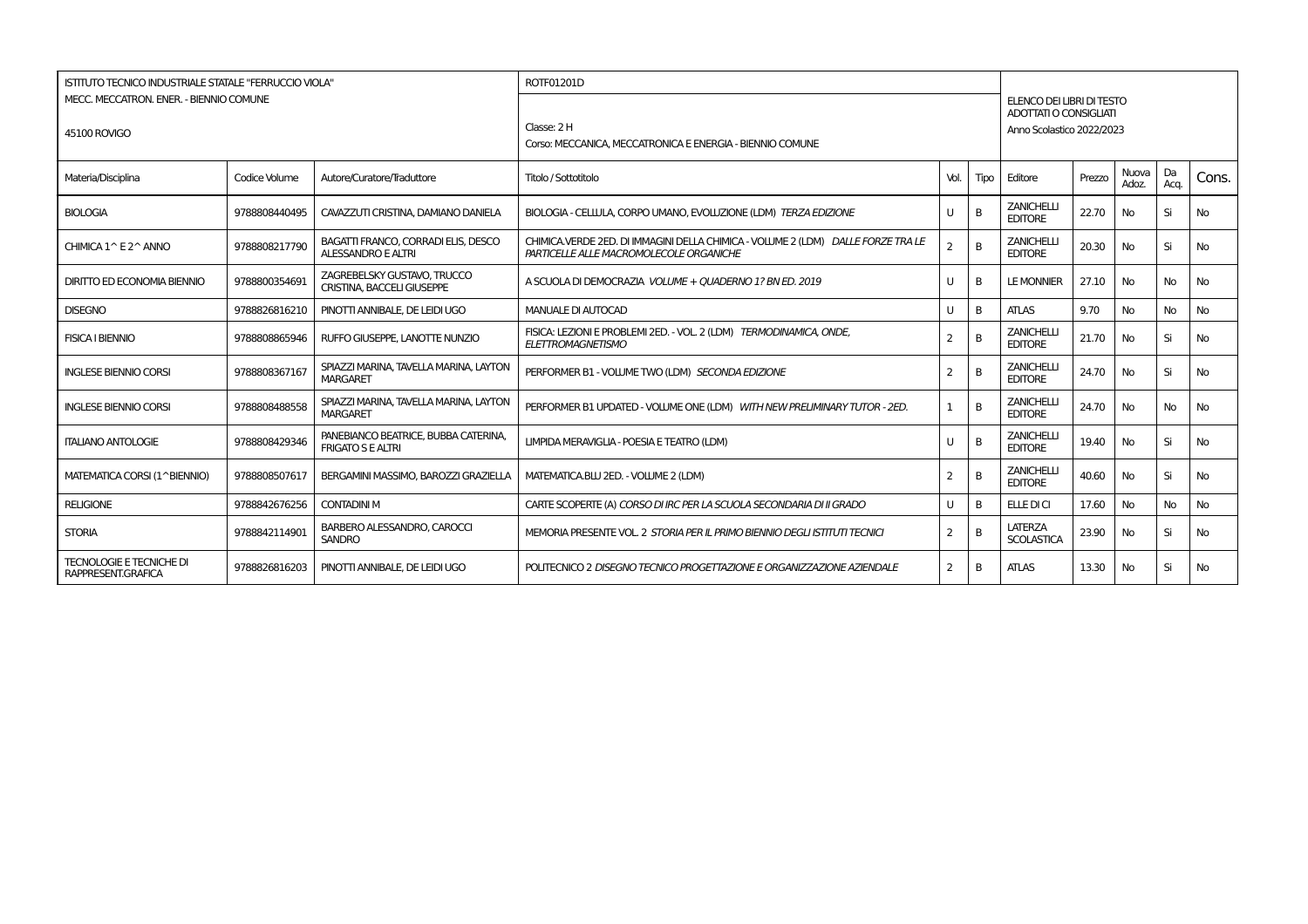| <b>ISTITUTO TECNICO INDUSTRIALE STATALE "FERRUCCIO VIOLA"</b> |               |                                                                  | ROTF01201D                                                                                                                  |                |      |                                                                                  |        |                |            |           |
|---------------------------------------------------------------|---------------|------------------------------------------------------------------|-----------------------------------------------------------------------------------------------------------------------------|----------------|------|----------------------------------------------------------------------------------|--------|----------------|------------|-----------|
| MECC. MECCATRON. ENER. - BIENNIO COMUNE<br>45100 ROVIGO       |               |                                                                  | Classe: 2 H<br>Corso: MECCANICA, MECCATRONICA E ENERGIA - BIENNIO COMUNE                                                    |                |      | ELENCO DEI LIBRI DI TESTO<br>ADOTTATI O CONSIGLIATI<br>Anno Scolastico 2022/2023 |        |                |            |           |
| Materia/Disciplina                                            | Codice Volume | Autore/Curatore/Traduttore                                       | Titolo / Sottotitolo                                                                                                        | Vol.           | Tipo | Editore                                                                          | Prezzo | Nuova<br>Adoz. | Da<br>Acq. | Cons.     |
| <b>BIOLOGIA</b>                                               | 9788808440495 | CAVAZZUTI CRISTINA, DAMIANO DANIELA                              | BIOLOGIA - CELLULA, CORPO UMANO, EVOLUZIONE (LDM) TERZA EDIZIONE                                                            | U              | B    | <b>ZANICHELLI</b><br><b>EDITORE</b>                                              | 22.70  | No             | Si         | No        |
| CHIMICA 1^ E 2^ ANNO                                          | 9788808217790 | BAGATTI FRANCO, CORRADI ELIS, DESCO<br>ALESSANDRO E ALTRI        | CHIMICA.VERDE 2ED. DI IMMAGINI DELLA CHIMICA - VOLUME 2 (LDM) DALLE FORZE TRA LE<br>PARTICELLE ALLE MACROMOLECOLE ORGANICHE | 2              | B    | <b>ZANICHELLI</b><br><b>EDITORE</b>                                              | 20.30  | <b>No</b>      | Si         | <b>No</b> |
| <b>DIRITTO ED ECONOMIA BIENNIO</b>                            | 9788800354691 | ZAGREBELSKY GUSTAVO. TRUCCO<br><b>CRISTINA, BACCELI GIUSEPPE</b> | A SCUOLA DI DEMOCRAZIA VOLUME + OUADERNO 1? BN ED. 2019                                                                     | U              | B    | <b>LE MONNIER</b>                                                                | 27.10  | No             | <b>No</b>  | <b>No</b> |
| <b>DISEGNO</b>                                                | 9788826816210 | PINOTTI ANNIBALE, DE LEIDI UGO                                   | <b>MANUALE DI AUTOCAD</b>                                                                                                   | U              | B    | <b>ATLAS</b>                                                                     | 9.70   | No             | <b>No</b>  | <b>No</b> |
| <b>FISICA I BIENNIO</b>                                       | 9788808865946 | RUFFO GIUSEPPE, LANOTTE NUNZIO                                   | FISICA: LEZIONI E PROBLEMI 2ED. - VOL. 2 (LDM) TERMODINAMICA, ONDE.<br><b>ELETTROMAGNETISMO</b>                             | $\overline{2}$ | B    | <b>ZANICHELLI</b><br><b>EDITORE</b>                                              | 21.70  | No             | Si         | <b>No</b> |
| <b>INGLESE BIENNIO CORSI</b>                                  | 9788808367167 | SPIAZZI MARINA, TAVELLA MARINA, LAYTON<br><b>MARGARET</b>        | PERFORMER B1 - VOLUME TWO (LDM) SECONDA EDIZIONE                                                                            | 2              | B    | <b>ZANICHELLI</b><br><b>EDITORE</b>                                              | 24.70  | <b>No</b>      | Si         | No        |
| <b>INGLESE BIENNIO CORSI</b>                                  | 9788808488558 | SPIAZZI MARINA, TAVELLA MARINA, LAYTON<br><b>MARGARET</b>        | PERFORMER B1 UPDATED - VOLUME ONE (LDM) WITH NEW PRELIMINARY TUTOR - 2ED.                                                   | 1              | B    | <b>ZANICHELLI</b><br><b>EDITORE</b>                                              | 24.70  | No             | No.        | <b>No</b> |
| <b>ITALIANO ANTOLOGIE</b>                                     | 9788808429346 | PANEBIANCO BEATRICE, BUBBA CATERINA,<br><b>FRIGATO S E ALTRI</b> | LIMPIDA MERAVIGLIA - POESIA E TEATRO (LDM)                                                                                  | U              | B    | <b>ZANICHELLI</b><br><b>EDITORE</b>                                              | 19.40  | No             | Si         | No        |
| MATEMATICA CORSI (1^BIENNIO)                                  | 9788808507617 | BERGAMINI MASSIMO, BAROZZI GRAZIELLA                             | MATEMATICA.BLU 2ED. - VOLUME 2 (LDM)                                                                                        | 2              | B    | <b>ZANICHELLI</b><br><b>EDITORE</b>                                              | 40.60  | No             | Si         | <b>No</b> |
| <b>RELIGIONE</b>                                              | 9788842676256 | <b>CONTADINI M</b>                                               | CARTE SCOPERTE (A) CORSO DI IRC PER LA SCUOLA SECONDARIA DI II GRADO                                                        | U              | B    | ELLE DI CI                                                                       | 17.60  | No             | <b>No</b>  | <b>No</b> |
| <b>STORIA</b>                                                 | 9788842114901 | <b>BARBERO ALESSANDRO, CAROCCI</b><br><b>SANDRO</b>              | MEMORIA PRESENTE VOL. 2 STORIA PER IL PRIMO BIENNIO DEGLI ISTITUTI TECNICI                                                  | 2              | B    | <b>LATERZA</b><br><b>SCOLASTICA</b>                                              | 23.90  | No             | Si         | <b>No</b> |
| <b>TECNOLOGIE E TECNICHE DI</b><br>RAPPRESENT.GRAFICA         | 9788826816203 | PINOTTI ANNIBALE, DE LEIDI UGO                                   | POLITECNICO 2 DISEGNO TECNICO PROGETTAZIONE E ORGANIZZAZIONE AZIENDALE                                                      | 2              | B    | <b>ATLAS</b>                                                                     | 13.30  | No             | Si         | No        |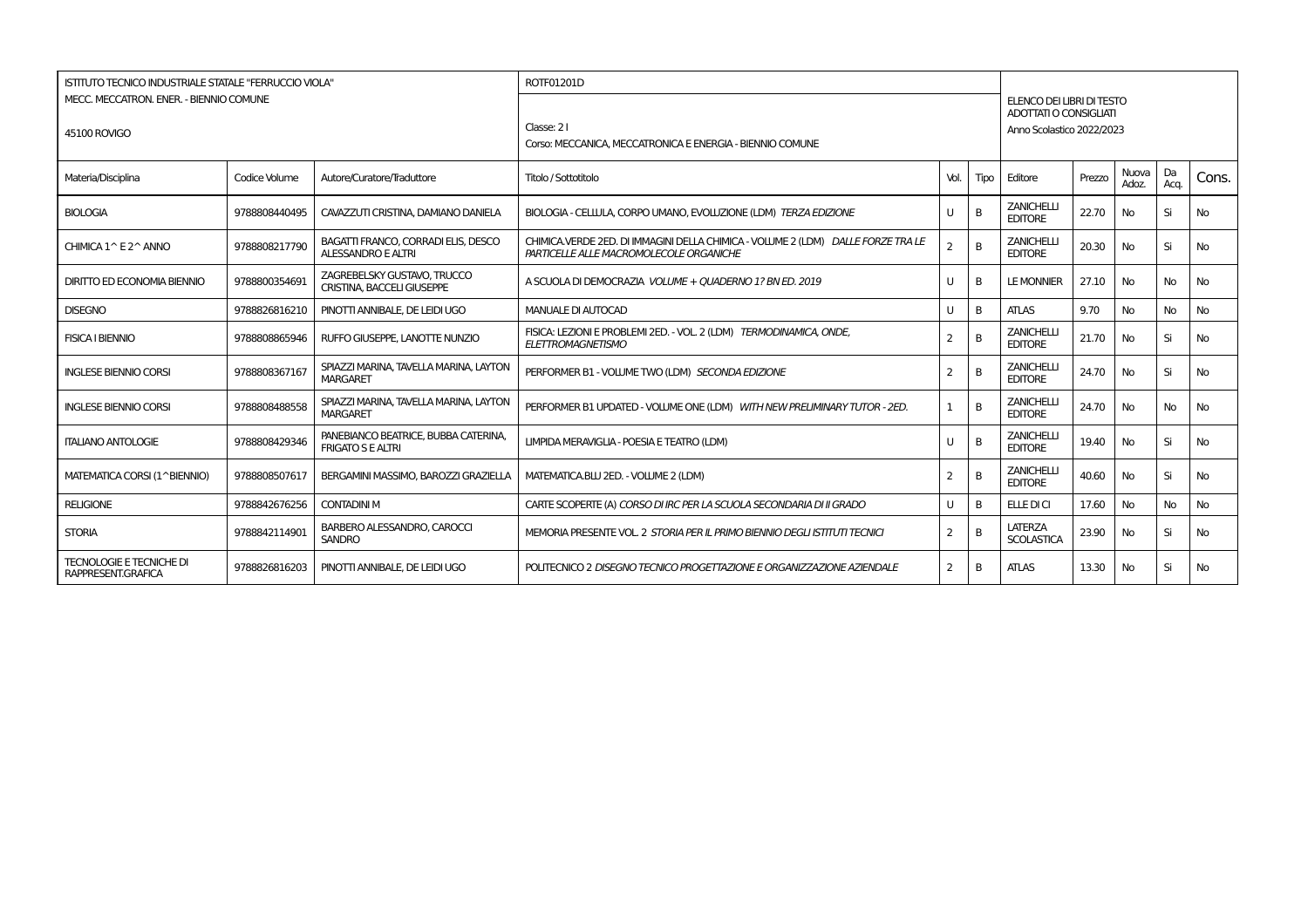| <b>ISTITUTO TECNICO INDUSTRIALE STATALE "FERRUCCIO VIOLA"</b> |               |                                                                  | ROTF01201D                                                                                                                  |                |      |                                                                                  |        |                |            |           |
|---------------------------------------------------------------|---------------|------------------------------------------------------------------|-----------------------------------------------------------------------------------------------------------------------------|----------------|------|----------------------------------------------------------------------------------|--------|----------------|------------|-----------|
| MECC. MECCATRON. ENER. - BIENNIO COMUNE<br>45100 ROVIGO       |               |                                                                  | Classe: 21<br>Corso: MECCANICA, MECCATRONICA E ENERGIA - BIENNIO COMUNE                                                     |                |      | ELENCO DEI LIBRI DI TESTO<br>ADOTTATI O CONSIGLIATI<br>Anno Scolastico 2022/2023 |        |                |            |           |
| Materia/Disciplina                                            | Codice Volume | Autore/Curatore/Traduttore                                       | Titolo / Sottotitolo                                                                                                        | Vol.           | Tipo | Editore                                                                          | Prezzo | Nuova<br>Adoz. | Da<br>Acq. | Cons.     |
| <b>BIOLOGIA</b>                                               | 9788808440495 | CAVAZZUTI CRISTINA, DAMIANO DANIELA                              | BIOLOGIA - CELLULA, CORPO UMANO, EVOLUZIONE (LDM) TERZA EDIZIONE                                                            | U              | B    | <b>ZANICHELLI</b><br><b>EDITORE</b>                                              | 22.70  | No             | Si         | No        |
| CHIMICA 1^ E 2^ ANNO                                          | 9788808217790 | BAGATTI FRANCO, CORRADI ELIS, DESCO<br>ALESSANDRO E ALTRI        | CHIMICA.VERDE 2ED. DI IMMAGINI DELLA CHIMICA - VOLUME 2 (LDM) DALLE FORZE TRA LE<br>PARTICELLE ALLE MACROMOLECOLE ORGANICHE | 2              | B    | <b>ZANICHELLI</b><br><b>EDITORE</b>                                              | 20.30  | <b>No</b>      | Si         | <b>No</b> |
| <b>DIRITTO ED ECONOMIA BIENNIO</b>                            | 9788800354691 | ZAGREBELSKY GUSTAVO. TRUCCO<br><b>CRISTINA, BACCELI GIUSEPPE</b> | A SCUOLA DI DEMOCRAZIA VOLUME + OUADERNO 1? BN ED. 2019                                                                     | U              | B    | <b>LE MONNIER</b>                                                                | 27.10  | No             | <b>No</b>  | <b>No</b> |
| <b>DISEGNO</b>                                                | 9788826816210 | PINOTTI ANNIBALE, DE LEIDI UGO                                   | <b>MANUALE DI AUTOCAD</b>                                                                                                   | U              | B    | <b>ATLAS</b>                                                                     | 9.70   | No             | <b>No</b>  | <b>No</b> |
| <b>FISICA I BIENNIO</b>                                       | 9788808865946 | RUFFO GIUSEPPE, LANOTTE NUNZIO                                   | FISICA: LEZIONI E PROBLEMI 2ED. - VOL. 2 (LDM) TERMODINAMICA, ONDE.<br><b>ELETTROMAGNETISMO</b>                             | $\overline{2}$ | B    | <b>ZANICHELLI</b><br><b>EDITORE</b>                                              | 21.70  | No             | Si         | <b>No</b> |
| <b>INGLESE BIENNIO CORSI</b>                                  | 9788808367167 | SPIAZZI MARINA, TAVELLA MARINA, LAYTON<br><b>MARGARET</b>        | PERFORMER B1 - VOLUME TWO (LDM) SECONDA EDIZIONE                                                                            | 2              | B    | <b>ZANICHELLI</b><br><b>EDITORE</b>                                              | 24.70  | <b>No</b>      | Si         | No        |
| <b>INGLESE BIENNIO CORSI</b>                                  | 9788808488558 | SPIAZZI MARINA, TAVELLA MARINA, LAYTON<br><b>MARGARET</b>        | PERFORMER B1 UPDATED - VOLUME ONE (LDM) WITH NEW PRELIMINARY TUTOR - 2ED.                                                   | 1              | B    | <b>ZANICHELLI</b><br><b>EDITORE</b>                                              | 24.70  | No             | No.        | <b>No</b> |
| <b>ITALIANO ANTOLOGIE</b>                                     | 9788808429346 | PANEBIANCO BEATRICE, BUBBA CATERINA,<br><b>FRIGATO S E ALTRI</b> | LIMPIDA MERAVIGLIA - POESIA E TEATRO (LDM)                                                                                  | U              | B    | <b>ZANICHELLI</b><br><b>EDITORE</b>                                              | 19.40  | No             | Si         | No        |
| MATEMATICA CORSI (1^BIENNIO)                                  | 9788808507617 | BERGAMINI MASSIMO, BAROZZI GRAZIELLA                             | MATEMATICA.BLU 2ED. - VOLUME 2 (LDM)                                                                                        | 2              | B    | <b>ZANICHELLI</b><br><b>EDITORE</b>                                              | 40.60  | No             | Si         | <b>No</b> |
| <b>RELIGIONE</b>                                              | 9788842676256 | <b>CONTADINI M</b>                                               | CARTE SCOPERTE (A) CORSO DI IRC PER LA SCUOLA SECONDARIA DI II GRADO                                                        | U              | B    | ELLE DI CI                                                                       | 17.60  | No             | <b>No</b>  | <b>No</b> |
| <b>STORIA</b>                                                 | 9788842114901 | <b>BARBERO ALESSANDRO, CAROCCI</b><br><b>SANDRO</b>              | MEMORIA PRESENTE VOL. 2 STORIA PER IL PRIMO BIENNIO DEGLI ISTITUTI TECNICI                                                  | 2              | B    | <b>LATERZA</b><br><b>SCOLASTICA</b>                                              | 23.90  | No             | Si         | <b>No</b> |
| <b>TECNOLOGIE E TECNICHE DI</b><br>RAPPRESENT.GRAFICA         | 9788826816203 | PINOTTI ANNIBALE, DE LEIDI UGO                                   | POLITECNICO 2 DISEGNO TECNICO PROGETTAZIONE E ORGANIZZAZIONE AZIENDALE                                                      | 2              | B    | <b>ATLAS</b>                                                                     | 13.30  | No             | Si         | No        |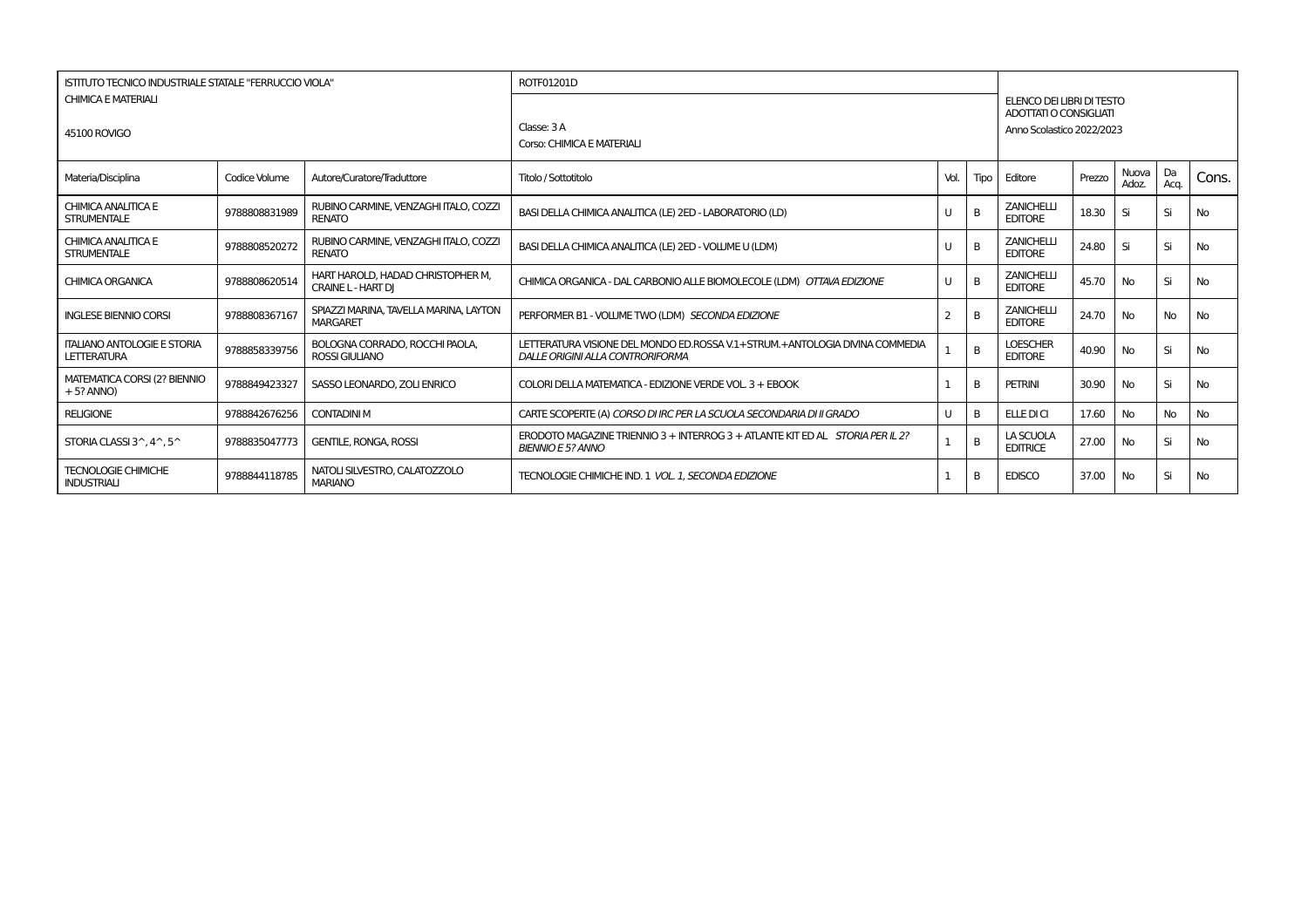| ISTITUTO TECNICO INDUSTRIALE STATALE "FERRUCCIO VIOLA"   |               |                                                                | ROTF01201D                                                                                                      |      |      |                                                     |        |                |            |           |
|----------------------------------------------------------|---------------|----------------------------------------------------------------|-----------------------------------------------------------------------------------------------------------------|------|------|-----------------------------------------------------|--------|----------------|------------|-----------|
| <b>CHIMICA E MATERIALI</b>                               |               |                                                                |                                                                                                                 |      |      | ELENCO DEI LIBRI DI TESTO<br>ADOTTATI O CONSIGLIATI |        |                |            |           |
| 45100 ROVIGO                                             |               |                                                                | Classe: 3 A<br>Corso: CHIMICA E MATERIALI                                                                       |      |      | Anno Scolastico 2022/2023                           |        |                |            |           |
| Materia/Disciplina                                       | Codice Volume | Autore/Curatore/Traduttore                                     | Titolo / Sottotitolo                                                                                            | Vol. | Tipo | Editore                                             | Prezzo | Nuova<br>Adoz. | Da<br>Acq. | Cons.     |
| CHIMICA ANALITICA E<br><b>STRUMENTALE</b>                | 9788808831989 | RUBINO CARMINE, VENZAGHI ITALO, COZZI<br><b>RENATO</b>         | BASI DELLA CHIMICA ANALITICA (LE) 2ED - LABORATORIO (LD)                                                        | U    | B    | <b>ZANICHELLI</b><br><b>EDITORE</b>                 | 18.30  | Si             | Si         | No        |
| CHIMICA ANALITICA E<br><b>STRUMENTALE</b>                | 9788808520272 | RUBINO CARMINE, VENZAGHI ITALO, COZZI<br><b>RENATO</b>         | BASI DELLA CHIMICA ANALITICA (LE) 2ED - VOLUME U (LDM)                                                          | U    | B    | <b>ZANICHELLI</b><br><b>EDITORE</b>                 | 24.80  | Si             | Si         | No        |
| <b>CHIMICA ORGANICA</b>                                  | 9788808620514 | HART HAROLD, HADAD CHRISTOPHER M,<br><b>CRAINE L - HART DI</b> | CHIMICA ORGANICA - DAL CARBONIO ALLE BIOMOLECOLE (LDM) OTTAVA EDIZIONE                                          | U    | B    | <b>ZANICHELLI</b><br><b>EDITORE</b>                 | 45.70  | No             | Si         | No        |
| <b>INGLESE BIENNIO CORSI</b>                             | 9788808367167 | SPIAZZI MARINA, TAVELLA MARINA, LAYTON<br><b>MARGARET</b>      | PERFORMER B1 - VOLUME TWO (LDM) SECONDA EDIZIONE                                                                | 2    | B    | <b>ZANICHELLI</b><br><b>EDITORE</b>                 | 24.70  | No             | <b>No</b>  | <b>No</b> |
| <b>ITALIANO ANTOLOGIE E STORIA</b><br>LETTERATURA        | 9788858339756 | BOLOGNA CORRADO, ROCCHI PAOLA,<br>ROSSI GIULIANO               | LETTERATURA VISIONE DEL MONDO ED.ROSSA V.1+STRUM.+ANTOLOGIA DIVINA COMMEDIA<br>DALLE ORIGINI ALLA CONTRORIFORMA |      | B    | <b>LOESCHER</b><br><b>EDITORE</b>                   | 40.90  | No             | Si         | No        |
| MATEMATICA CORSI (2? BIENNIO<br>$+5?$ ANNO)              | 9788849423327 | SASSO LEONARDO, ZOLI ENRICO                                    | COLORI DELLA MATEMATICA - EDIZIONE VERDE VOL. 3 + EBOOK                                                         |      | B    | <b>PETRINI</b>                                      | 30.90  | No             | Si         | No        |
| <b>RELIGIONE</b>                                         | 9788842676256 | <b>CONTADINI M</b>                                             | CARTE SCOPERTE (A) CORSO DI IRC PER LA SCUOLA SECONDARIA DI II GRADO                                            | U    | B    | ELLE DI CI                                          | 17.60  | No             | No         | No        |
| STORIA CLASSI $3^{\wedge}$ , $4^{\wedge}$ , $5^{\wedge}$ | 9788835047773 | <b>GENTILE, RONGA, ROSSI</b>                                   | ERODOTO MAGAZINE TRIENNIO 3 + INTERROG 3 + ATLANTE KIT ED AL STORIA PER IL 2?<br><b>BIENNIO E 5? ANNO</b>       |      | B    | LA SCUOLA<br><b>EDITRICE</b>                        | 27.00  | No             | Si         | No        |
| <b>TECNOLOGIE CHIMICHE</b><br><b>INDUSTRIALI</b>         | 9788844118785 | NATOLI SILVESTRO, CALATOZZOLO<br><b>MARIANO</b>                | TECNOLOGIE CHIMICHE IND. 1 VOL. 1. SECONDA EDIZIONE                                                             |      | B    | <b>EDISCO</b>                                       | 37.00  | <b>No</b>      | Si         | No        |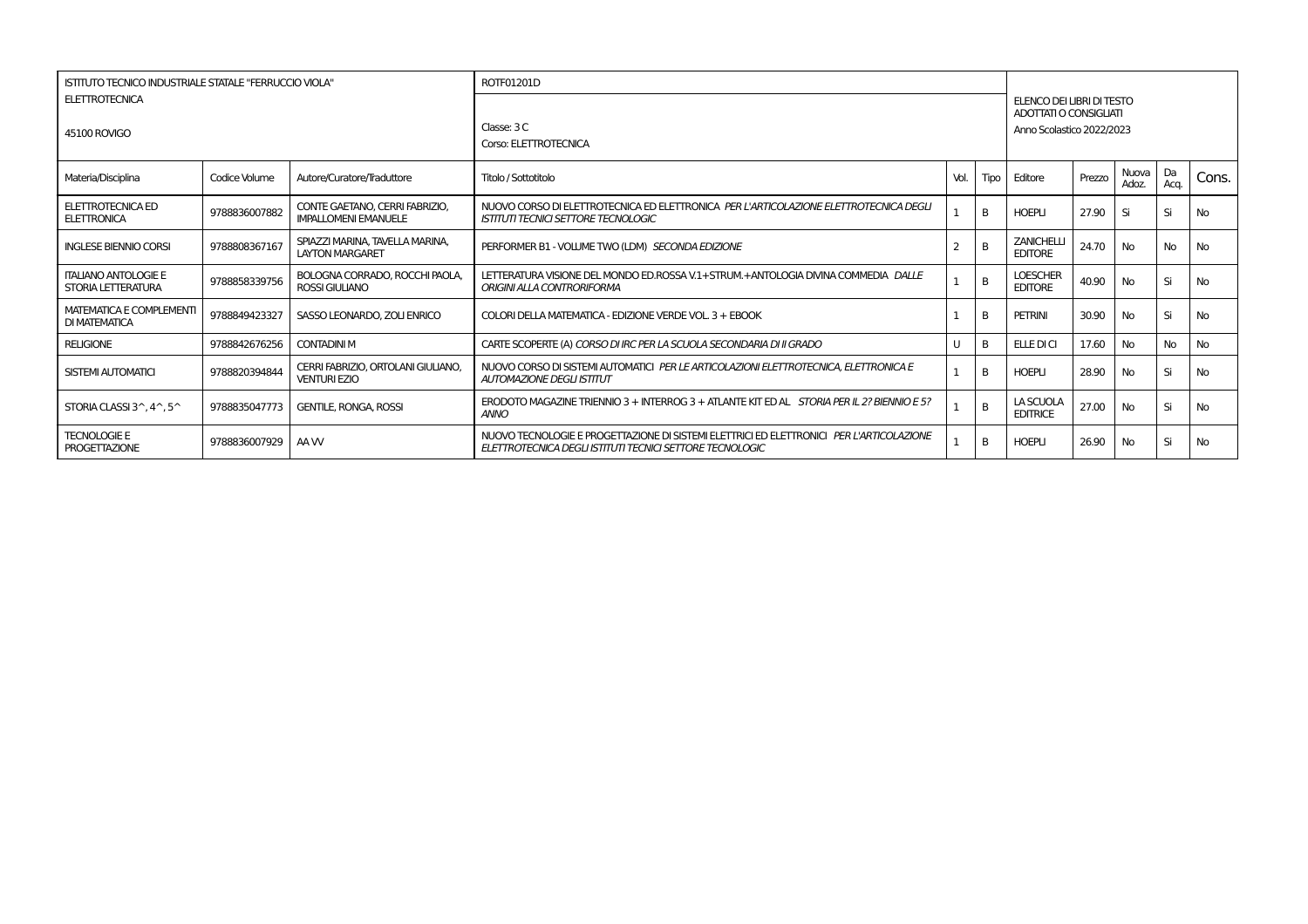| ISTITUTO TECNICO INDUSTRIALE STATALE "FERRUCCIO VIOLA"   |               |                                                               | ROTF01201D                                                                                                                                           |      |          |                                                                                  |        |                |            |           |
|----------------------------------------------------------|---------------|---------------------------------------------------------------|------------------------------------------------------------------------------------------------------------------------------------------------------|------|----------|----------------------------------------------------------------------------------|--------|----------------|------------|-----------|
| <b>ELETTROTECNICA</b><br>45100 ROVIGO                    |               |                                                               | Classe: 3 C<br>Corso: ELETTROTECNICA                                                                                                                 |      |          | ELENCO DEI LIBRI DI TESTO<br>ADOTTATI O CONSIGLIATI<br>Anno Scolastico 2022/2023 |        |                |            |           |
| Materia/Disciplina                                       | Codice Volume | Autore/Curatore/Traduttore                                    | Titolo / Sottotitolo                                                                                                                                 | Vol. | Tipo     | Editore                                                                          | Prezzo | Nuova<br>Adoz. | Da<br>Aca. | Cons.     |
| <b>ELETTROTECNICA ED</b><br><b>ELETTRONICA</b>           | 9788836007882 | CONTE GAETANO, CERRI FABRIZIO.<br><b>IMPALLOMENI EMANUELE</b> | NUOVO CORSO DI ELETTROTECNICA ED ELETTRONICA PER L'ARTICOLAZIONE ELETTROTECNICA DEGLI<br><b>ISTITUTI TECNICI SETTORE TECNOLOGIC</b>                  |      | B        | <b>HOEPLI</b>                                                                    | 27.90  | Si             | Si         | <b>No</b> |
| <b>INGLESE BIENNIO CORSI</b>                             | 9788808367167 | SPIAZZI MARINA, TAVELLA MARINA,<br><b>LAYTON MARGARET</b>     | PERFORMER B1 - VOLUME TWO (LDM) SECONDA EDIZIONE                                                                                                     |      | B        | <b>ZANICHELLI</b><br><b>EDITORE</b>                                              | 24.70  | No             | No         | <b>No</b> |
| <b>ITALIANO ANTOLOGIE E</b><br>STORIA LETTERATURA        | 9788858339756 | BOLOGNA CORRADO, ROCCHI PAOLA.<br><b>ROSSI GIULIANO</b>       | LETTERATURA VISIONE DEL MONDO ED.ROSSA V.1+STRUM.+ANTOLOGIA DIVINA COMMEDIA DALLE<br>ORIGINI ALLA CONTRORIFORMA                                      |      | B        | <b>LOESCHER</b><br><b>EDITORE</b>                                                | 40.90  | No.            | Si         | <b>No</b> |
| <b>MATEMATICA E COMPLEMENTI</b><br>DI MATEMATICA         | 9788849423327 | SASSO LEONARDO, ZOLI ENRICO                                   | COLORI DELLA MATEMATICA - EDIZIONE VERDE VOL. 3 + EBOOK                                                                                              |      | B        | <b>PETRINI</b>                                                                   | 30.90  | No             | Si         | <b>No</b> |
| <b>RELIGIONE</b>                                         | 9788842676256 | <b>CONTADINI M</b>                                            | CARTE SCOPERTE (A) CORSO DI IRC PER LA SCUOLA SECONDARIA DI II GRADO                                                                                 |      | B        | <b>ELLE DI CI</b>                                                                | 17.60  | No             | <b>No</b>  | <b>No</b> |
| SISTEMI AUTOMATICI                                       | 9788820394844 | CERRI FABRIZIO. ORTOLANI GIULIANO.<br><b>VENTURI EZIO</b>     | NUOVO CORSO DI SISTEMI AUTOMATICI PER LE ARTICOLAZIONI ELETTROTECNICA. ELETTRONICA E<br><b>AUTOMAZIONE DEGLI ISTITUT</b>                             |      | B        | <b>HOEPLI</b>                                                                    | 28.90  | No             | Si         | <b>No</b> |
| STORIA CLASSI $3^{\wedge}$ , $4^{\wedge}$ , $5^{\wedge}$ | 9788835047773 | <b>GENTILE, RONGA, ROSSI</b>                                  | ERODOTO MAGAZINE TRIENNIO 3 + INTERROG 3 + ATLANTE KIT ED AL STORIA PER IL 2? BIENNIO E 5?<br><b>ANNO</b>                                            |      | B        | LA SCUOLA<br><b>EDITRICE</b>                                                     | 27.00  | No             | Si         | <b>No</b> |
| <b>TECNOLOGIE E</b><br><b>PROGETTAZIONE</b>              | 9788836007929 | AA W                                                          | NUOVO TECNOLOGIE E PROGETTAZIONE DI SISTEMI ELETTRICI ED ELETTRONICI PER L'ARTICOLAZIONE<br>ELETTROTECNICA DEGLI ISTITUTI TECNICI SETTORE TECNOLOGIC |      | <b>B</b> | <b>HOEPLI</b>                                                                    | 26.90  | No             | Si         | <b>No</b> |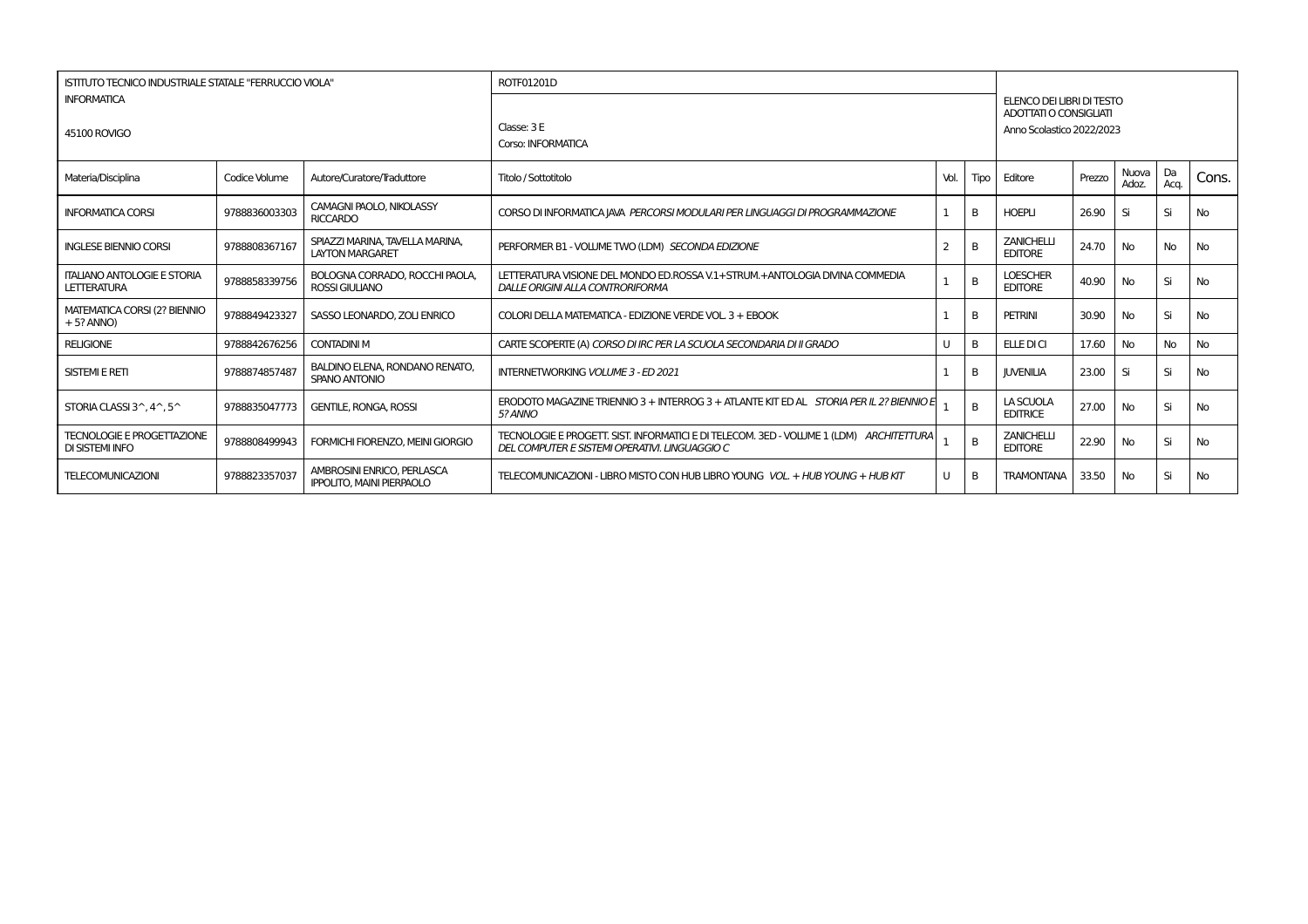| ISTITUTO TECNICO INDUSTRIALE STATALE "FERRUCCIO VIOLA" |               |                                                                | ROTF01201D                                                                                                                                |      |      |                                                     |        |                |            |           |
|--------------------------------------------------------|---------------|----------------------------------------------------------------|-------------------------------------------------------------------------------------------------------------------------------------------|------|------|-----------------------------------------------------|--------|----------------|------------|-----------|
| <b>INFORMATICA</b>                                     |               |                                                                |                                                                                                                                           |      |      | ELENCO DEI LIBRI DI TESTO<br>ADOTTATI O CONSIGLIATI |        |                |            |           |
| 45100 ROVIGO                                           |               |                                                                | Classe: 3 E<br>Corso: INFORMATICA                                                                                                         |      |      | Anno Scolastico 2022/2023                           |        |                |            |           |
| Materia/Disciplina                                     | Codice Volume | Autore/Curatore/Traduttore                                     | Titolo / Sottotitolo                                                                                                                      | Vol. | Tipo | Editore                                             | Prezzo | Nuova<br>Adoz. | Da<br>Acq. | Cons.     |
| <b>INFORMATICA CORSI</b>                               | 9788836003303 | CAMAGNI PAOLO, NIKOLASSY<br><b>RICCARDO</b>                    | CORSO DI INFORMATICA JAVA PERCORSI MODULARI PER LINGUAGGI DI PROGRAMMAZIONE                                                               |      | B    | <b>HOEPLI</b>                                       | 26.90  | Si             | Si         | No        |
| <b>INGLESE BIENNIO CORSI</b>                           | 9788808367167 | SPIAZZI MARINA. TAVELLA MARINA.<br><b>LAYTON MARGARET</b>      | PERFORMER B1 - VOLUME TWO (LDM) SECONDA EDIZIONE                                                                                          |      | B    | <b>ZANICHELLI</b><br><b>EDITORE</b>                 | 24.70  | No             | No         | No        |
| <b>ITALIANO ANTOLOGIE E STORIA</b><br>LETTERATURA      | 9788858339756 | BOLOGNA CORRADO, ROCCHI PAOLA,<br><b>ROSSI GIULIANO</b>        | LETTERATURA VISIONE DEL MONDO ED ROSSA V.1 + STRUM. + ANTOLOGIA DIVINA COMMEDIA<br>DALLE ORIGINI ALLA CONTRORIFORMA                       |      | B    | <b>LOESCHER</b><br><b>EDITORE</b>                   | 40.90  | No             | Si         | <b>No</b> |
| MATEMATICA CORSI (2? BIENNIO<br>$+5$ ? ANNO)           | 9788849423327 | SASSO LEONARDO, ZOLI ENRICO                                    | COLORI DELLA MATEMATICA - EDIZIONE VERDE VOL 3 + EBOOK                                                                                    |      | B.   | <b>PETRINI</b>                                      | 30.90  | No             | Si         | <b>No</b> |
| <b>RELIGIONE</b>                                       | 9788842676256 | <b>CONTADINI M</b>                                             | CARTE SCOPERTE (A) CORSO DI IRC PER LA SCUOLA SECONDARIA DI II GRADO                                                                      |      | B.   | <b>ELLE DI CI</b>                                   | 17.60  | No             | <b>No</b>  | <b>No</b> |
| <b>SISTEMI E RETI</b>                                  | 9788874857487 | BALDINO ELENA, RONDANO RENATO,<br>SPANO ANTONIO                | <b>INTERNETWORKING VOLUME 3 - ED 2021</b>                                                                                                 |      | B    | <b>IUVENILIA</b>                                    | 23.00  | Si             | Si         | <b>No</b> |
| STORIA CLASSI 3^, 4^, 5^                               | 9788835047773 | <b>GENTILE, RONGA, ROSSI</b>                                   | ERODOTO MAGAZINE TRIENNIO 3 + INTERROG 3 + ATLANTE KIT ED AL STORIA PER IL 2? BIENNIO E<br>5? ANNO                                        |      | B    | LA SCUOLA<br><b>EDITRICE</b>                        | 27.00  | No             | Si         | <b>No</b> |
| <b>TECNOLOGIE E PROGETTAZIONE</b><br>DI SISTEMI INFO   | 9788808499943 | FORMICHI FIORENZO. MEINI GIORGIO                               | TECNOLOGIE E PROGETT. SIST. INFORMATICI E DI TELECOM. 3ED - VOLUME 1 (LDM) ARCHITETTURA<br>DEL COMPUTER E SISTEMI OPERATIVI. LINGUAGGIO C |      | B    | <b>ZANICHELLI</b><br><b>EDITORE</b>                 | 22.90  | <b>No</b>      | Si         | <b>No</b> |
| <b>TELECOMUNICAZIONI</b>                               | 9788823357037 | AMBROSINI ENRICO. PERLASCA<br><b>IPPOLITO, MAINI PIERPAOLO</b> | TELECOMUNICAZIONI - LIBRO MISTO CON HUB LIBRO YOUNG VOL. + HUB YOUNG + HUB KIT                                                            |      | B    | TRAMONTANA                                          | 33.50  | No             | Si         | No        |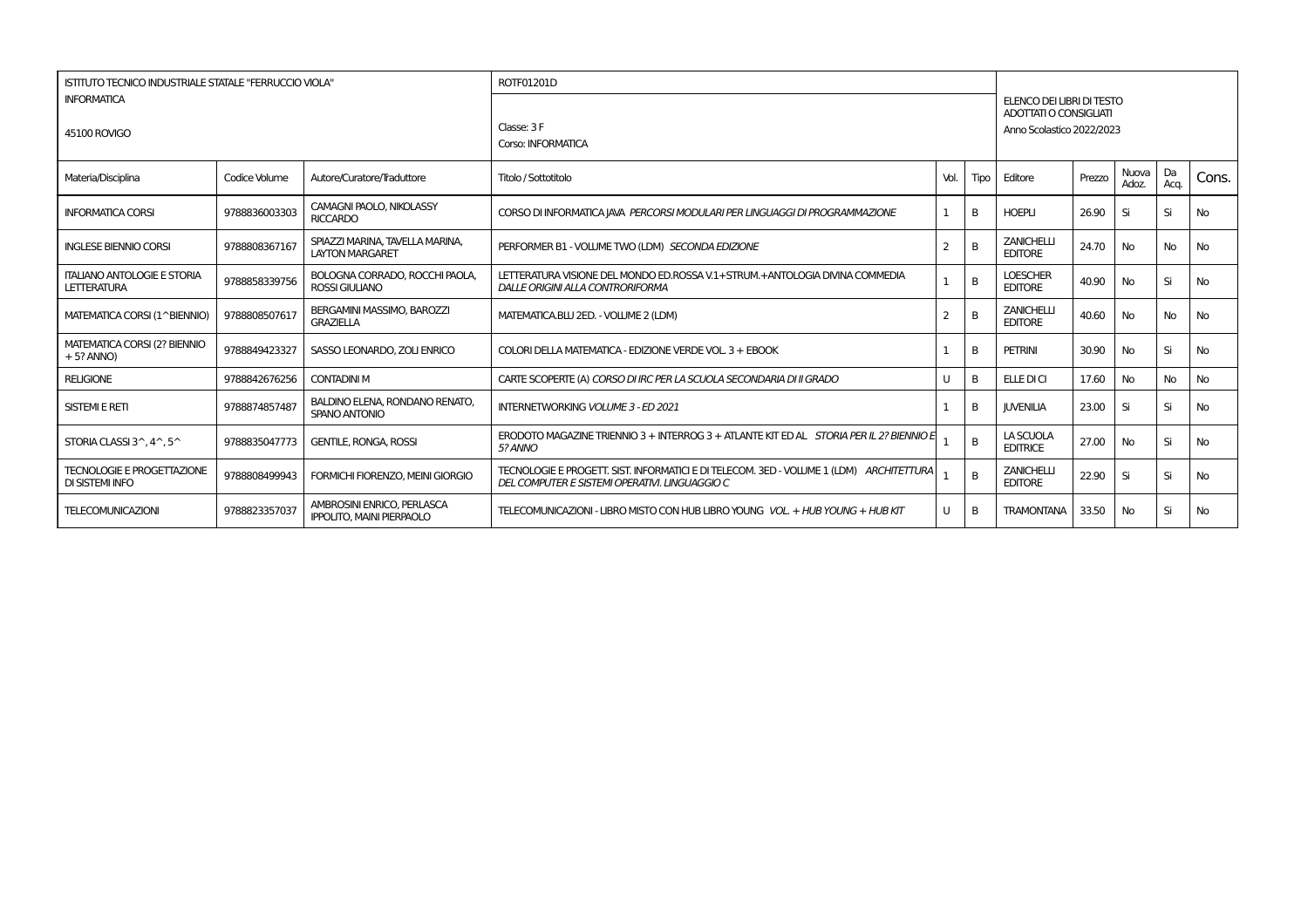| ISTITUTO TECNICO INDUSTRIALE STATALE "FERRUCCIO VIOLA"      |               |                                                                | ROTF01201D                                                                                                                                |      |                |                                                                                         |        |                |              |           |
|-------------------------------------------------------------|---------------|----------------------------------------------------------------|-------------------------------------------------------------------------------------------------------------------------------------------|------|----------------|-----------------------------------------------------------------------------------------|--------|----------------|--------------|-----------|
| <b>INFORMATICA</b><br>45100 ROVIGO                          |               |                                                                | Classe: 3 F<br>Corso: INFORMATICA                                                                                                         |      |                | ELENCO DEI LIBRI DI TESTO<br><b>ADOTTATI O CONSIGLIATI</b><br>Anno Scolastico 2022/2023 |        |                |              |           |
| Materia/Disciplina                                          | Codice Volume | Autore/Curatore/Traduttore                                     | Titolo / Sottotitolo                                                                                                                      | Vol. | Tipo           | Editore                                                                                 | Prezzo | Nuova<br>Adoz. | l Da<br>Acq. | Cons.     |
| <b>INFORMATICA CORSI</b>                                    | 9788836003303 | CAMAGNI PAOLO, NIKOLASSY<br><b>RICCARDO</b>                    | CORSO DI INFORMATICA JAVA PERCORSI MODULARI PER LINGUAGGI DI PROGRAMMAZIONE                                                               |      | B              | <b>HOEPLI</b>                                                                           | 26.90  | Si             | Si           | <b>No</b> |
| <b>INGLESE BIENNIO CORSI</b>                                | 9788808367167 | SPIAZZI MARINA, TAVELLA MARINA,<br><b>LAYTON MARGARET</b>      | PERFORMER B1 - VOLUME TWO (LDM) SECONDA EDIZIONE                                                                                          | 2    | B              | <b>ZANICHELLI</b><br><b>EDITORE</b>                                                     | 24.70  | No             | <b>No</b>    | <b>No</b> |
| <b>ITALIANO ANTOLOGIE E STORIA</b><br><b>LETTERATURA</b>    | 9788858339756 | BOLOGNA CORRADO. ROCCHI PAOLA.<br><b>ROSSI GIULIANO</b>        | LETTERATURA VISIONE DEL MONDO ED.ROSSA V.1+STRUM.+ANTOLOGIA DIVINA COMMEDIA<br>DALLE ORIGINI ALLA CONTRORIFORMA                           |      | B              | <b>LOESCHER</b><br><b>EDITORE</b>                                                       | 40.90  | No             | Si           | No        |
| MATEMATICA CORSI (1^BIENNIO)                                | 9788808507617 | BERGAMINI MASSIMO, BAROZZI<br><b>GRAZIELLA</b>                 | MATEMATICA.BLU 2ED. - VOLUME 2 (LDM)                                                                                                      | 2    | B              | <b>ZANICHELLI</b><br><b>EDITORE</b>                                                     | 40.60  | No             | <b>No</b>    | <b>No</b> |
| MATEMATICA CORSI (2? BIENNIO<br>$+5?$ ANNO)                 | 9788849423327 | SASSO LEONARDO, ZOLI ENRICO                                    | COLORI DELLA MATEMATICA - EDIZIONE VERDE VOL. 3 + EBOOK                                                                                   |      | B              | <b>PETRINI</b>                                                                          | 30.90  | <b>No</b>      | Si           | No        |
| <b>RELIGIONE</b>                                            | 9788842676256 | <b>CONTADINI M</b>                                             | CARTE SCOPERTE (A) CORSO DI IRC PER LA SCUOLA SECONDARIA DI II GRADO                                                                      | U    | B              | ELLE DI CI                                                                              | 17.60  | <b>No</b>      | <b>No</b>    | No        |
| <b>SISTEMI E RETI</b>                                       | 9788874857487 | <b>BALDINO ELENA, RONDANO RENATO,</b><br>SPANO ANTONIO         | <b>INTERNETWORKING VOLUME 3 - ED 2021</b>                                                                                                 |      | B              | <b>JUVENILIA</b>                                                                        | 23.00  | Si             | Si           | No        |
| STORIA CLASSI 3^.4^.5^                                      | 9788835047773 | <b>GENTILE, RONGA, ROSSI</b>                                   | ERODOTO MAGAZINE TRIENNIO 3 + INTERROG 3 + ATLANTE KIT ED AL STORIA PER IL 2? BIENNIO E<br>5? ANNO                                        |      | $\overline{B}$ | <b>LA SCUOLA</b><br><b>EDITRICE</b>                                                     | 27.00  | No             | Si           | <b>No</b> |
| <b>TECNOLOGIE E PROGETTAZIONE</b><br><b>DI SISTEMI INFO</b> | 9788808499943 | FORMICHI FIORENZO. MEINI GIORGIO                               | TECNOLOGIE E PROGETT. SIST. INFORMATICI E DI TELECOM. 3ED - VOLUME 1 (LDM) ARCHITETTURA<br>DEL COMPUTER E SISTEMI OPERATIVI. LINGUAGGIO C |      | B              | <b>ZANICHELLI</b><br><b>EDITORE</b>                                                     | 22.90  | Si             | Si           | <b>No</b> |
| <b>TELECOMUNICAZIONI</b>                                    | 9788823357037 | AMBROSINI ENRICO, PERLASCA<br><b>IPPOLITO, MAINI PIERPAOLO</b> | TELECOMUNICAZIONI - LIBRO MISTO CON HUB LIBRO YOUNG VOL. + HUB YOUNG + HUB KIT                                                            | U    | B              | <b>TRAMONTANA</b>                                                                       | 33.50  | <b>No</b>      | Si           | No        |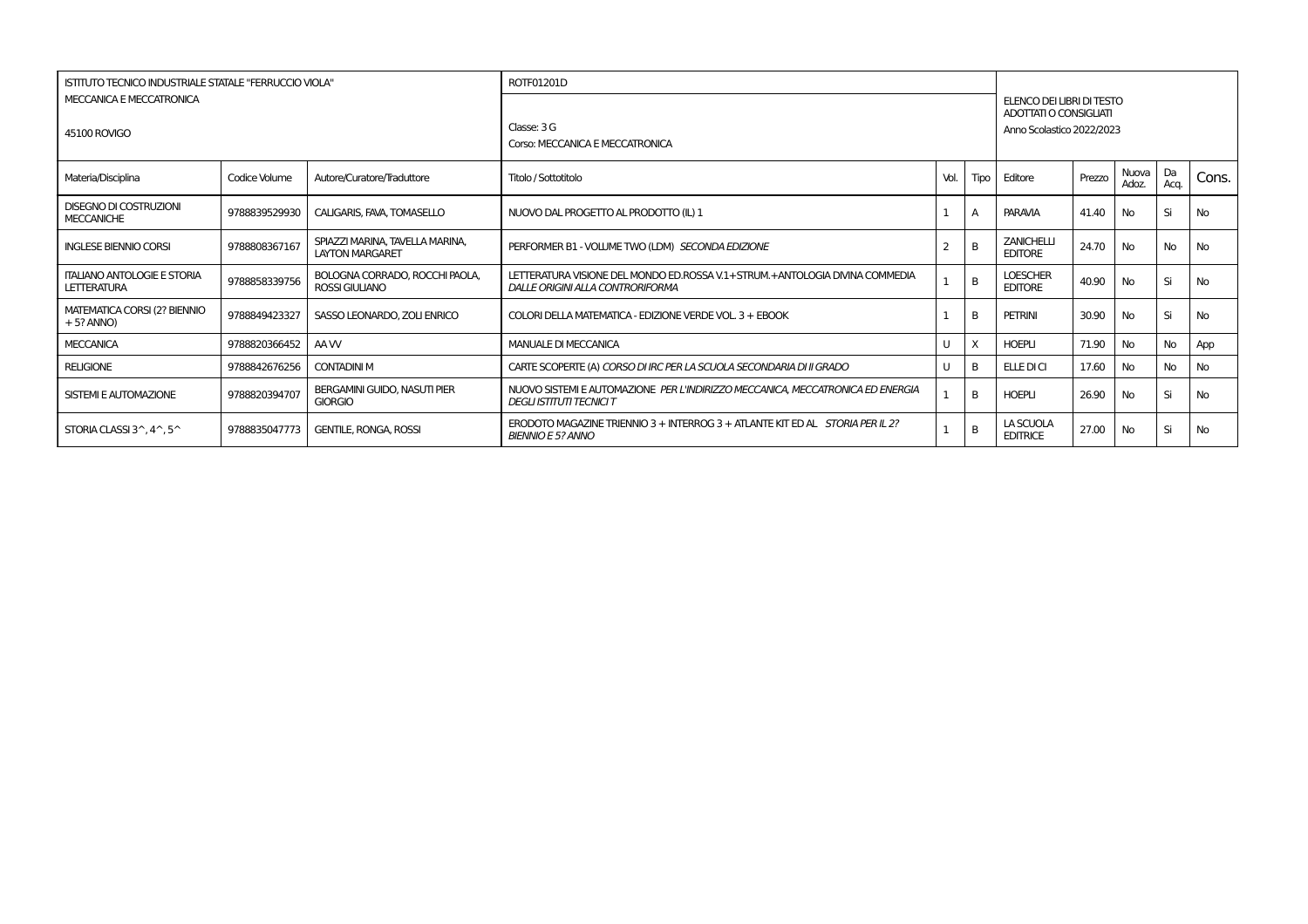| ISTITUTO TECNICO INDUSTRIALE STATALE "FERRUCCIO VIOLA"   |               |                                                           | ROTF01201D                                                                                                          |      |              |                                                                                  |        |                |            |           |
|----------------------------------------------------------|---------------|-----------------------------------------------------------|---------------------------------------------------------------------------------------------------------------------|------|--------------|----------------------------------------------------------------------------------|--------|----------------|------------|-----------|
| MECCANICA E MECCATRONICA<br><b>45100 ROVIGO</b>          |               |                                                           | Classe: $3G$<br>Corso: MECCANICA E MECCATRONICA                                                                     |      |              | ELENCO DEI LIBRI DI TESTO<br>ADOTTATI O CONSIGLIATI<br>Anno Scolastico 2022/2023 |        |                |            |           |
| Materia/Disciplina                                       | Codice Volume | Autore/Curatore/Traduttore                                | Titolo / Sottotitolo                                                                                                | Vol. |              | Tipo Editore                                                                     | Prezzo | Nuova<br>Adoz. | Da<br>Aca. | Cons.     |
| <b>DISEGNO DI COSTRUZIONI</b><br><b>MECCANICHE</b>       | 9788839529930 | CALIGARIS, FAVA, TOMASELLO                                | NUOVO DAL PROGETTO AL PRODOTTO (IL) 1                                                                               |      |              | <b>PARAVIA</b>                                                                   | 41.40  | No.            | Si         | No        |
| <b>INGLESE BIENNIO CORSI</b>                             | 9788808367167 | SPIAZZI MARINA, TAVELLA MARINA.<br><b>LAYTON MARGARET</b> | PERFORMER B1 - VOLUME TWO (LDM) SECONDA EDIZIONE                                                                    |      | B            | <b>ZANICHELLI</b><br><b>EDITORE</b>                                              | 24.70  | No             | <b>No</b>  | No        |
| <b>ITALIANO ANTOLOGIE E STORIA</b><br>LETTERATURA        | 9788858339756 | BOLOGNA CORRADO, ROCCHI PAOLA,<br><b>ROSSI GIULIANO</b>   | LETTERATURA VISIONE DEL MONDO ED.ROSSA V.1 + STRUM. + ANTOLOGIA DIVINA COMMEDIA<br>DALLE ORIGINI ALLA CONTRORIFORMA |      | $\mathsf{B}$ | <b>LOESCHER</b><br><b>EDITORE</b>                                                | 40.90  | No             | Si         | No        |
| <b>MATEMATICA CORSI (2? BIENNIO</b><br>$+5?$ ANNO)       | 9788849423327 | SASSO LEONARDO, ZOLI ENRICO                               | COLORI DELLA MATEMATICA - EDIZIONE VERDE VOL. 3 + EBOOK                                                             |      | B            | PETRINI                                                                          | 30.90  | No             | Si         | No        |
| <b>MECCANICA</b>                                         | 9788820366452 | AA W                                                      | MANUALE DI MECCANICA                                                                                                |      | $\times$     | <b>HOEPLI</b>                                                                    | 71.90  | No             | <b>No</b>  | App       |
| <b>RELIGIONE</b>                                         | 9788842676256 | <b>CONTADINI M</b>                                        | CARTE SCOPERTE (A) CORSO DI IRC PER LA SCUOLA SECONDARIA DI II GRADO                                                |      | B            | ELLEDICI                                                                         | 17.60  | No             | <b>No</b>  | No        |
| SISTEMI E AUTOMAZIONE                                    | 9788820394707 | BERGAMINI GUIDO, NASUTI PIER<br><b>GIORGIO</b>            | NUOVO SISTEMI E AUTOMAZIONE PER L'INDIRIZZO MECCANICA. MECCATRONICA ED ENERGIA<br><b>DEGLI ISTITUTI TECNICI T</b>   |      | B            | <b>HOEPLI</b>                                                                    | 26.90  | No             | Si         | No        |
| STORIA CLASSI $3^{\wedge}$ , $4^{\wedge}$ , $5^{\wedge}$ | 9788835047773 | <b>GENTILE, RONGA, ROSSI</b>                              | ERODOTO MAGAZINE TRIENNIO 3 + INTERROG 3 + ATLANTE KIT ED AL STORIA PER IL 2?<br><b>BIENNIO E 5? ANNO</b>           |      | B            | LA SCUOLA<br><b>EDITRICE</b>                                                     | 27.00  | No             | Si         | <b>No</b> |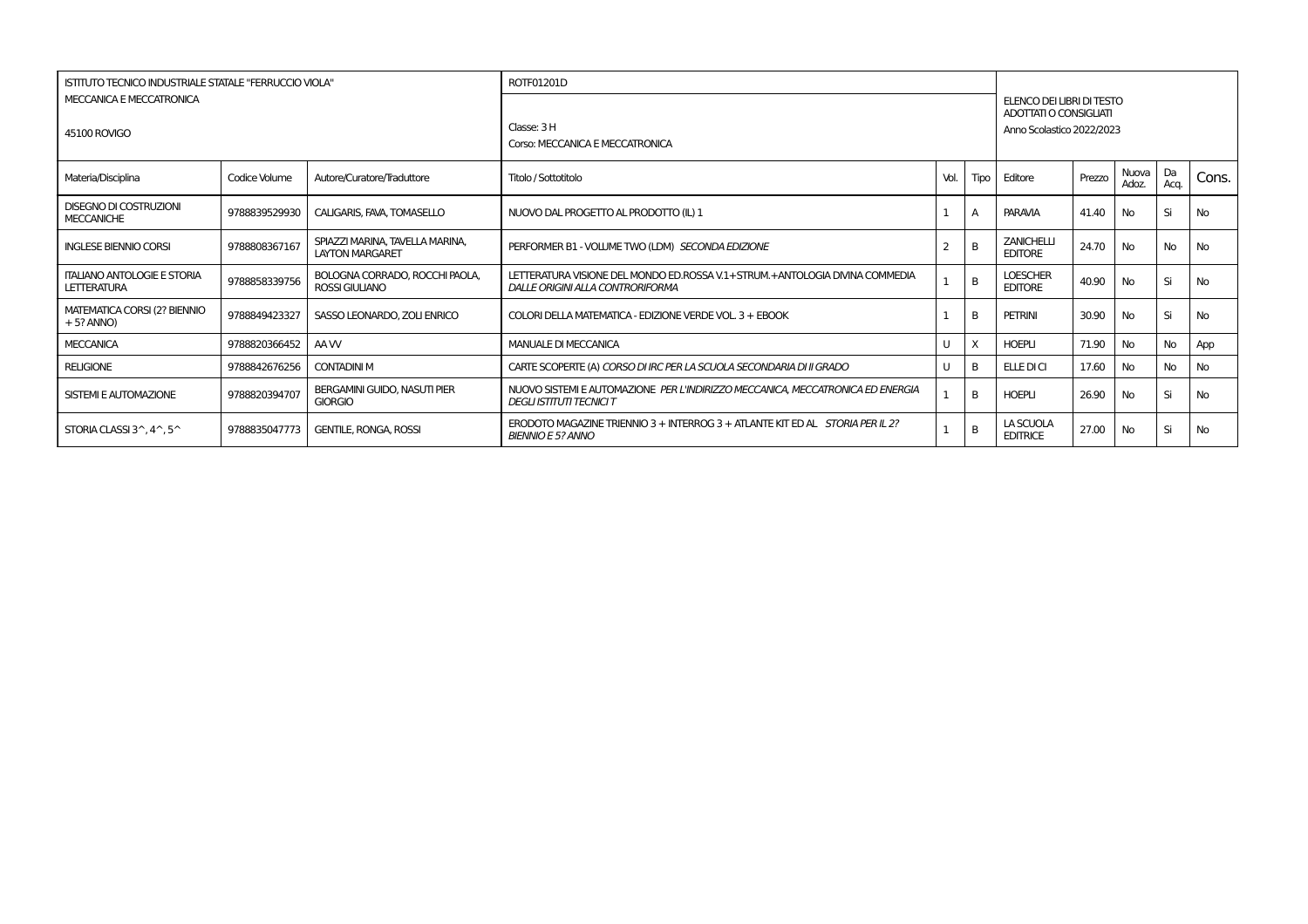| ISTITUTO TECNICO INDUSTRIALE STATALE "FERRUCCIO VIOLA"   |               |                                                           | ROTF01201D                                                                                                          |      |              |                                                                                  |        |                |            |           |
|----------------------------------------------------------|---------------|-----------------------------------------------------------|---------------------------------------------------------------------------------------------------------------------|------|--------------|----------------------------------------------------------------------------------|--------|----------------|------------|-----------|
| MECCANICA E MECCATRONICA<br><b>45100 ROVIGO</b>          |               |                                                           | Classe: 3 H<br>Corso: MECCANICA E MECCATRONICA                                                                      |      |              | ELENCO DEI LIBRI DI TESTO<br>ADOTTATI O CONSIGLIATI<br>Anno Scolastico 2022/2023 |        |                |            |           |
| Materia/Disciplina                                       | Codice Volume | Autore/Curatore/Traduttore                                | Titolo / Sottotitolo                                                                                                | Vol. |              | Tipo Editore                                                                     | Prezzo | Nuova<br>Adoz. | Da<br>Aca. | Cons.     |
| <b>DISEGNO DI COSTRUZIONI</b><br><b>MECCANICHE</b>       | 9788839529930 | CALIGARIS, FAVA, TOMASELLO                                | NUOVO DAL PROGETTO AL PRODOTTO (IL) 1                                                                               |      |              | <b>PARAVIA</b>                                                                   | 41.40  | No.            | Si         | No        |
| <b>INGLESE BIENNIO CORSI</b>                             | 9788808367167 | SPIAZZI MARINA, TAVELLA MARINA.<br><b>LAYTON MARGARET</b> | PERFORMER B1 - VOLUME TWO (LDM) SECONDA EDIZIONE                                                                    |      | B            | <b>ZANICHELLI</b><br><b>EDITORE</b>                                              | 24.70  | No             | <b>No</b>  | No        |
| <b>ITALIANO ANTOLOGIE E STORIA</b><br>LETTERATURA        | 9788858339756 | BOLOGNA CORRADO, ROCCHI PAOLA,<br><b>ROSSI GIULIANO</b>   | LETTERATURA VISIONE DEL MONDO ED.ROSSA V.1 + STRUM. + ANTOLOGIA DIVINA COMMEDIA<br>DALLE ORIGINI ALLA CONTRORIFORMA |      | $\mathsf{B}$ | <b>LOESCHER</b><br><b>EDITORE</b>                                                | 40.90  | No             | Si         | No        |
| <b>MATEMATICA CORSI (2? BIENNIO</b><br>$+5?$ ANNO)       | 9788849423327 | SASSO LEONARDO, ZOLI ENRICO                               | COLORI DELLA MATEMATICA - EDIZIONE VERDE VOL. 3 + EBOOK                                                             |      | B            | PETRINI                                                                          | 30.90  | No             | Si         | No        |
| <b>MECCANICA</b>                                         | 9788820366452 | AA W                                                      | MANUALE DI MECCANICA                                                                                                |      | $\times$     | <b>HOEPLI</b>                                                                    | 71.90  | No             | <b>No</b>  | App       |
| <b>RELIGIONE</b>                                         | 9788842676256 | <b>CONTADINI M</b>                                        | CARTE SCOPERTE (A) CORSO DI IRC PER LA SCUOLA SECONDARIA DI II GRADO                                                |      | B            | ELLEDICI                                                                         | 17.60  | No             | <b>No</b>  | No        |
| SISTEMI E AUTOMAZIONE                                    | 9788820394707 | BERGAMINI GUIDO, NASUTI PIER<br><b>GIORGIO</b>            | NUOVO SISTEMI E AUTOMAZIONE PER L'INDIRIZZO MECCANICA. MECCATRONICA ED ENERGIA<br><b>DEGLI ISTITUTI TECNICI T</b>   |      | B            | <b>HOEPLI</b>                                                                    | 26.90  | No             | Si         | No        |
| STORIA CLASSI $3^{\wedge}$ , $4^{\wedge}$ , $5^{\wedge}$ | 9788835047773 | <b>GENTILE, RONGA, ROSSI</b>                              | ERODOTO MAGAZINE TRIENNIO 3 + INTERROG 3 + ATLANTE KIT ED AL STORIA PER IL 2?<br><b>BIENNIO E 5? ANNO</b>           |      | B            | LA SCUOLA<br><b>EDITRICE</b>                                                     | 27.00  | No             | Si         | <b>No</b> |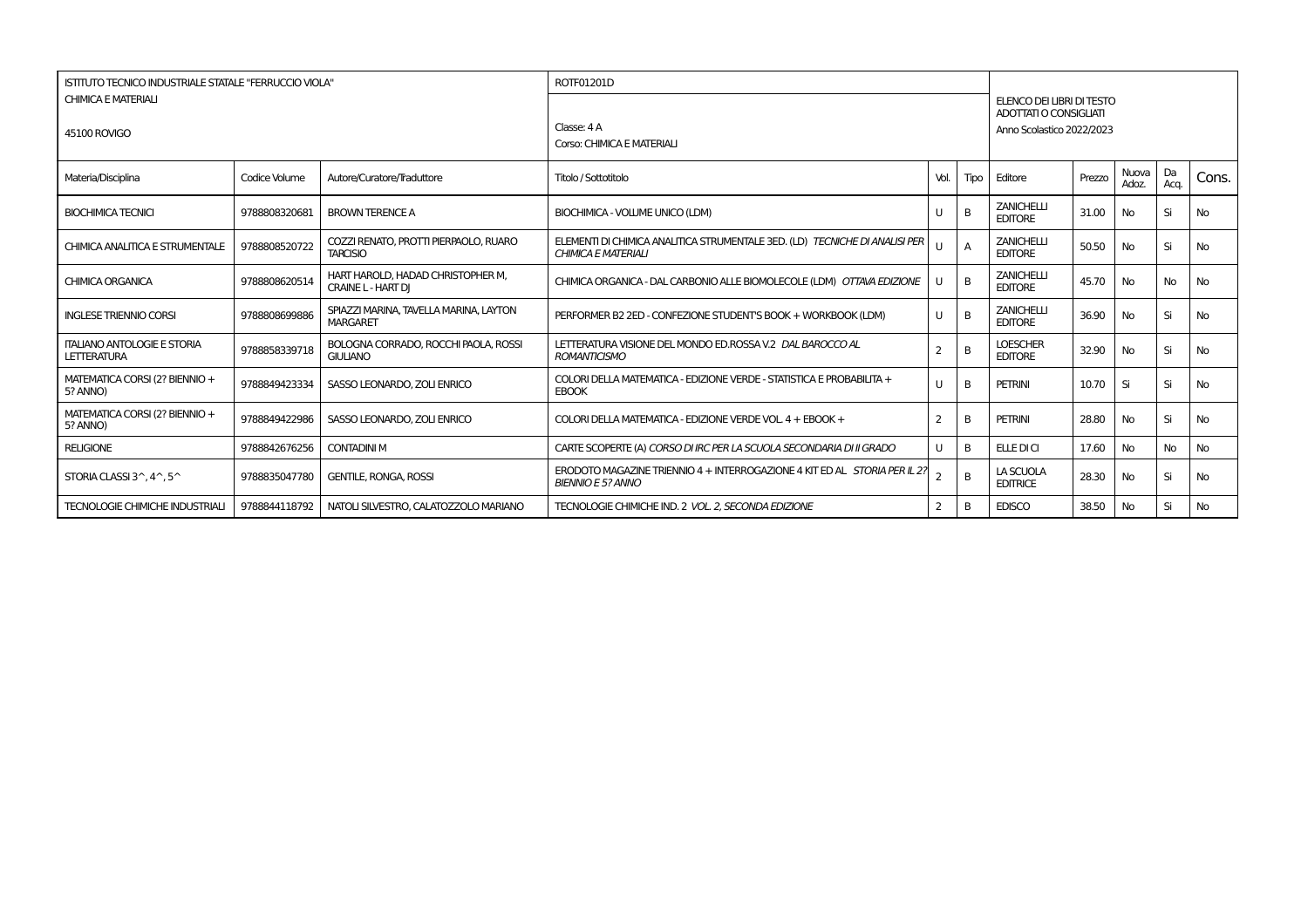| ISTITUTO TECNICO INDUSTRIALE STATALE "FERRUCCIO VIOLA"   |               |                                                                | ROTF01201D                                                                                                |      |                |                                                                                  |        |                |            |           |
|----------------------------------------------------------|---------------|----------------------------------------------------------------|-----------------------------------------------------------------------------------------------------------|------|----------------|----------------------------------------------------------------------------------|--------|----------------|------------|-----------|
| <b>CHIMICA E MATERIALI</b><br>45100 ROVIGO               |               |                                                                | Classe: 4 A<br>Corso: CHIMICA E MATERIALI                                                                 |      |                | ELENCO DEI LIBRI DI TESTO<br>ADOTTATI O CONSIGLIATI<br>Anno Scolastico 2022/2023 |        |                |            |           |
| Materia/Disciplina                                       | Codice Volume | Autore/Curatore/Traduttore                                     | Titolo / Sottotitolo                                                                                      | Vol. | Tipo           | Editore                                                                          | Prezzo | Nuova<br>Adoz. | Da<br>Acq. | Cons.     |
| <b>BIOCHIMICA TECNICI</b>                                | 9788808320681 | <b>BROWN TERENCE A</b>                                         | BIOCHIMICA - VOLUME UNICO (LDM)                                                                           |      | B              | <b>ZANICHELLI</b><br><b>EDITORE</b>                                              | 31.00  | <b>No</b>      | Si         | <b>No</b> |
| CHIMICA ANALITICA E STRUMENTALE                          | 9788808520722 | COZZI RENATO, PROTTI PIERPAOLO, RUARO<br><b>TARCISIO</b>       | ELEMENTI DI CHIMICA ANALITICA STRUMENTALE 3ED. (LD) TECNICHE DI ANALISI PER<br><b>CHIMICA E MATERIALI</b> |      | $\overline{A}$ | <b>ZANICHELLI</b><br><b>EDITORE</b>                                              | 50.50  | <b>No</b>      | Si         | <b>No</b> |
| <b>CHIMICA ORGANICA</b>                                  | 9788808620514 | HART HAROLD, HADAD CHRISTOPHER M,<br><b>CRAINE L - HART DI</b> | CHIMICA ORGANICA - DAL CARBONIO ALLE BIOMOLECOLE (LDM) OTTAVA EDIZIONE                                    |      | B              | <b>ZANICHELLI</b><br><b>EDITORE</b>                                              | 45.70  | <b>No</b>      | No         | No        |
| <b>INGLESE TRIENNIO CORSI</b>                            | 9788808699886 | SPIAZZI MARINA, TAVELLA MARINA, LAYTON<br><b>MARGARET</b>      | PERFORMER B2 2ED - CONFEZIONE STUDENT'S BOOK + WORKBOOK (LDM)                                             |      | B              | <b>ZANICHELLI</b><br><b>EDITORE</b>                                              | 36.90  | No             | Si         | <b>No</b> |
| <b>ITALIANO ANTOLOGIE E STORIA</b><br><b>LETTERATURA</b> | 9788858339718 | BOLOGNA CORRADO, ROCCHI PAOLA, ROSSI<br><b>GIULIANO</b>        | LETTERATURA VISIONE DEL MONDO ED.ROSSA V.2 DAL BAROCCO AL<br><b>ROMANTICISMO</b>                          |      | B              | <b>LOESCHER</b><br><b>EDITORE</b>                                                | 32.90  | No             | Si         | <b>No</b> |
| MATEMATICA CORSI (2? BIENNIO +<br>5? ANNO)               | 9788849423334 | SASSO LEONARDO, ZOLI ENRICO                                    | COLORI DELLA MATEMATICA - EDIZIONE VERDE - STATISTICA E PROBABILITA +<br><b>EBOOK</b>                     |      | B              | <b>PETRINI</b>                                                                   | 10.70  | Si             | Si         | No        |
| MATEMATICA CORSI (2? BIENNIO +<br>5? ANNO)               | 9788849422986 | SASSO LEONARDO, ZOLI ENRICO                                    | COLORI DELLA MATEMATICA - EDIZIONE VERDE VOL. 4 + EBOOK +                                                 | 2    | B              | PETRINI                                                                          | 28.80  | <b>No</b>      | Si         | <b>No</b> |
| <b>RELIGIONE</b>                                         | 9788842676256 | <b>CONTADINI M</b>                                             | CARTE SCOPERTE (A) CORSO DI IRC PER LA SCUOLA SECONDARIA DI II GRADO                                      | U    | B              | ELLE DI CI                                                                       | 17.60  | No             | No         | <b>No</b> |
| STORIA CLASSI 3^, 4^, 5^                                 | 9788835047780 | <b>GENTILE, RONGA, ROSSI</b>                                   | ERODOTO MAGAZINE TRIENNIO 4 + INTERROGAZIONE 4 KIT ED AL STORIA PER IL 2?<br><b>BIENNIO E 5? ANNO</b>     |      | B              | LA SCUOLA<br><b>EDITRICE</b>                                                     | 28.30  | No             | Si         | <b>No</b> |
| <b>TECNOLOGIE CHIMICHE INDUSTRIALI</b>                   | 9788844118792 | NATOLI SILVESTRO, CALATOZZOLO MARIANO                          | TECNOLOGIE CHIMICHE IND. 2 VOL. 2. SECONDA EDIZIONE                                                       |      | B              | <b>EDISCO</b>                                                                    | 38.50  | No             | Si         | <b>No</b> |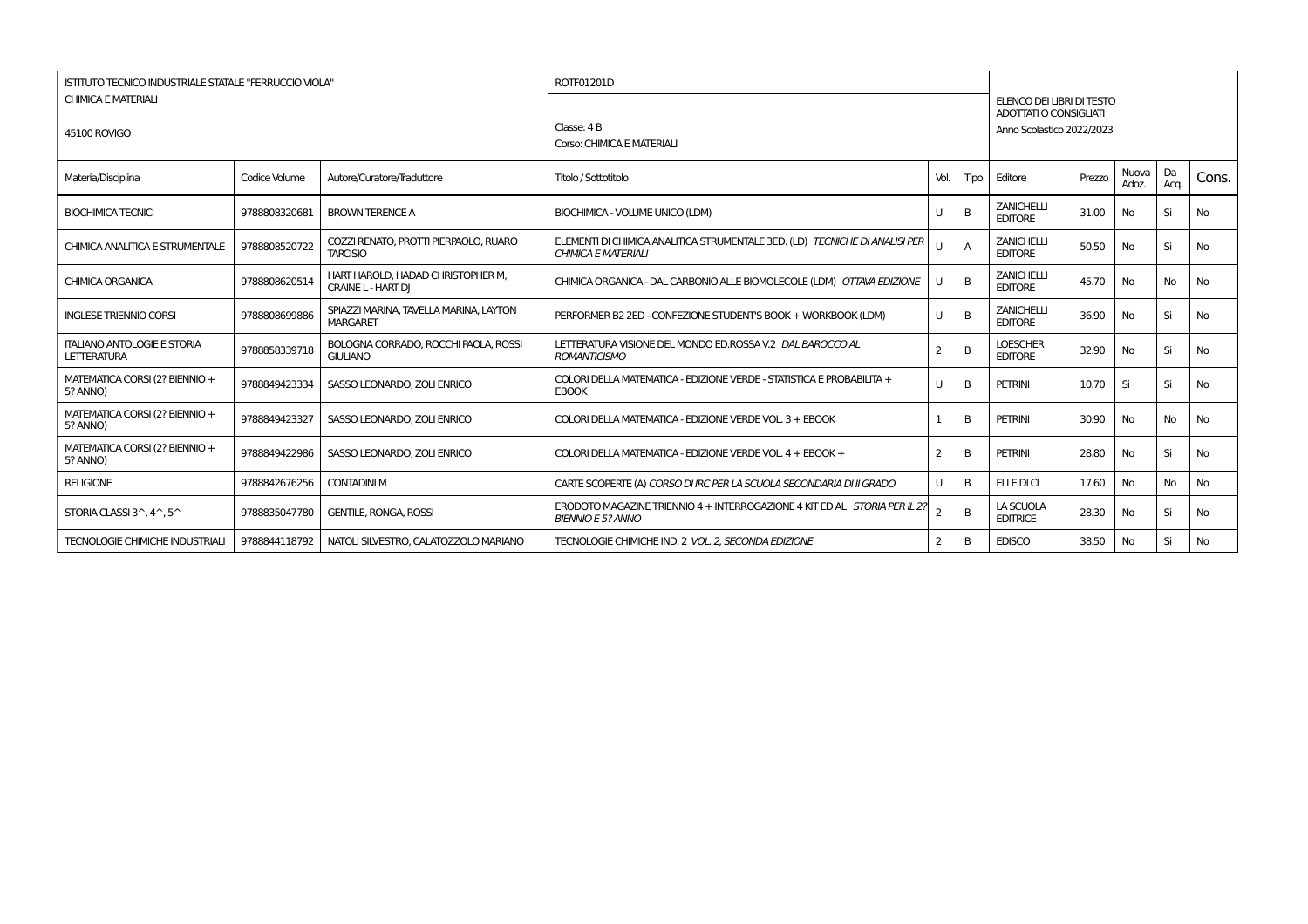| ISTITUTO TECNICO INDUSTRIALE STATALE "FERRUCCIO VIOLA"   |               |                                                                | ROTF01201D                                                                                                |      |                |                                                                                         |        |                |            |           |
|----------------------------------------------------------|---------------|----------------------------------------------------------------|-----------------------------------------------------------------------------------------------------------|------|----------------|-----------------------------------------------------------------------------------------|--------|----------------|------------|-----------|
| <b>CHIMICA E MATERIALI</b><br>45100 ROVIGO               |               |                                                                | Classe: 4 B<br>Corso: CHIMICA E MATERIALI                                                                 |      |                | ELENCO DEI LIBRI DI TESTO<br><b>ADOTTATI O CONSIGLIATI</b><br>Anno Scolastico 2022/2023 |        |                |            |           |
| Materia/Disciplina                                       | Codice Volume | Autore/Curatore/Traduttore                                     | Titolo / Sottotitolo                                                                                      | Vol. | Tipo           | Editore                                                                                 | Prezzo | Nuova<br>Adoz. | Da<br>Acq. | Cons.     |
| <b>BIOCHIMICA TECNICI</b>                                | 9788808320681 | <b>BROWN TERENCE A</b>                                         | BIOCHIMICA - VOLUME UNICO (LDM)                                                                           |      | B              | <b>ZANICHELLI</b><br><b>EDITORE</b>                                                     | 31.00  | No             | Si         | <b>No</b> |
| CHIMICA ANALITICA E STRUMENTALE                          | 9788808520722 | COZZI RENATO, PROTTI PIERPAOLO, RUARO<br><b>TARCISIO</b>       | ELEMENTI DI CHIMICA ANALITICA STRUMENTALE 3ED. (LD) TECNICHE DI ANALISI PER<br><b>CHIMICA E MATERIALI</b> |      | $\overline{A}$ | <b>ZANICHELLI</b><br><b>EDITORE</b>                                                     | 50.50  | <b>No</b>      | Si         | <b>No</b> |
| <b>CHIMICA ORGANICA</b>                                  | 9788808620514 | HART HAROLD, HADAD CHRISTOPHER M,<br><b>CRAINE L - HART DI</b> | CHIMICA ORGANICA - DAL CARBONIO ALLE BIOMOLECOLE (LDM) OTTAVA EDIZIONE                                    |      | B              | <b>ZANICHELLI</b><br><b>EDITORE</b>                                                     | 45.70  | No             | No         | <b>No</b> |
| <b>INGLESE TRIENNIO CORSI</b>                            | 9788808699886 | SPIAZZI MARINA, TAVELLA MARINA, LAYTON<br><b>MARGARET</b>      | PERFORMER B2 2ED - CONFEZIONE STUDENT'S BOOK + WORKBOOK (LDM)                                             |      | B              | <b>ZANICHELLI</b><br><b>EDITORE</b>                                                     | 36.90  | No             | Si         | <b>No</b> |
| <b>ITALIANO ANTOLOGIE E STORIA</b><br><b>LETTERATURA</b> | 9788858339718 | BOLOGNA CORRADO, ROCCHI PAOLA, ROSSI<br><b>GIULIANO</b>        | LETTERATURA VISIONE DEL MONDO ED.ROSSA V.2 DAL BAROCCO AL<br><b>ROMANTICISMO</b>                          |      | B              | <b>LOESCHER</b><br><b>EDITORE</b>                                                       | 32.90  | No             | Si         | No        |
| MATEMATICA CORSI (2? BIENNIO +<br>5? ANNO)               | 9788849423334 | SASSO LEONARDO, ZOLI ENRICO                                    | COLORI DELLA MATEMATICA - EDIZIONE VERDE - STATISTICA E PROBABILITA +<br><b>EBOOK</b>                     | U    | B              | <b>PETRINI</b>                                                                          | 10.70  | Si             | Si         | <b>No</b> |
| MATEMATICA CORSI (2? BIENNIO +<br>5? ANNO)               | 9788849423327 | SASSO LEONARDO, ZOLI ENRICO                                    | COLORI DELLA MATEMATICA - EDIZIONE VERDE VOL. 3 + EBOOK                                                   |      | B              | PETRINI                                                                                 | 30.90  | No             | No         | <b>No</b> |
| MATEMATICA CORSI (2? BIENNIO +<br>5? ANNO)               | 9788849422986 | SASSO LEONARDO, ZOLI ENRICO                                    | COLORI DELLA MATEMATICA - EDIZIONE VERDE VOL. 4 + EBOOK +                                                 | 2    | B              | <b>PETRINI</b>                                                                          | 28.80  | No             | Si         | <b>No</b> |
| <b>RELIGIONE</b>                                         | 9788842676256 | <b>CONTADINI M</b>                                             | CARTE SCOPERTE (A) CORSO DI IRC PER LA SCUOLA SECONDARIA DI II GRADO                                      | U    | B              | ELLE DI CI                                                                              | 17.60  | No             | No         | No        |
| STORIA CLASSI 3^, 4^, 5^                                 | 9788835047780 | <b>GENTILE, RONGA, ROSSI</b>                                   | ERODOTO MAGAZINE TRIENNIO 4 + INTERROGAZIONE 4 KIT ED AL STORIA PER IL 2?<br><b>BIENNIO E 5? ANNO</b>     |      | B              | LA SCUOLA<br><b>EDITRICE</b>                                                            | 28.30  | No             | Si         | No        |
| <b>TECNOLOGIE CHIMICHE INDUSTRIALI</b>                   | 9788844118792 | NATOLI SILVESTRO. CALATOZZOLO MARIANO                          | TECNOLOGIE CHIMICHE IND. 2 VOL. 2. SECONDA EDIZIONE                                                       | 2    | B              | <b>EDISCO</b>                                                                           | 38.50  | No             | Si         | No        |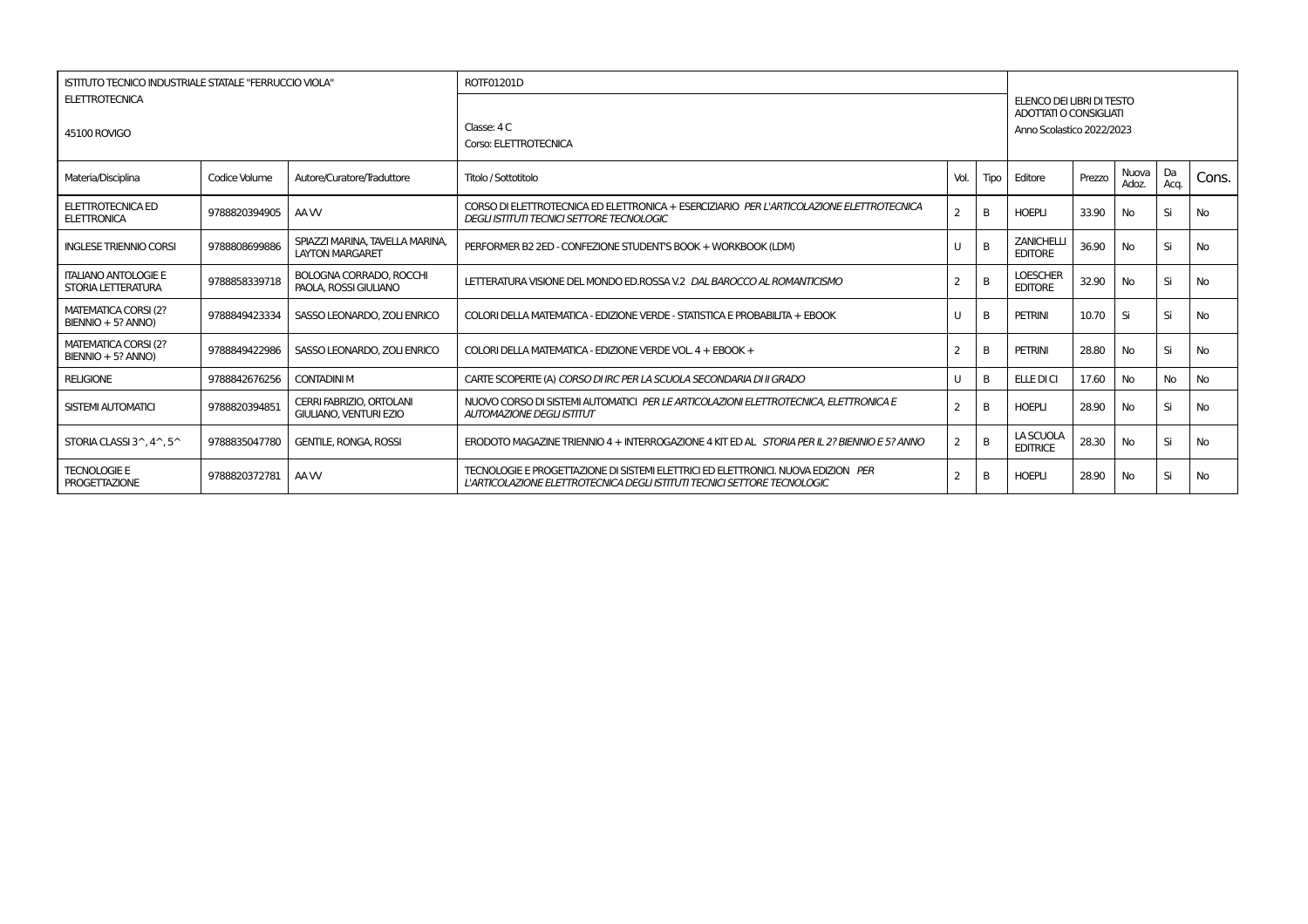| <b>ISTITUTO TECNICO INDUSTRIALE STATALE "FERRUCCIO VIOLA"</b><br><b>ELETTROTECNICA</b> |               |                                                                  | ROTF01201D                                                                                                                                                    |      |      | ELENCO DEI LIBRI DI TESTO<br>ADOTTATI O CONSIGLIATI |        |                |              |           |  |  |
|----------------------------------------------------------------------------------------|---------------|------------------------------------------------------------------|---------------------------------------------------------------------------------------------------------------------------------------------------------------|------|------|-----------------------------------------------------|--------|----------------|--------------|-----------|--|--|
| 45100 ROVIGO                                                                           |               |                                                                  | Classe: 4 C<br>Corso: ELETTROTECNICA                                                                                                                          |      |      | Anno Scolastico 2022/2023                           |        |                |              |           |  |  |
| Materia/Disciplina                                                                     | Codice Volume | Autore/Curatore/Traduttore                                       | Titolo / Sottotitolo                                                                                                                                          | Vol. | Tipo | Editore                                             | Prezzo | Nuova<br>Adoz. | l Da<br>Acq. | Cons.     |  |  |
| ELETTROTECNICA ED<br>ELETTRONICA                                                       | 9788820394905 | AA W                                                             | CORSO DI ELETTROTECNICA ED ELETTRONICA + ESERCIZIARIO PER L'ARTICOLAZIONE ELETTROTECNICA<br>DEGLI ISTITUTI TECNICI SETTORE TECNOLOGIC                         |      |      | <b>HOEPLI</b>                                       | 33.90  | No             | Si           | <b>No</b> |  |  |
| <b>INGLESE TRIENNIO CORSI</b>                                                          | 9788808699886 | SPIAZZI MARINA, TAVELLA MARINA,<br><b>LAYTON MARGARET</b>        | PERFORMER B2 2ED - CONFEZIONE STUDENT'S BOOK + WORKBOOK (LDM)                                                                                                 | U    |      | <b>ZANICHELLI</b><br><b>EDITORE</b>                 | 36.90  | <b>No</b>      | Si           | <b>No</b> |  |  |
| <b>ITALIANO ANTOLOGIE E</b><br>STORIA LETTERATURA                                      | 9788858339718 | <b>BOLOGNA CORRADO, ROCCHI</b><br>PAOLA, ROSSI GIULIANO          | LETTERATURA VISIONE DEL MONDO ED ROSSA V.2 DAL BAROCCO AL ROMANTICISMO                                                                                        |      | B    | <b>LOESCHER</b><br><b>EDITORE</b>                   | 32.90  | <b>No</b>      | Si           | <b>No</b> |  |  |
| MATEMATICA CORSI (2?<br>BIENNIO + 5? ANNO)                                             | 9788849423334 | SASSO LEONARDO, ZOLI ENRICO                                      | COLORI DELLA MATEMATICA - EDIZIONE VERDE - STATISTICA E PROBABILITA + EBOOK                                                                                   | U    | B    | <b>PETRINI</b>                                      | 10.70  | Si             | Si           | <b>No</b> |  |  |
| <b>MATEMATICA CORSI (2?</b><br>BIENNIO + 5? ANNO)                                      | 9788849422986 | SASSO LEONARDO, ZOLI ENRICO                                      | COLORI DELLA MATEMATICA - EDIZIONE VERDE VOL. 4 + EBOOK +                                                                                                     | 2    |      | <b>PETRINI</b>                                      | 28.80  | No             | Si           | <b>No</b> |  |  |
| <b>RELIGIONE</b>                                                                       | 9788842676256 | <b>CONTADINI M</b>                                               | CARTE SCOPERTE (A) CORSO DI IRC PER LA SCUOLA SECONDARIA DI II GRADO                                                                                          | U    | B    | ELLE DI CI                                          | 17.60  | No             | <b>No</b>    | <b>No</b> |  |  |
| SISTEMI AUTOMATICI                                                                     | 9788820394851 | <b>CERRI FABRIZIO, ORTOLANI</b><br><b>GIULIANO, VENTURI EZIO</b> | NUOVO CORSO DI SISTEMI AUTOMATICI PER LE ARTICOLAZIONI ELETTROTECNICA. ELETTRONICA E<br><b>AUTOMAZIONE DEGLI ISTITUT</b>                                      |      |      | <b>HOEPLI</b>                                       | 28.90  | No             | Si           | <b>No</b> |  |  |
| STORIA CLASSI 3^.4^.5^                                                                 | 9788835047780 | <b>GENTILE, RONGA, ROSSI</b>                                     | ERODOTO MAGAZINE TRIENNIO 4 + INTERROGAZIONE 4 KIT ED AL STORIA PER IL 2? BIENNIO E 5? ANNO                                                                   | 2    | B    | LA SCUOLA<br><b>EDITRICE</b>                        | 28.30  | No             | Si           | No        |  |  |
| <b>TECNOLOGIE E</b><br><b>PROGETTAZIONE</b>                                            | 9788820372781 | AA W                                                             | TECNOLOGIE E PROGETTAZIONE DI SISTEMI ELETTRICI ED ELETTRONICI. NUOVA EDIZION PER<br>L'ARTICOLAZIONE ELETTROTECNICA DEGLI ISTITUTI TECNICI SETTORE TECNOLOGIC |      |      | <b>HOEPLI</b>                                       | 28.90  | <b>No</b>      | Si           | <b>No</b> |  |  |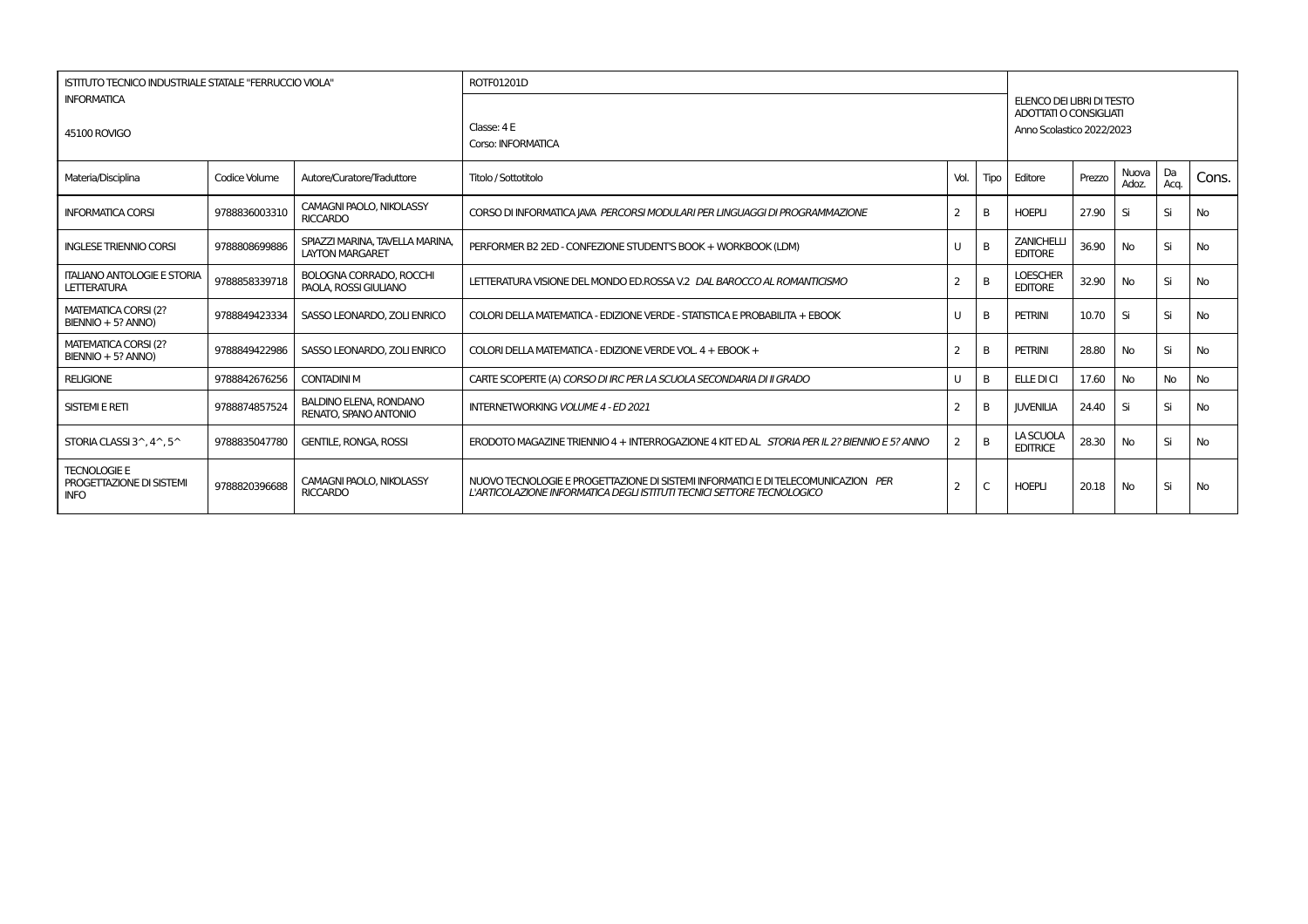| <b>ISTITUTO TECNICO INDUSTRIALE STATALE "FERRUCCIO VIOLA"</b>  |               |                                                           | ROTF01201D                                                                                                                                                  |                                                                                  |      |                                     |        |                |            |           |  |
|----------------------------------------------------------------|---------------|-----------------------------------------------------------|-------------------------------------------------------------------------------------------------------------------------------------------------------------|----------------------------------------------------------------------------------|------|-------------------------------------|--------|----------------|------------|-----------|--|
| <b>INFORMATICA</b><br><b>45100 ROVIGO</b>                      |               |                                                           | Classe: 4 E<br>Corso: INFORMATICA                                                                                                                           | ELENCO DEI LIBRI DI TESTO<br>ADOTTATI O CONSIGLIATI<br>Anno Scolastico 2022/2023 |      |                                     |        |                |            |           |  |
| Materia/Disciplina                                             | Codice Volume | Autore/Curatore/Traduttore                                | Titolo / Sottotitolo                                                                                                                                        | Vol.                                                                             | Tipo | Editore                             | Prezzo | Nuova<br>Adoz. | Da<br>Acq. | Cons.     |  |
| <b>INFORMATICA CORSI</b>                                       | 9788836003310 | <b>CAMAGNI PAOLO, NIKOLASSY</b><br><b>RICCARDO</b>        | CORSO DI INFORMATICA JAVA PERCORSI MODULARI PER LINGUAGGI DI PROGRAMMAZIONE                                                                                 | $\overline{2}$                                                                   | B    | <b>HOEPLI</b>                       | 27.90  | Si             | Si         | <b>No</b> |  |
| <b>INGLESE TRIENNIO CORSI</b>                                  | 9788808699886 | SPIAZZI MARINA, TAVELLA MARINA,<br><b>LAYTON MARGARET</b> | PERFORMER B2 2ED - CONFEZIONE STUDENT'S BOOK + WORKBOOK (LDM)                                                                                               | U                                                                                | B    | <b>ZANICHELLI</b><br><b>EDITORE</b> | 36.90  | <b>No</b>      | Si         | <b>No</b> |  |
| <b>ITALIANO ANTOLOGIE E STORIA</b><br><b>LETTERATURA</b>       | 9788858339718 | <b>BOLOGNA CORRADO, ROCCHI</b><br>PAOLA, ROSSI GIULIANO   | LETTERATURA VISIONE DEL MONDO ED ROSSA V.2 DAL BAROCCO AL ROMANTICISMO                                                                                      | $\overline{2}$                                                                   | B    | <b>LOESCHER</b><br><b>EDITORE</b>   | 32.90  | <b>No</b>      | Si         | <b>No</b> |  |
| MATEMATICA CORSI (2?<br>BIENNIO + 5? ANNO)                     | 9788849423334 | SASSO LEONARDO, ZOLI ENRICO                               | COLORI DELLA MATEMATICA - EDIZIONE VERDE - STATISTICA E PROBABILITA + EBOOK                                                                                 | U                                                                                | B    | <b>PETRINI</b>                      | 10.70  | Si             | Si         | <b>No</b> |  |
| MATEMATICA CORSI (2?<br>BIENNIO + 5? ANNO)                     | 9788849422986 | SASSO LEONARDO, ZOLI ENRICO                               | COLORI DELLA MATEMATICA - EDIZIONE VERDE VOL. 4 + EBOOK +                                                                                                   | $\overline{2}$                                                                   | B    | <b>PETRINI</b>                      | 28.80  | <b>No</b>      | Si         | <b>No</b> |  |
| <b>RELIGIONE</b>                                               | 9788842676256 | <b>CONTADINI M</b>                                        | CARTE SCOPERTE (A) CORSO DI IRC PER LA SCUOLA SECONDARIA DI II GRADO                                                                                        | U                                                                                | B    | ELLE DI CI                          | 17.60  | <b>No</b>      | No         | No        |  |
| <b>SISTEMI E RETI</b>                                          | 9788874857524 | <b>BALDINO ELENA, RONDANO</b><br>RENATO, SPANO ANTONIO    | <b>INTERNETWORKING VOLUME 4 - ED 2021</b>                                                                                                                   | 2                                                                                | B    | <b>JUVENILIA</b>                    | 24.40  | Si             | Si         | <b>No</b> |  |
| STORIA CLASSI 3^.4^.5^                                         | 9788835047780 | <b>GENTILE, RONGA, ROSSI</b>                              | ERODOTO MAGAZINE TRIENNIO 4 + INTERROGAZIONE 4 KIT ED AL STORIA PER IL 2? BIENNIO E 5? ANNO                                                                 | $\overline{2}$                                                                   | B    | LA SCUOLA<br><b>EDITRICE</b>        | 28.30  | <b>No</b>      | Si         | <b>No</b> |  |
| <b>TECNOLOGIE E</b><br>PROGETTAZIONE DI SISTEMI<br><b>INFO</b> | 9788820396688 | CAMAGNI PAOLO, NIKOLASSY<br><b>RICCARDO</b>               | NUOVO TECNOLOGIE E PROGETTAZIONE DI SISTEMI INFORMATICI E DI TELECOMUNICAZION PER<br>L'ARTICOLAZIONE INFORMATICA DEGLI ISTITUTI TECNICI SETTORE TECNOLOGICO | 2                                                                                | C    | <b>HOEPLI</b>                       | 20.18  | <b>No</b>      | Si         | No        |  |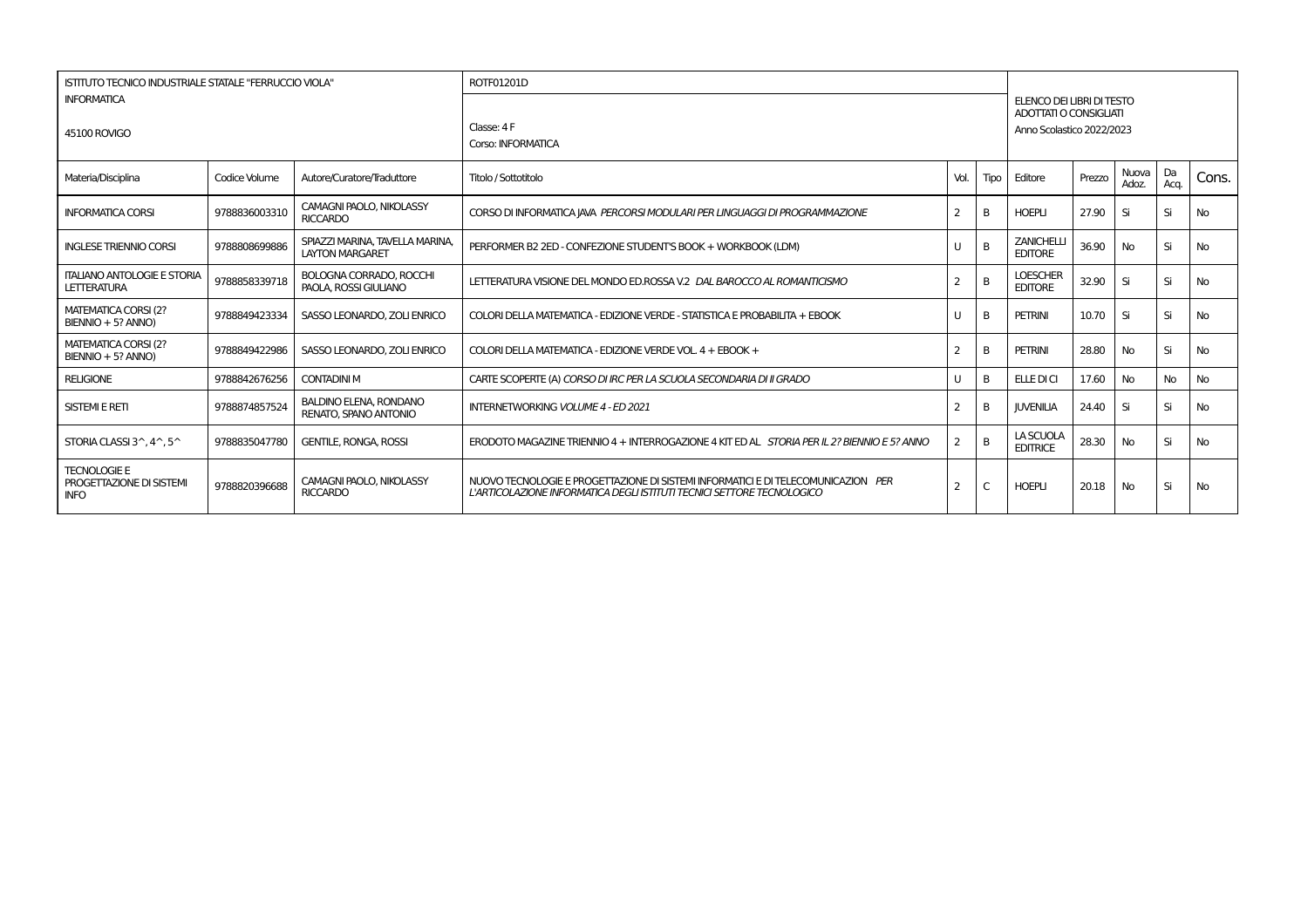| <b>ISTITUTO TECNICO INDUSTRIALE STATALE "FERRUCCIO VIOLA"</b>  |               |                                                           | ROTF01201D                                                                                                                                                  |                |      |                                     |        |                |            |           |  |
|----------------------------------------------------------------|---------------|-----------------------------------------------------------|-------------------------------------------------------------------------------------------------------------------------------------------------------------|----------------|------|-------------------------------------|--------|----------------|------------|-----------|--|
| <b>INFORMATICA</b><br><b>45100 ROVIGO</b>                      |               |                                                           | ELENCO DEI LIBRI DI TESTO<br>ADOTTATI O CONSIGLIATI<br>Classe: 4 F<br>Anno Scolastico 2022/2023<br>Corso: INFORMATICA                                       |                |      |                                     |        |                |            |           |  |
| Materia/Disciplina                                             | Codice Volume | Autore/Curatore/Traduttore                                | Titolo / Sottotitolo                                                                                                                                        | Vol.           | Tipo | Editore                             | Prezzo | Nuova<br>Adoz. | Da<br>Acq. | Cons.     |  |
| <b>INFORMATICA CORSI</b>                                       | 9788836003310 | <b>CAMAGNI PAOLO, NIKOLASSY</b><br><b>RICCARDO</b>        | CORSO DI INFORMATICA JAVA PERCORSI MODULARI PER LINGUAGGI DI PROGRAMMAZIONE                                                                                 | $\overline{2}$ | B    | <b>HOEPLI</b>                       | 27.90  | Si             | Si         | No        |  |
| <b>INGLESE TRIENNIO CORSI</b>                                  | 9788808699886 | SPIAZZI MARINA, TAVELLA MARINA,<br><b>LAYTON MARGARET</b> | PERFORMER B2 2ED - CONFEZIONE STUDENT'S BOOK + WORKBOOK (LDM)                                                                                               | U              | B    | <b>ZANICHELLI</b><br><b>EDITORE</b> | 36.90  | <b>No</b>      | Si         | No        |  |
| <b>ITALIANO ANTOLOGIE E STORIA</b><br><b>LETTERATURA</b>       | 9788858339718 | <b>BOLOGNA CORRADO, ROCCHI</b><br>PAOLA, ROSSI GIULIANO   | LETTERATURA VISIONE DEL MONDO ED ROSSA V.2 DAL BAROCCO AL ROMANTICISMO                                                                                      | $\overline{2}$ | B    | <b>LOESCHER</b><br><b>EDITORE</b>   | 32.90  | Si             | Si         | <b>No</b> |  |
| MATEMATICA CORSI (2?<br>BIENNIO + 5? ANNO)                     | 9788849423334 | SASSO LEONARDO, ZOLI ENRICO                               | COLORI DELLA MATEMATICA - EDIZIONE VERDE - STATISTICA E PROBABILITA + EBOOK                                                                                 | U              | B    | <b>PETRINI</b>                      | 10.70  | Si             | Si         | No        |  |
| MATEMATICA CORSI (2?<br>BIENNIO + 5? ANNO)                     | 9788849422986 | SASSO LEONARDO, ZOLI ENRICO                               | COLORI DELLA MATEMATICA - EDIZIONE VERDE VOL. 4 + EBOOK +                                                                                                   | $\overline{2}$ | B    | <b>PETRINI</b>                      | 28.80  | <b>No</b>      | Si         | <b>No</b> |  |
| <b>RELIGIONE</b>                                               | 9788842676256 | <b>CONTADINI M</b>                                        | CARTE SCOPERTE (A) CORSO DI IRC PER LA SCUOLA SECONDARIA DI II GRADO                                                                                        | U              | B    | ELLE DI CI                          | 17.60  | <b>No</b>      | No         | No        |  |
| <b>SISTEMI E RETI</b>                                          | 9788874857524 | <b>BALDINO ELENA, RONDANO</b><br>RENATO, SPANO ANTONIO    | <b>INTERNETWORKING VOLUME 4 - ED 2021</b>                                                                                                                   | 2              | B    | <b>JUVENILIA</b>                    | 24.40  | Si             | Si         | <b>No</b> |  |
| STORIA CLASSI 3^.4^.5^                                         | 9788835047780 | <b>GENTILE, RONGA, ROSSI</b>                              | ERODOTO MAGAZINE TRIENNIO 4 + INTERROGAZIONE 4 KIT ED AL STORIA PER IL 2? BIENNIO E 5? ANNO                                                                 | $\overline{2}$ | B    | LA SCUOLA<br><b>EDITRICE</b>        | 28.30  | <b>No</b>      | Si         | <b>No</b> |  |
| <b>TECNOLOGIE E</b><br>PROGETTAZIONE DI SISTEMI<br><b>INFO</b> | 9788820396688 | CAMAGNI PAOLO, NIKOLASSY<br><b>RICCARDO</b>               | NUOVO TECNOLOGIE E PROGETTAZIONE DI SISTEMI INFORMATICI E DI TELECOMUNICAZION PER<br>L'ARTICOLAZIONE INFORMATICA DEGLI ISTITUTI TECNICI SETTORE TECNOLOGICO | 2              | C    | <b>HOEPLI</b>                       | 20.18  | <b>No</b>      | Si         | No        |  |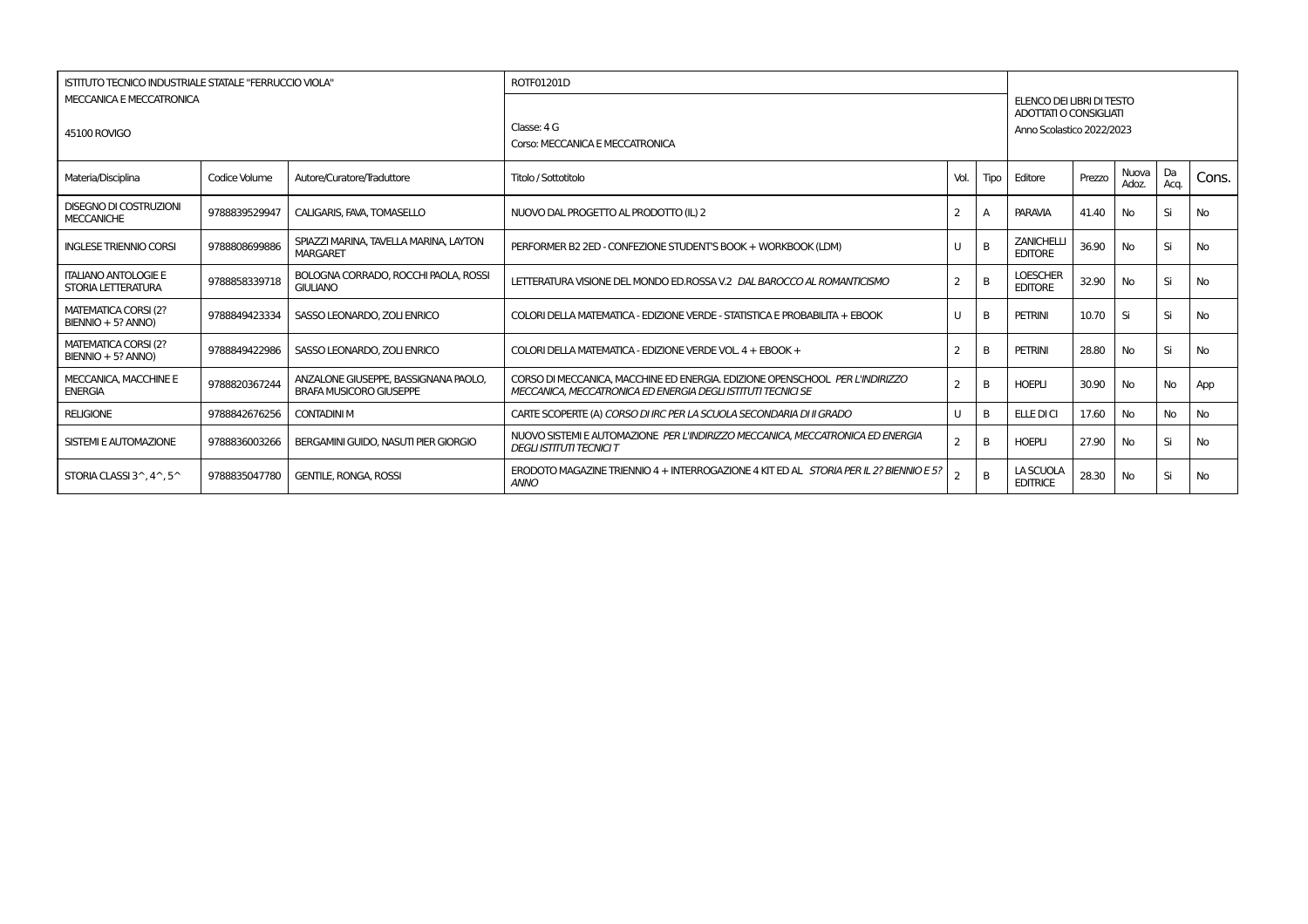| MECCANICA E MECCATRONICA<br>45100 ROVIGO                 | ISTITUTO TECNICO INDUSTRIALE STATALE "FERRUCCIO VIOLA"<br>ROTF01201D<br>Classe: 4 G<br>Corso: MECCANICA E MECCATRONICA |                                                                        |                                                                                                                                              |                |      | ELENCO DEI LIBRI DI TESTO<br>ADOTTATI O CONSIGLIATI<br>Anno Scolastico 2022/2023 |        |                |            |           |  |
|----------------------------------------------------------|------------------------------------------------------------------------------------------------------------------------|------------------------------------------------------------------------|----------------------------------------------------------------------------------------------------------------------------------------------|----------------|------|----------------------------------------------------------------------------------|--------|----------------|------------|-----------|--|
| Materia/Disciplina                                       | Codice Volume                                                                                                          | Autore/Curatore/Traduttore                                             | Titolo / Sottotitolo                                                                                                                         | Vol.           | Tipo | Editore                                                                          | Prezzo | Nuova<br>Adoz. | Da<br>Acq. | Cons.     |  |
| <b>DISEGNO DI COSTRUZIONI</b><br><b>MECCANICHE</b>       | 9788839529947                                                                                                          | CALIGARIS, FAVA, TOMASELLO                                             | NUOVO DAL PROGETTO AL PRODOTTO (IL) 2                                                                                                        | 2              |      | <b>PARAVIA</b>                                                                   | 41.40  | No.            | Si         | <b>No</b> |  |
| <b>INGLESE TRIENNIO CORSI</b>                            | 9788808699886                                                                                                          | SPIAZZI MARINA. TAVELLA MARINA. LAYTON<br><b>MARGARET</b>              | PERFORMER B2 2ED - CONFEZIONE STUDENT'S BOOK + WORKBOOK (LDM)                                                                                | U              |      | <b>ZANICHELLI</b><br><b>EDITORE</b>                                              | 36.90  | No             | Si         | No        |  |
| <b>ITALIANO ANTOLOGIE E</b><br>STORIA LETTERATURA        | 9788858339718                                                                                                          | BOLOGNA CORRADO, ROCCHI PAOLA, ROSSI<br><b>GIULIANO</b>                | LETTERATURA VISIONE DEL MONDO ED.ROSSA V.2 DAL BAROCCO AL ROMANTICISMO                                                                       | $\overline{2}$ |      | <b>LOESCHER</b><br><b>EDITORE</b>                                                | 32.90  | No             | Si         | <b>No</b> |  |
| MATEMATICA CORSI (2?<br>BIENNIO + 5? ANNO)               | 9788849423334                                                                                                          | SASSO LEONARDO, ZOLI ENRICO                                            | COLORI DELLA MATEMATICA - EDIZIONE VERDE - STATISTICA E PROBABILITA + EBOOK                                                                  | U              |      | <b>PETRINI</b>                                                                   | 10.70  | Si             | Si         | <b>No</b> |  |
| MATEMATICA CORSI (2?<br>BIENNIO + 5? ANNO)               | 9788849422986                                                                                                          | SASSO LEONARDO, ZOLI ENRICO                                            | COLORI DELLA MATEMATICA - EDIZIONE VERDE VOL. 4 + EBOOK +                                                                                    | 2              | B    | <b>PETRINI</b>                                                                   | 28.80  | No             | Si         | <b>No</b> |  |
| MECCANICA, MACCHINE E<br><b>ENERGIA</b>                  | 9788820367244                                                                                                          | ANZALONE GIUSEPPE, BASSIGNANA PAOLO.<br><b>BRAFA MUSICORO GIUSEPPE</b> | CORSO DI MECCANICA. MACCHINE ED ENERGIA. EDIZIONE OPENSCHOOL PER L'INDIRIZZO<br>MECCANICA. MECCATRONICA ED ENERGIA DEGLI ISTITUTI TECNICI SE | $\overline{2}$ |      | <b>HOEPLI</b>                                                                    | 30.90  | No             | <b>No</b>  | App       |  |
| <b>RELIGIONE</b>                                         | 9788842676256                                                                                                          | <b>CONTADINI M</b>                                                     | CARTE SCOPERTE (A) CORSO DI IRC PER LA SCUOLA SECONDARIA DI II GRADO                                                                         | U              | B    | <b>ELLE DICI</b>                                                                 | 17.60  | No.            | <b>No</b>  | <b>No</b> |  |
| SISTEMI E AUTOMAZIONE                                    | 9788836003266                                                                                                          | BERGAMINI GUIDO, NASUTI PIER GIORGIO                                   | NUOVO SISTEMI E AUTOMAZIONE PER L'INDIRIZZO MECCANICA, MECCATRONICA ED ENERGIA<br><b>DEGLI ISTITUTI TECNICI T</b>                            | 2              | B    | <b>HOEPLI</b>                                                                    | 27.90  | No             | Si         | No        |  |
| STORIA CLASSI $3^{\wedge}$ , $4^{\wedge}$ , $5^{\wedge}$ | 9788835047780                                                                                                          | <b>GENTILE, RONGA, ROSSI</b>                                           | ERODOTO MAGAZINE TRIENNIO 4 + INTERROGAZIONE 4 KIT ED AL STORIA PER IL 2? BIENNIO E 5?<br><b>ANNO</b>                                        |                |      | LA SCUOLA<br><b>EDITRICE</b>                                                     | 28.30  | No             | Si         | No        |  |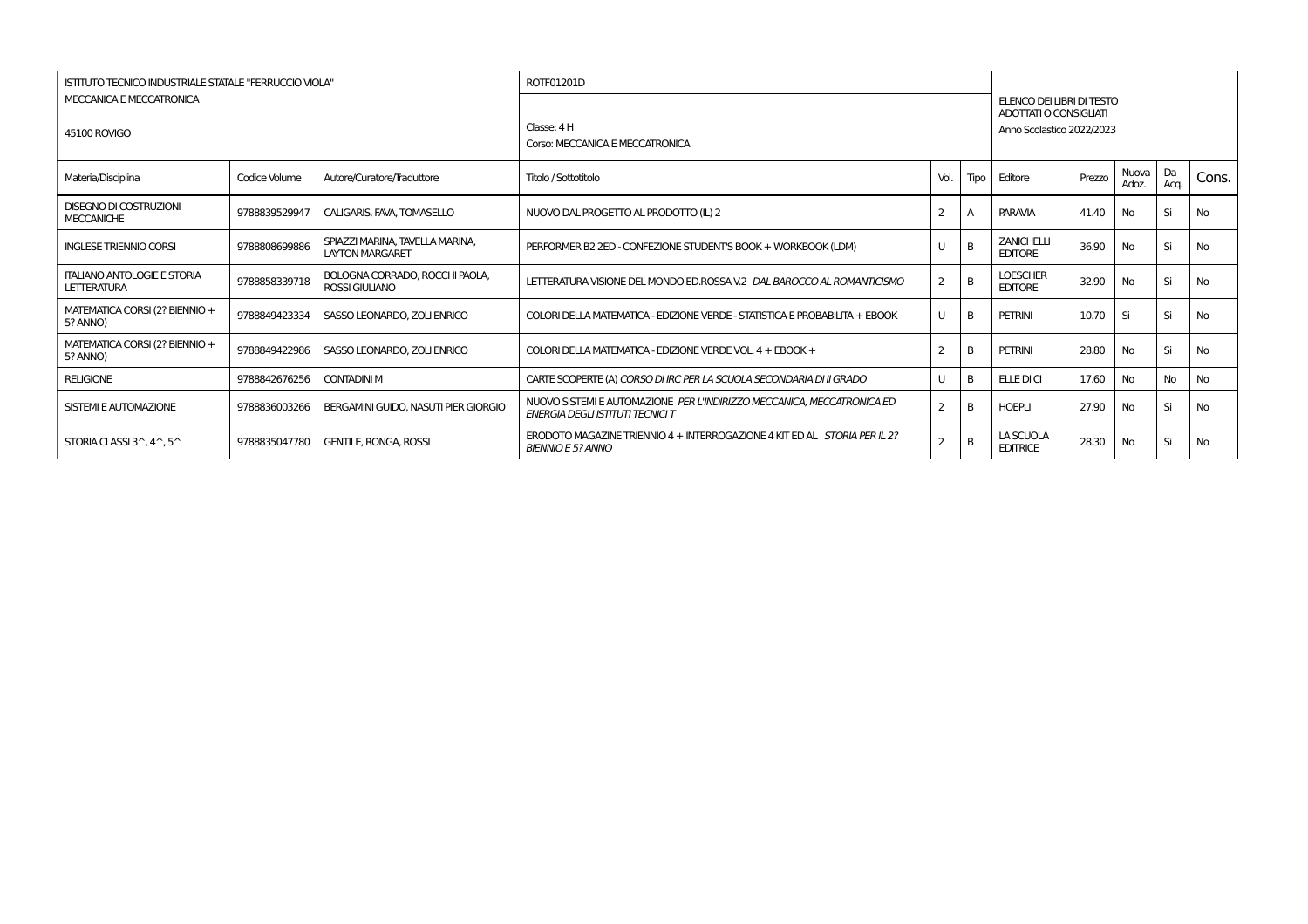|                                                          | <b>ISTITUTO TECNICO INDUSTRIALE STATALE "FERRUCCIO VIOLA"</b> |                                                           | ROTF01201D                                                                                                   |                |      |                                                                                  |        |                |            |           |  |  |
|----------------------------------------------------------|---------------------------------------------------------------|-----------------------------------------------------------|--------------------------------------------------------------------------------------------------------------|----------------|------|----------------------------------------------------------------------------------|--------|----------------|------------|-----------|--|--|
| MECCANICA E MECCATRONICA<br>45100 ROVIGO                 |                                                               |                                                           | Classe: 4 H<br>Corso: MECCANICA E MECCATRONICA                                                               |                |      | ELENCO DEI LIBRI DI TESTO<br>ADOTTATI O CONSIGLIATI<br>Anno Scolastico 2022/2023 |        |                |            |           |  |  |
| Materia/Disciplina                                       | Codice Volume                                                 | Autore/Curatore/Traduttore                                | Titolo / Sottotitolo                                                                                         | Vol.           | Tipo | Editore                                                                          | Prezzo | Nuova<br>Adoz. | Da<br>Aca. | Cons.     |  |  |
| <b>DISEGNO DI COSTRUZIONI</b><br><b>MECCANICHE</b>       | 9788839529947                                                 | CALIGARIS, FAVA, TOMASELLO                                | NUOVO DAL PROGETTO AL PRODOTTO (IL) 2                                                                        |                |      | PARAVIA                                                                          | 41.40  | <b>No</b>      | Si         | <b>No</b> |  |  |
| <b>INGLESE TRIENNIO CORSI</b>                            | 9788808699886                                                 | SPIAZZI MARINA. TAVELLA MARINA.<br><b>LAYTON MARGARET</b> | PERFORMER B2 2ED - CONFEZIONE STUDENT'S BOOK + WORKBOOK (LDM)                                                |                | B    | <b>ZANICHELLI</b><br><b>EDITORE</b>                                              | 36.90  | <b>No</b>      | Si         | <b>No</b> |  |  |
| <b>ITALIANO ANTOLOGIE E STORIA</b><br><b>LETTERATURA</b> | 9788858339718                                                 | BOLOGNA CORRADO, ROCCHI PAOLA.<br><b>ROSSI GIULIANO</b>   | LETTERATURA VISIONE DEL MONDO ED.ROSSA V.2 DAL BAROCCO AL ROMANTICISMO                                       | $\overline{2}$ | B    | <b>LOESCHER</b><br><b>EDITORE</b>                                                | 32.90  | <b>No</b>      | Si         | No.       |  |  |
| MATEMATICA CORSI (2? BIENNIO +<br>5? ANNO)               | 9788849423334                                                 | SASSO LEONARDO, ZOLI ENRICO                               | COLORI DELLA MATEMATICA - EDIZIONE VERDE - STATISTICA E PROBABILITA + EBOOK                                  | $\cup$         | B    | PETRINI                                                                          | 10.70  | Si             | Si         | <b>No</b> |  |  |
| MATEMATICA CORSI (2? BIENNIO +<br>5? ANNO)               | 9788849422986                                                 | SASSO LEONARDO, ZOLI ENRICO                               | COLORI DELLA MATEMATICA - EDIZIONE VERDE VOL. 4 + EBOOK +                                                    |                | B    | PETRINI                                                                          | 28.80  | <b>No</b>      | Si         | <b>No</b> |  |  |
| <b>RELIGIONE</b>                                         | 9788842676256                                                 | <b>CONTADINI M</b>                                        | CARTE SCOPERTE (A) CORSO DI IRC PER LA SCUOLA SECONDARIA DI II GRADO                                         | U              | B    | <b>ELLE DI CI</b>                                                                | 17.60  | <b>No</b>      | <b>No</b>  | <b>No</b> |  |  |
| SISTEMI E AUTOMAZIONE                                    | 9788836003266                                                 | BERGAMINI GUIDO, NASUTI PIER GIORGIO                      | NUOVO SISTEMI E AUTOMAZIONE PER L'INDIRIZZO MECCANICA, MECCATRONICA ED<br>ENERGIA DEGLI ISTITUTI TECNICI T   |                | B    | <b>HOEPLI</b>                                                                    | 27.90  | <b>No</b>      | Si         | <b>No</b> |  |  |
| STORIA CLASSI $3^{\wedge}$ , $4^{\wedge}$ , $5^{\wedge}$ | 9788835047780                                                 | <b>GENTILE, RONGA, ROSSI</b>                              | ERODOTO MAGAZINE TRIENNIO 4 + INTERROGAZIONE 4 KIT ED AL <i>STORIA PER IL 2?</i><br><b>BIENNIO E 5? ANNO</b> |                | B    | LA SCUOLA<br><b>EDITRICE</b>                                                     | 28.30  | No             | Si         | No        |  |  |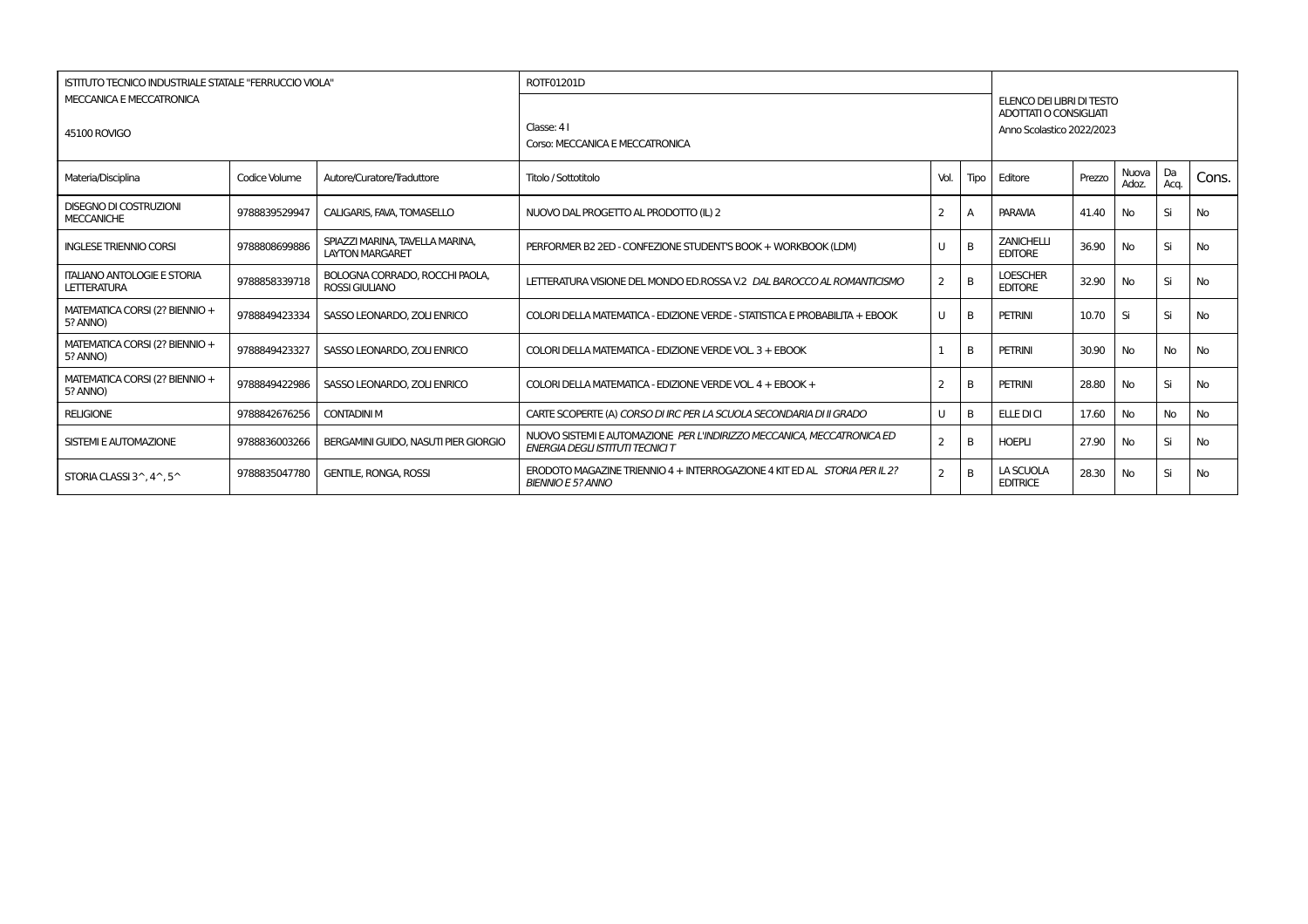|                                                          | <b>ISTITUTO TECNICO INDUSTRIALE STATALE "FERRUCCIO VIOLA"</b> |                                                           | ROTF01201D                                                                                                        |                |      |                                                            |        |                |            |           |
|----------------------------------------------------------|---------------------------------------------------------------|-----------------------------------------------------------|-------------------------------------------------------------------------------------------------------------------|----------------|------|------------------------------------------------------------|--------|----------------|------------|-----------|
| MECCANICA E MECCATRONICA                                 |                                                               |                                                           |                                                                                                                   |                |      | ELENCO DEI LIBRI DI TESTO<br><b>ADOTTATI O CONSIGLIATI</b> |        |                |            |           |
| 45100 ROVIGO                                             |                                                               |                                                           | Classe: 41<br>Corso: MECCANICA E MECCATRONICA                                                                     |                |      | Anno Scolastico 2022/2023                                  |        |                |            |           |
| Materia/Disciplina                                       | Codice Volume                                                 | Autore/Curatore/Traduttore                                | Titolo / Sottotitolo                                                                                              | Vol.           | Tipo | Editore                                                    | Prezzo | Nuova<br>Adoz. | Da<br>Aca. | Cons.     |
| <b>DISEGNO DI COSTRUZIONI</b><br><b>MECCANICHE</b>       | 9788839529947                                                 | CALIGARIS, FAVA, TOMASELLO                                | NUOVO DAL PROGETTO AL PRODOTTO (IL) 2                                                                             | 2              | А    | PARAVIA                                                    | 41.40  | No             | Si         | <b>No</b> |
| <b>INGLESE TRIENNIO CORSI</b>                            | 9788808699886                                                 | SPIAZZI MARINA, TAVELLA MARINA,<br><b>LAYTON MARGARET</b> | PERFORMER B2 2ED - CONFEZIONE STUDENT'S BOOK + WORKBOOK (LDM)                                                     | U              | B    | <b>ZANICHELLI</b><br><b>EDITORE</b>                        | 36.90  | No             | Si         | <b>No</b> |
| <b>ITALIANO ANTOLOGIE E STORIA</b><br>LETTERATURA        | 9788858339718                                                 | BOLOGNA CORRADO, ROCCHI PAOLA,<br><b>ROSSI GIULIANO</b>   | LETTERATURA VISIONE DEL MONDO ED.ROSSA V.2 DAL BAROCCO AL ROMANTICISMO                                            | 2              | B    | <b>LOESCHER</b><br><b>EDITORE</b>                          | 32.90  | No             | Si         | <b>No</b> |
| MATEMATICA CORSI (2? BIENNIO +<br>5? ANNO)               | 9788849423334                                                 | SASSO LEONARDO, ZOLI ENRICO                               | COLORI DELLA MATEMATICA - EDIZIONE VERDE - STATISTICA E PROBABILITA + EBOOK                                       | U              | R    | PETRINI                                                    | 10.70  | Si             | Si         | <b>No</b> |
| MATEMATICA CORSI (2? BIENNIO +<br>5? ANNO)               | 9788849423327                                                 | SASSO LEONARDO, ZOLI ENRICO                               | COLORI DELLA MATEMATICA - EDIZIONE VERDE VOL. 3 + EBOOK                                                           |                | R    | PETRINI                                                    | 30.90  | No             | No         | <b>No</b> |
| MATEMATICA CORSI (2? BIENNIO +<br>5? ANNO)               | 9788849422986                                                 | SASSO LEONARDO, ZOLI ENRICO                               | COLORI DELLA MATEMATICA - EDIZIONE VERDE VOL. 4 + EBOOK +                                                         | 2              | B    | PETRINI                                                    | 28.80  | No             | Si         | <b>No</b> |
| <b>RELIGIONE</b>                                         | 9788842676256                                                 | <b>CONTADINI M</b>                                        | CARTE SCOPERTE (A) CORSO DI IRC PER LA SCUOLA SECONDARIA DI II GRADO                                              | U              | B    | <b>ELLE DI CI</b>                                          | 17.60  | No             | <b>No</b>  | <b>No</b> |
| SISTEMI E AUTOMAZIONE                                    | 9788836003266                                                 | <b>BERGAMINI GUIDO, NASUTI PIER GIORGIO</b>               | NUOVO SISTEMI E AUTOMAZIONE PER L'INDIRIZZO MECCANICA, MECCATRONICA ED<br><b>ENERGIA DEGLI ISTITUTI TECNICI T</b> | $\overline{2}$ | B    | <b>HOEPLI</b>                                              | 27.90  | No             | Si         | <b>No</b> |
| STORIA CLASSI $3^{\wedge}$ , $4^{\wedge}$ , $5^{\wedge}$ | 9788835047780                                                 | <b>GENTILE, RONGA, ROSSI</b>                              | ERODOTO MAGAZINE TRIENNIO 4 + INTERROGAZIONE 4 KIT ED AL STORIA PER IL 2?<br><b>BIENNIO E 5? ANNO</b>             | $\mathcal{P}$  | B    | LA SCUOLA<br><b>EDITRICE</b>                               | 28.30  | No             | Si         | <b>No</b> |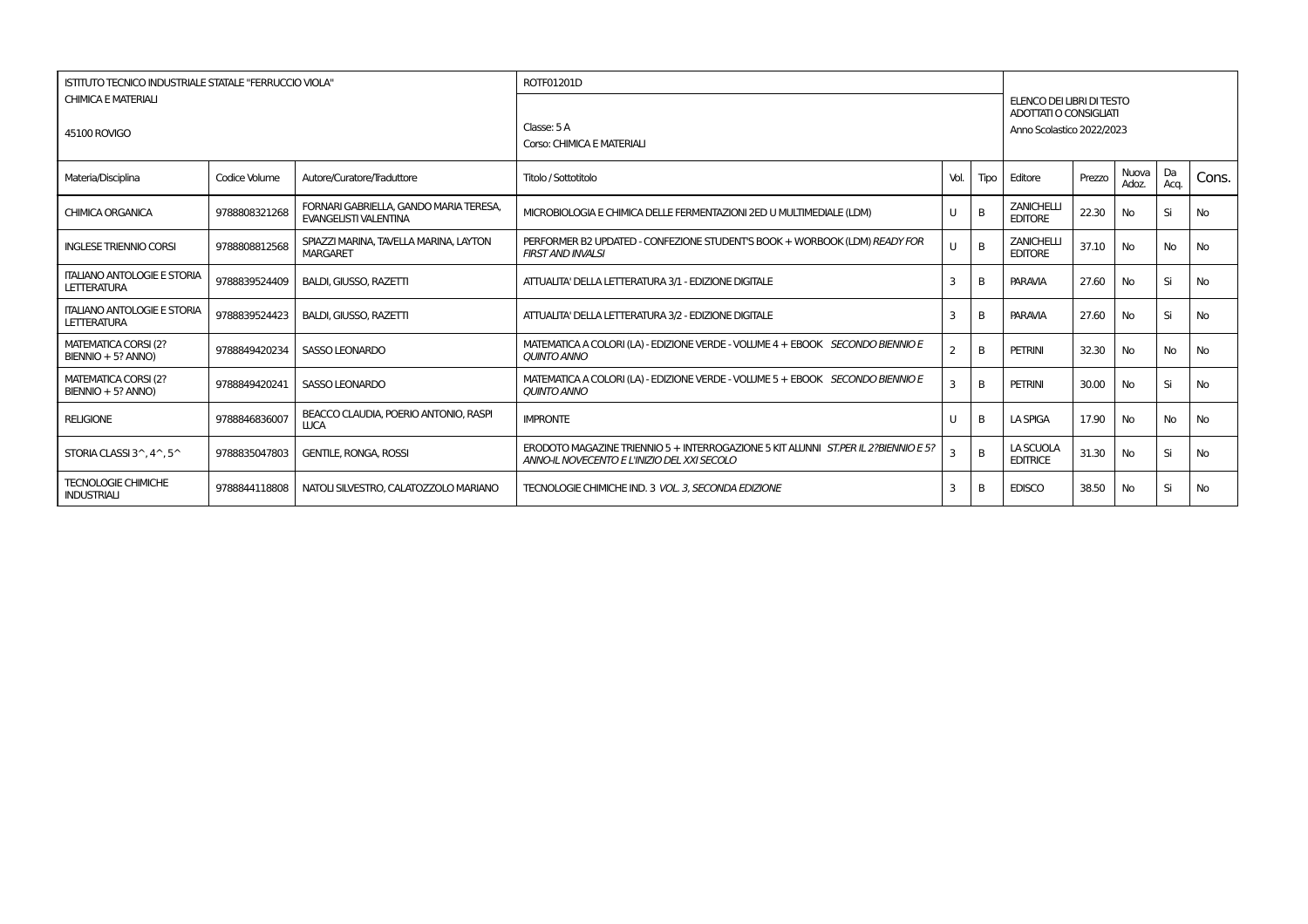|                                                          | <b>ISTITUTO TECNICO INDUSTRIALE STATALE "FERRUCCIO VIOLA"</b> |                                                                        | ROTF01201D                                                                                                                        |                |      |                                                                                         |        |                |            |           |
|----------------------------------------------------------|---------------------------------------------------------------|------------------------------------------------------------------------|-----------------------------------------------------------------------------------------------------------------------------------|----------------|------|-----------------------------------------------------------------------------------------|--------|----------------|------------|-----------|
| <b>CHIMICA E MATERIALI</b><br>45100 ROVIGO               |                                                               |                                                                        | Classe: 5A<br>Corso: CHIMICA E MATERIALI                                                                                          |                |      | ELENCO DEI LIBRI DI TESTO<br><b>ADOTTATI O CONSIGLIATI</b><br>Anno Scolastico 2022/2023 |        |                |            |           |
|                                                          |                                                               |                                                                        |                                                                                                                                   |                |      |                                                                                         |        |                |            |           |
| Materia/Disciplina                                       | Codice Volume                                                 | Autore/Curatore/Traduttore                                             | Titolo / Sottotitolo                                                                                                              | Vol.           | Tipo | Editore                                                                                 | Prezzo | Nuova<br>Adoz. | Da<br>Aca. | Cons.     |
| <b>CHIMICA ORGANICA</b>                                  | 9788808321268                                                 | FORNARI GABRIELLA, GANDO MARIA TERESA,<br><b>EVANGELISTI VALENTINA</b> | MICROBIOLOGIA E CHIMICA DELLE FERMENTAZIONI 2ED U MULTIMEDIALE (LDM)                                                              | U              | B    | <b>ZANICHELLI</b><br><b>EDITORE</b>                                                     | 22.30  | <b>No</b>      | Si         | <b>No</b> |
| <b>INGLESE TRIENNIO CORSI</b>                            | 9788808812568                                                 | SPIAZZI MARINA, TAVELLA MARINA, LAYTON<br><b>MARGARET</b>              | PERFORMER B2 UPDATED - CONFEZIONE STUDENT'S BOOK + WORBOOK (LDM) READY FOR<br><b>FIRST AND INVALSI</b>                            | U              | B    | <b>ZANICHELLI</b><br><b>EDITORE</b>                                                     | 37.10  | <b>No</b>      | <b>No</b>  | No        |
| <b>ITALIANO ANTOLOGIE E STORIA</b><br><b>LETTERATURA</b> | 9788839524409                                                 | <b>BALDI, GIUSSO, RAZETTI</b>                                          | ATTUALITA' DELLA LETTERATURA 3/1 - EDIZIONE DIGITALE                                                                              | 3              | B    | <b>PARAVIA</b>                                                                          | 27.60  | <b>No</b>      | Si         | No        |
| <b>ITALIANO ANTOLOGIE E STORIA</b><br><b>LETTERATURA</b> | 9788839524423                                                 | <b>BALDI, GIUSSO, RAZETTI</b>                                          | ATTUALITA' DELLA LETTERATURA 3/2 - EDIZIONE DIGITALE                                                                              | 3              | B    | <b>PARAVIA</b>                                                                          | 27.60  | No             | Si         | <b>No</b> |
| MATEMATICA CORSI (2?<br>BIENNIO + 5? ANNO)               | 9788849420234                                                 | SASSO LEONARDO                                                         | MATEMATICA A COLORI (LA) - EDIZIONE VERDE - VOLUME 4 + EBOOK SECONDO BIENNIO E<br><b>OUINTO ANNO</b>                              | $\overline{2}$ | B    | <b>PETRINI</b>                                                                          | 32.30  | <b>No</b>      | <b>No</b>  | <b>No</b> |
| MATEMATICA CORSI (2?<br>BIENNIO + 5? ANNO)               | 9788849420241                                                 | SASSO LEONARDO                                                         | MATEMATICA A COLORI (LA) - EDIZIONE VERDE - VOLUME 5 + EBOOK SECONDO BIENNIO E<br><b>OUINTO ANNO</b>                              | 3              | B    | <b>PETRINI</b>                                                                          | 30.00  | <b>No</b>      | Si         | <b>No</b> |
| <b>RELIGIONE</b>                                         | 9788846836007                                                 | BEACCO CLAUDIA, POERIO ANTONIO, RASPI<br><b>LUCA</b>                   | <b>IMPRONTE</b>                                                                                                                   | U              | B    | <b>LA SPIGA</b>                                                                         | 17.90  | <b>No</b>      | No         | No        |
| STORIA CLASSI $3^{\wedge}$ , $4^{\wedge}$ , $5^{\wedge}$ | 9788835047803                                                 | <b>GENTILE, RONGA, ROSSI</b>                                           | ERODOTO MAGAZINE TRIENNIO 5 + INTERROGAZIONE 5 KIT ALUNNI ST.PER IL 2?BIENNIO E 5?<br>ANNO-IL NOVECENTO E L'INIZIO DEL XXI SECOLO | 3              | B    | LA SCUOLA<br><b>EDITRICE</b>                                                            | 31.30  | No             | Si         | <b>No</b> |
| <b>TECNOLOGIE CHIMICHE</b><br><b>INDUSTRIALI</b>         | 9788844118808                                                 | NATOLI SILVESTRO, CALATOZZOLO MARIANO                                  | TECNOLOGIE CHIMICHE IND. 3 VOL. 3, SECONDA EDIZIONE                                                                               | 3              | B    | <b>EDISCO</b>                                                                           | 38.50  | <b>No</b>      | Si         | No        |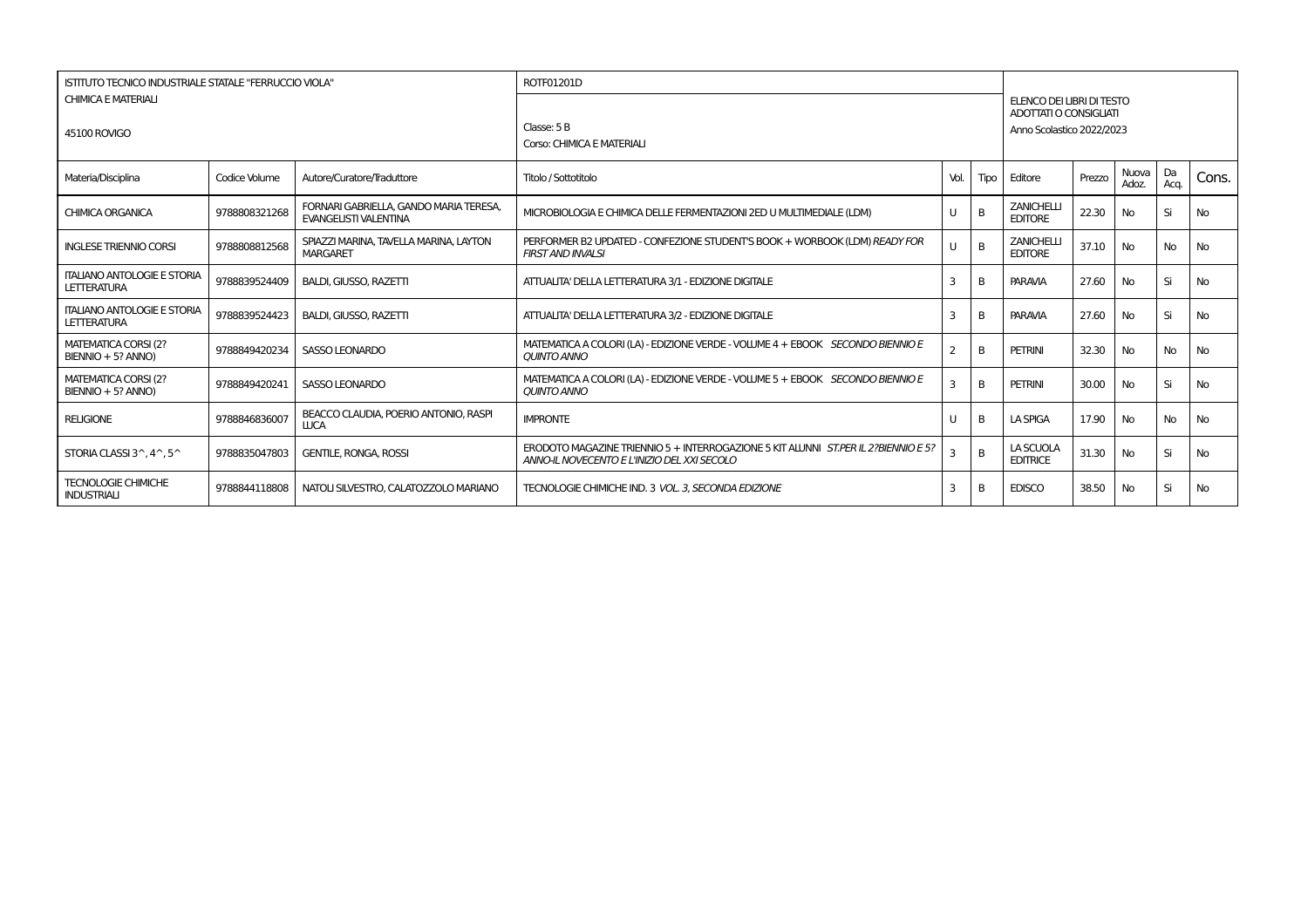|                                                          | <b>ISTITUTO TECNICO INDUSTRIALE STATALE "FERRUCCIO VIOLA"</b> |                                                                        | ROTF01201D                                                                                                                        |                |      |                                                                                         |        |                |            |           |
|----------------------------------------------------------|---------------------------------------------------------------|------------------------------------------------------------------------|-----------------------------------------------------------------------------------------------------------------------------------|----------------|------|-----------------------------------------------------------------------------------------|--------|----------------|------------|-----------|
| <b>CHIMICA E MATERIALI</b><br>45100 ROVIGO               |                                                               |                                                                        | Classe: 5B<br>Corso: CHIMICA E MATERIALI                                                                                          |                |      | ELENCO DEI LIBRI DI TESTO<br><b>ADOTTATI O CONSIGLIATI</b><br>Anno Scolastico 2022/2023 |        |                |            |           |
| Materia/Disciplina                                       | Codice Volume                                                 | Autore/Curatore/Traduttore                                             | Titolo / Sottotitolo                                                                                                              | Vol.           | Tipo | Editore                                                                                 | Prezzo | Nuova<br>Adoz. | Da<br>Aca. | Cons.     |
| <b>CHIMICA ORGANICA</b>                                  | 9788808321268                                                 | FORNARI GABRIELLA, GANDO MARIA TERESA,<br><b>EVANGELISTI VALENTINA</b> | MICROBIOLOGIA E CHIMICA DELLE FERMENTAZIONI 2ED U MULTIMEDIALE (LDM)                                                              | U              | B    | <b>ZANICHELLI</b><br><b>EDITORE</b>                                                     | 22.30  | <b>No</b>      | Si         | <b>No</b> |
| <b>INGLESE TRIENNIO CORSI</b>                            | 9788808812568                                                 | SPIAZZI MARINA, TAVELLA MARINA, LAYTON<br><b>MARGARET</b>              | PERFORMER B2 UPDATED - CONFEZIONE STUDENT'S BOOK + WORBOOK (LDM) READY FOR<br><b>FIRST AND INVALSI</b>                            | U              | B    | <b>ZANICHELLI</b><br><b>EDITORE</b>                                                     | 37.10  | <b>No</b>      | <b>No</b>  | No        |
| <b>ITALIANO ANTOLOGIE E STORIA</b><br><b>LETTERATURA</b> | 9788839524409                                                 | <b>BALDI, GIUSSO, RAZETTI</b>                                          | ATTUALITA' DELLA LETTERATURA 3/1 - EDIZIONE DIGITALE                                                                              | 3              | B    | <b>PARAVIA</b>                                                                          | 27.60  | <b>No</b>      | Si         | No        |
| <b>ITALIANO ANTOLOGIE E STORIA</b><br><b>LETTERATURA</b> | 9788839524423                                                 | <b>BALDI, GIUSSO, RAZETTI</b>                                          | ATTUALITA' DELLA LETTERATURA 3/2 - EDIZIONE DIGITALE                                                                              | 3              | B    | <b>PARAVIA</b>                                                                          | 27.60  | No             | Si         | <b>No</b> |
| MATEMATICA CORSI (2?<br>BIENNIO + 5? ANNO)               | 9788849420234                                                 | SASSO LEONARDO                                                         | MATEMATICA A COLORI (LA) - EDIZIONE VERDE - VOLUME 4 + EBOOK SECONDO BIENNIO E<br><b>OUINTO ANNO</b>                              | $\overline{2}$ | B    | <b>PETRINI</b>                                                                          | 32.30  | <b>No</b>      | <b>No</b>  | <b>No</b> |
| MATEMATICA CORSI (2?<br>BIENNIO + 5? ANNO)               | 9788849420241                                                 | SASSO LEONARDO                                                         | MATEMATICA A COLORI (LA) - EDIZIONE VERDE - VOLUME 5 + EBOOK SECONDO BIENNIO E<br><b>OUINTO ANNO</b>                              | 3              | B    | <b>PETRINI</b>                                                                          | 30.00  | <b>No</b>      | Si         | <b>No</b> |
| <b>RELIGIONE</b>                                         | 9788846836007                                                 | BEACCO CLAUDIA, POERIO ANTONIO, RASPI<br><b>LUCA</b>                   | <b>IMPRONTE</b>                                                                                                                   | U              | B    | <b>LA SPIGA</b>                                                                         | 17.90  | <b>No</b>      | No         | No        |
| STORIA CLASSI $3^{\wedge}$ , $4^{\wedge}$ , $5^{\wedge}$ | 9788835047803                                                 | <b>GENTILE, RONGA, ROSSI</b>                                           | ERODOTO MAGAZINE TRIENNIO 5 + INTERROGAZIONE 5 KIT ALUNNI ST.PER IL 2?BIENNIO E 5?<br>ANNO-IL NOVECENTO E L'INIZIO DEL XXI SECOLO | 3              | B    | LA SCUOLA<br><b>EDITRICE</b>                                                            | 31.30  | No             | Si         | <b>No</b> |
| <b>TECNOLOGIE CHIMICHE</b><br><b>INDUSTRIALI</b>         | 9788844118808                                                 | NATOLI SILVESTRO, CALATOZZOLO MARIANO                                  | TECNOLOGIE CHIMICHE IND. 3 VOL. 3, SECONDA EDIZIONE                                                                               | 3              | B    | <b>EDISCO</b>                                                                           | 38.50  | <b>No</b>      | Si         | No        |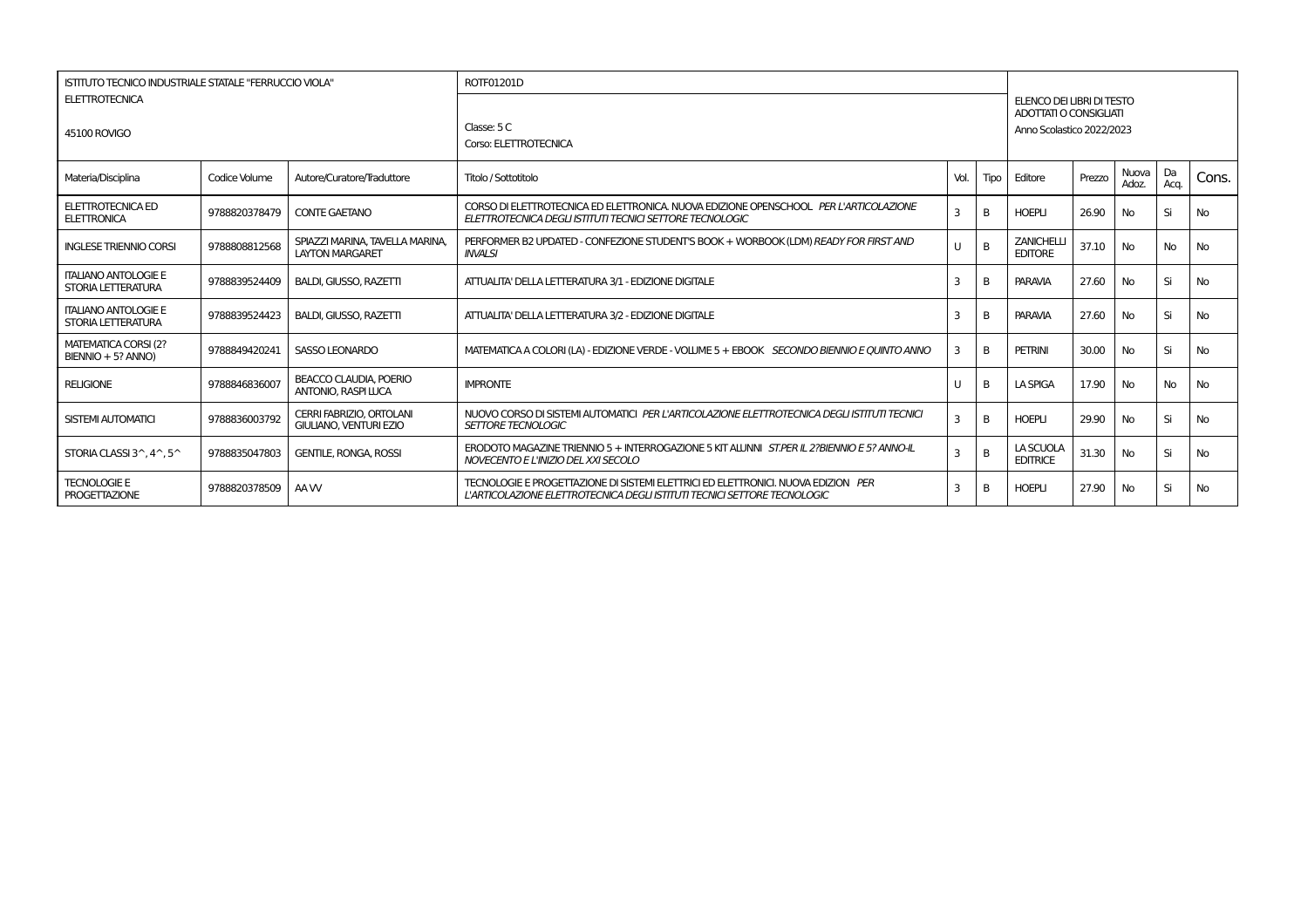| ISTITUTO TECNICO INDUSTRIALE STATALE "FERRUCCIO VIOLA"<br><b>ELETTROTECNICA</b> |               |                                                                  | ROTF01201D                                                                                                                                                    |      |              |                                                     |        |                |            |           |
|---------------------------------------------------------------------------------|---------------|------------------------------------------------------------------|---------------------------------------------------------------------------------------------------------------------------------------------------------------|------|--------------|-----------------------------------------------------|--------|----------------|------------|-----------|
|                                                                                 |               |                                                                  |                                                                                                                                                               |      |              | ELENCO DEI LIBRI DI TESTO<br>ADOTTATI O CONSIGLIATI |        |                |            |           |
| 45100 ROVIGO                                                                    |               |                                                                  | Classe: 5 C<br>Corso: ELETTROTECNICA                                                                                                                          |      |              | Anno Scolastico 2022/2023                           |        |                |            |           |
| Materia/Disciplina                                                              | Codice Volume | Autore/Curatore/Traduttore                                       | Titolo / Sottotitolo                                                                                                                                          | Vol. | Tipo         | Editore                                             | Prezzo | Nuova<br>Adoz. | Da<br>Acq. | Cons.     |
| ELETTROTECNICA ED<br><b>ELETTRONICA</b>                                         | 9788820378479 | <b>CONTE GAETANO</b>                                             | CORSO DI ELETTROTECNICA ED ELETTRONICA. NUOVA EDIZIONE OPENSCHOOL PER L'ARTICOLAZIONE<br>ELETTROTECNICA DEGLI ISTITUTI TECNICI SETTORE TECNOLOGIC             | 3    |              | <b>HOEPLI</b>                                       | 26.90  | No.            | Si         | <b>No</b> |
| <b>INGLESE TRIENNIO CORSI</b>                                                   | 9788808812568 | SPIAZZI MARINA, TAVELLA MARINA,<br><b>LAYTON MARGARET</b>        | PERFORMER B2 UPDATED - CONFEZIONE STUDENT'S BOOK + WORBOOK (LDM) READY FOR FIRST AND<br><b>INVALSI</b>                                                        | U    |              | <b>ZANICHELLI</b><br><b>EDITORE</b>                 | 37.10  | No             | <b>No</b>  | <b>No</b> |
| <b>ITALIANO ANTOLOGIE E</b><br>STORIA LETTERATURA                               | 9788839524409 | <b>BALDI, GIUSSO, RAZETTI</b>                                    | ATTUALITA' DELLA LETTERATURA 3/1 - EDIZIONE DIGITALE                                                                                                          | З    |              | <b>PARAVIA</b>                                      | 27.60  | No.            | Si         | <b>No</b> |
| <b>ITALIANO ANTOLOGIE E</b><br>STORIA LETTERATURA                               | 9788839524423 | <b>BALDI, GIUSSO, RAZETTI</b>                                    | ATTUALITA' DELLA LETTERATURA 3/2 - EDIZIONE DIGITALE                                                                                                          | З    |              | <b>PARAVIA</b>                                      | 27.60  | No.            | Si         | <b>No</b> |
| MATEMATICA CORSI (2?<br>BIENNIO + 5? ANNO)                                      | 9788849420241 | SASSO LEONARDO                                                   | MATEMATICA A COLORI (LA) - EDIZIONE VERDE - VOLUME 5 + EBOOK SECONDO BIENNIO E OUINTO ANNO                                                                    | 3    | B            | <b>PETRINI</b>                                      | 30.00  | No             | Si         | <b>No</b> |
| <b>RELIGIONE</b>                                                                | 9788846836007 | <b>BEACCO CLAUDIA, POERIO</b><br><b>ANTONIO, RASPI LUCA</b>      | <b>IMPRONTE</b>                                                                                                                                               | U    |              | <b>LA SPIGA</b>                                     | 17.90  | No             | <b>No</b>  | <b>No</b> |
| SISTEMI AUTOMATICI                                                              | 9788836003792 | <b>CERRI FABRIZIO, ORTOLANI</b><br><b>GIULIANO, VENTURI EZIO</b> | NUOVO CORSO DI SISTEMI AUTOMATICI PER L'ARTICOLAZIONE ELETTROTECNICA DEGLI ISTITUTI TECNICI<br><b>SETTORE TECNOLOGIC</b>                                      | 3    | <sub>R</sub> | <b>HOEPLI</b>                                       | 29.90  | No             | Si         | <b>No</b> |
| STORIA CLASSI $3^{\wedge}$ , $4^{\wedge}$ , $5^{\wedge}$                        | 9788835047803 | <b>GENTILE, RONGA, ROSSI</b>                                     | ERODOTO MAGAZINE TRIENNIO 5 + INTERROGAZIONE 5 KIT ALUNNI ST.PER IL 2?BIENNIO E 5? ANNO-IL<br>NOVECENTO E L'INIZIO DEL XXI SECOLO                             | 3    | B            | LA SCUOLA<br><b>EDITRICE</b>                        | 31.30  | No             | Si         | <b>No</b> |
| <b>TECNOLOGIE E</b><br><b>PROGETTAZIONE</b>                                     | 9788820378509 | AA W                                                             | TECNOLOGIE E PROGETTAZIONE DI SISTEMI ELETTRICI ED ELETTRONICI. NUOVA EDIZION PER<br>L'ARTICOLAZIONE ELETTROTECNICA DEGLI ISTITUTI TECNICI SETTORE TECNOLOGIC | З    |              | <b>HOEPLI</b>                                       | 27.90  | <b>No</b>      | Si         | <b>No</b> |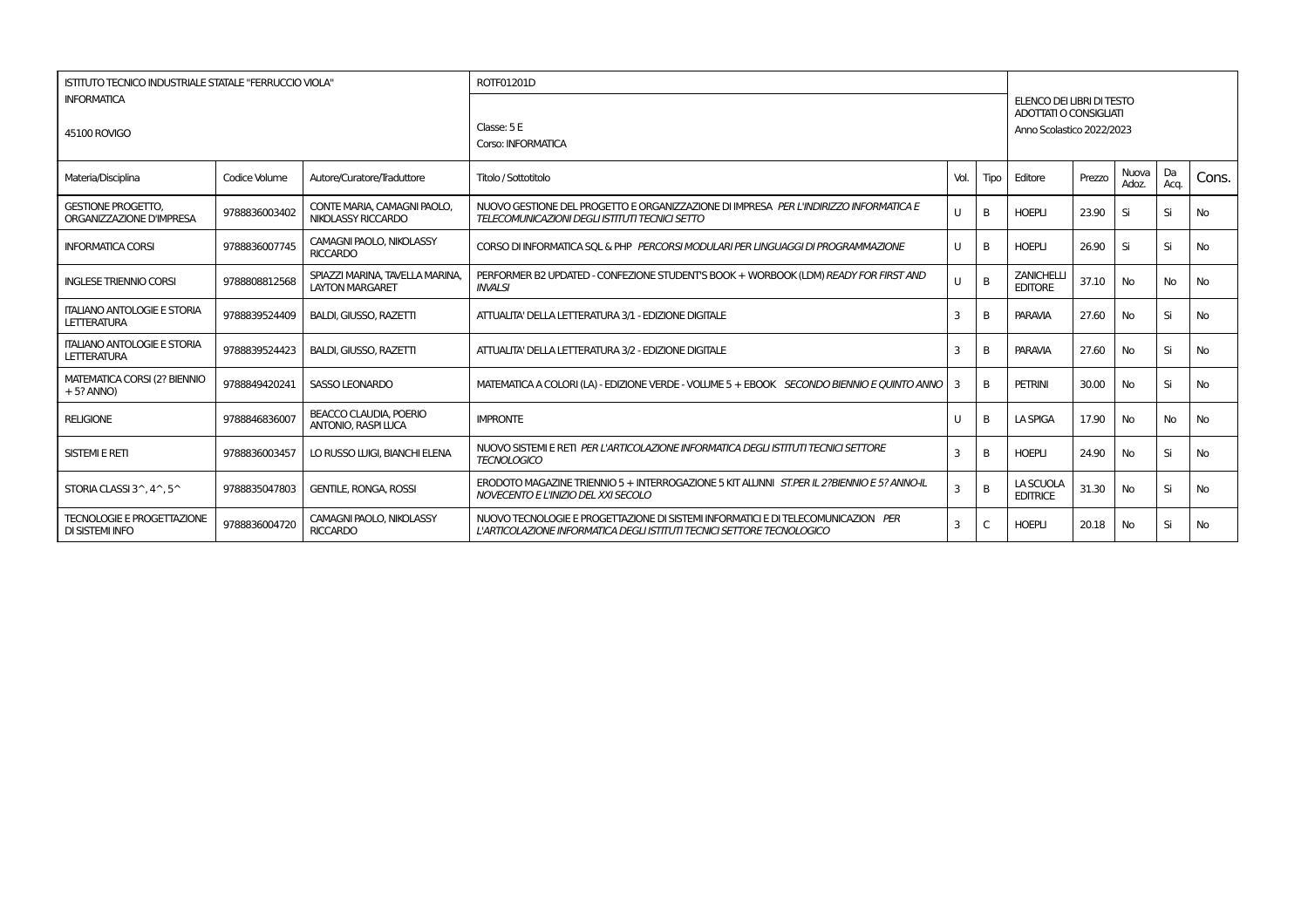|                                                             | ROTF01201D<br>ISTITUTO TECNICO INDUSTRIALE STATALE "FERRUCCIO VIOLA" |                                                             |                                                                                                                                                             |                |      |                                     |                                                                                         |                |            |           |  |  |  |
|-------------------------------------------------------------|----------------------------------------------------------------------|-------------------------------------------------------------|-------------------------------------------------------------------------------------------------------------------------------------------------------------|----------------|------|-------------------------------------|-----------------------------------------------------------------------------------------|----------------|------------|-----------|--|--|--|
| <b>INFORMATICA</b><br>45100 ROVIGO                          |                                                                      |                                                             | Classe: 5 E<br>Corso: INFORMATICA                                                                                                                           |                |      |                                     | ELENCO DEI LIBRI DI TESTO<br><b>ADOTTATI O CONSIGLIATI</b><br>Anno Scolastico 2022/2023 |                |            |           |  |  |  |
| Materia/Disciplina                                          | Codice Volume                                                        | Autore/Curatore/Traduttore                                  | Titolo / Sottotitolo                                                                                                                                        | Vol.           | Tipo | Editore                             | Prezzo                                                                                  | Nuova<br>Adoz. | Da<br>Acq. | Cons.     |  |  |  |
| <b>GESTIONE PROGETTO.</b><br>ORGANIZZAZIONE D'IMPRESA       | 9788836003402                                                        | CONTE MARIA, CAMAGNI PAOLO.<br>NIKOLASSY RICCARDO           | NUOVO GESTIONE DEL PROGETTO E ORGANIZZAZIONE DI IMPRESA PER L'INDIRIZZO INFORMATICA E<br>TELECOMUNICAZIONI DEGLI ISTITUTI TECNICI SETTO                     |                | B    | <b>HOEPLI</b>                       | 23.90                                                                                   | Si             | Si         | No        |  |  |  |
| <b>INFORMATICA CORSI</b>                                    | 9788836007745                                                        | <b>CAMAGNI PAOLO, NIKOLASSY</b><br><b>RICCARDO</b>          | CORSO DI INFORMATICA SOL & PHP PERCORSI MODULARI PER LINGUAGGI DI PROGRAMMAZIONE                                                                            | $\mathbf{U}$   | B    | <b>HOEPLI</b>                       | 26.90                                                                                   | Si             | Si         | <b>No</b> |  |  |  |
| <b>INGLESE TRIENNIO CORSI</b>                               | 9788808812568                                                        | SPIAZZI MARINA, TAVELLA MARINA<br><b>LAYTON MARGARET</b>    | PERFORMER B2 UPDATED - CONFEZIONE STUDENT'S BOOK + WORBOOK (LDM) READY FOR FIRST AND<br><b>INVALSI</b>                                                      |                | B    | <b>ZANICHELLI</b><br><b>EDITORE</b> | 37.10                                                                                   | <b>No</b>      | No         | No        |  |  |  |
| <b>ITALIANO ANTOLOGIE E STORIA</b><br><b>LETTERATURA</b>    | 9788839524409                                                        | <b>BALDI, GIUSSO, RAZETTI</b>                               | ATTUALITA' DELLA LETTERATURA 3/1 - EDIZIONE DIGITALE                                                                                                        | 3              | B    | <b>PARAVIA</b>                      | 27.60                                                                                   | <b>No</b>      | Si         | No        |  |  |  |
| <b>ITALIANO ANTOLOGIE E STORIA</b><br><b>LETTERATURA</b>    | 9788839524423                                                        | <b>BALDI, GIUSSO, RAZETTI</b>                               | ATTUALITA' DELLA LETTERATURA 3/2 - EDIZIONE DIGITALE                                                                                                        | 3              | B    | <b>PARAVIA</b>                      | 27.60                                                                                   | <b>No</b>      | Si         | No        |  |  |  |
| MATEMATICA CORSI (2? BIENNIO<br>$+5?$ ANNO)                 | 9788849420241                                                        | <b>SASSO LEONARDO</b>                                       | MATEMATICA A COLORI (LA) - EDIZIONE VERDE - VOLUME 5 + EBOOK SECONDO BIENNIO E OUINTO ANNO                                                                  | -3             | B    | <b>PETRINI</b>                      | 30.00                                                                                   | <b>No</b>      | Si         | <b>No</b> |  |  |  |
| <b>RELIGIONE</b>                                            | 9788846836007                                                        | <b>BEACCO CLAUDIA, POERIO</b><br><b>ANTONIO, RASPI LUCA</b> | <b>IMPRONTE</b>                                                                                                                                             | $\mathsf{U}$   | B    | <b>LA SPIGA</b>                     | 17.90                                                                                   | <b>No</b>      | No         | No        |  |  |  |
| <b>SISTEMI E RETI</b>                                       | 9788836003457                                                        | LO RUSSO LUIGI, BIANCHI ELENA                               | NUOVO SISTEMI E RETI PER L'ARTICOLAZIONE INFORMATICA DEGLI ISTITUTI TECNICI SETTORE<br><b>TECNOLOGICO</b>                                                   | $\overline{3}$ | B    | <b>HOEPLI</b>                       | 24.90                                                                                   | <b>No</b>      | Si         | No        |  |  |  |
| STORIA CLASSI $3^{\wedge}$ , $4^{\wedge}$ , $5^{\wedge}$    | 9788835047803                                                        | <b>GENTILE, RONGA, ROSSI</b>                                | ERODOTO MAGAZINE TRIENNIO 5 + INTERROGAZIONE 5 KIT ALUNNI ST.PER IL 2?BIENNIO E 5? ANNO-IL<br>NOVECENTO E L'INIZIO DEL XXI SECOLO                           | -3             | B    | LA SCUOLA<br><b>EDITRICE</b>        | 31.30                                                                                   | <b>No</b>      | Si         | <b>No</b> |  |  |  |
| <b>TECNOLOGIE E PROGETTAZIONE</b><br><b>DI SISTEMI INFO</b> | 9788836004720                                                        | CAMAGNI PAOLO, NIKOLASSY<br><b>RICCARDO</b>                 | NUOVO TECNOLOGIE E PROGETTAZIONE DI SISTEMI INFORMATICI E DI TELECOMUNICAZION PER<br>L'ARTICOLAZIONE INFORMATICA DEGLI ISTITUTI TECNICI SETTORE TECNOLOGICO |                |      | <b>HOEPLI</b>                       | 20.18                                                                                   | <b>No</b>      | Si         | No        |  |  |  |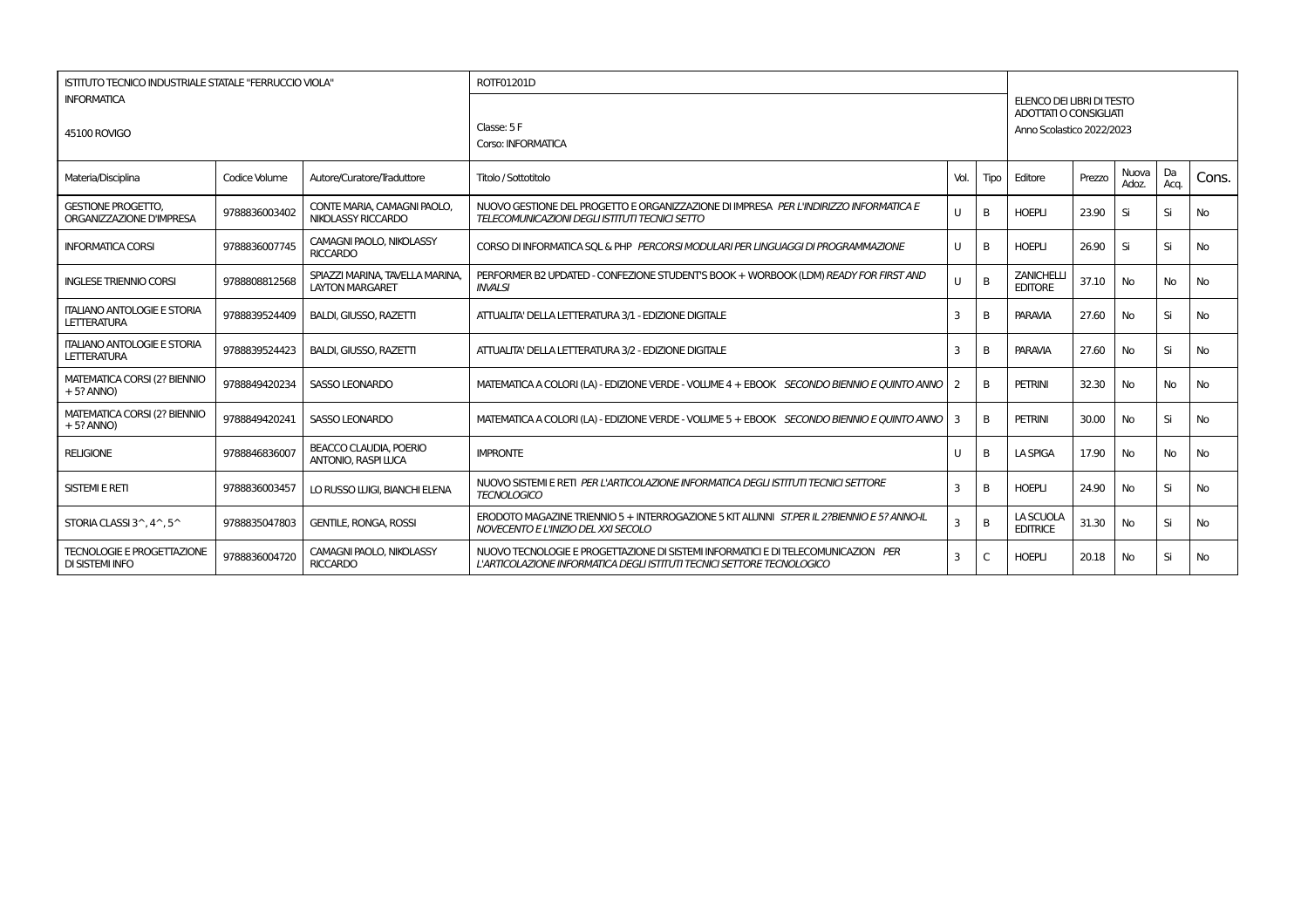| ISTITUTO TECNICO INDUSTRIALE STATALE "FERRUCCIO VIOLA"      |               |                                                             | ROTF01201D                                                                                                                                                  |              |      |                                                                                  |        |                |            |           |  |  |
|-------------------------------------------------------------|---------------|-------------------------------------------------------------|-------------------------------------------------------------------------------------------------------------------------------------------------------------|--------------|------|----------------------------------------------------------------------------------|--------|----------------|------------|-----------|--|--|
| <b>INFORMATICA</b><br>45100 ROVIGO                          |               |                                                             | Classe: 5 F<br>Corso: INFORMATICA                                                                                                                           |              |      | ELENCO DEI LIBRI DI TESTO<br>ADOTTATI O CONSIGLIATI<br>Anno Scolastico 2022/2023 |        |                |            |           |  |  |
| Materia/Disciplina                                          | Codice Volume | Autore/Curatore/Traduttore                                  | Titolo / Sottotitolo                                                                                                                                        | Vol.         | Tipo | Editore                                                                          | Prezzo | Nuova<br>Adoz. | Da<br>Acq. | Cons.     |  |  |
| <b>GESTIONE PROGETTO.</b><br>ORGANIZZAZIONE D'IMPRESA       | 9788836003402 | CONTE MARIA, CAMAGNI PAOLO.<br>NIKOLASSY RICCARDO           | NUOVO GESTIONE DEL PROGETTO E ORGANIZZAZIONE DI IMPRESA PER L'INDIRIZZO INFORMATICA E<br>TELECOMUNICAZIONI DEGLI ISTITUTI TECNICI SETTO                     | U            | B    | <b>HOEPLI</b>                                                                    | 23.90  | Si             | Si         | <b>No</b> |  |  |
| <b>INFORMATICA CORSI</b>                                    | 9788836007745 | CAMAGNI PAOLO, NIKOLASSY<br><b>RICCARDO</b>                 | CORSO DI INFORMATICA SOL & PHP PERCORSI MODULARI PER LINGUAGGI DI PROGRAMMAZIONE                                                                            | U            |      | <b>HOEPLI</b>                                                                    | 26.90  | Si             | Si         | No.       |  |  |
| <b>INGLESE TRIENNIO CORSI</b>                               | 9788808812568 | SPIAZZI MARINA, TAVELLA MARINA,<br><b>LAYTON MARGARET</b>   | PERFORMER B2 UPDATED - CONFEZIONE STUDENT'S BOOK + WORBOOK (LDM) READY FOR FIRST AND<br><b>INVALSI</b>                                                      | U            | B    | <b>ZANICHELLI</b><br><b>EDITORE</b>                                              | 37.10  | <b>No</b>      | No         | No        |  |  |
| <b>ITALIANO ANTOLOGIE E STORIA</b><br><b>LETTERATURA</b>    | 9788839524409 | <b>BALDI, GIUSSO, RAZETTI</b>                               | ATTUALITA' DELLA LETTERATURA 3/1 - EDIZIONE DIGITALE                                                                                                        | 3            | B    | <b>PARAVIA</b>                                                                   | 27.60  | No             | Si         | No.       |  |  |
| <b>ITALIANO ANTOLOGIE E STORIA</b><br><b>LETTERATURA</b>    | 9788839524423 | <b>BALDI, GIUSSO, RAZETTI</b>                               | ATTUALITA' DELLA LETTERATURA 3/2 - EDIZIONE DIGITALE                                                                                                        | 3            | B    | <b>PARAVIA</b>                                                                   | 27.60  | <b>No</b>      | Si         | <b>No</b> |  |  |
| MATEMATICA CORSI (2? BIENNIO<br>$+5$ ? ANNO)                | 9788849420234 | <b>SASSO LEONARDO</b>                                       | MATEMATICA A COLORI (LA) - EDIZIONE VERDE - VOLUME 4 + EBOOK SECONDO BIENNIO E OUINTO ANNO I                                                                | <sup>2</sup> | B    | <b>PETRINI</b>                                                                   | 32.30  | No             | <b>No</b>  | <b>No</b> |  |  |
| MATEMATICA CORSI (2? BIENNIO<br>$+5?$ ANNO)                 | 9788849420241 | SASSO LEONARDO                                              | MATEMATICA A COLORI (LA) - EDIZIONE VERDE - VOLUME 5 + EBOOK SECONDO BIENNIO E OUINTO ANNO                                                                  | 3            | B    | <b>PETRINI</b>                                                                   | 30.00  | No             | Si         | <b>No</b> |  |  |
| <b>RELIGIONE</b>                                            | 9788846836007 | <b>BEACCO CLAUDIA, POERIO</b><br><b>ANTONIO, RASPI LUCA</b> | <b>IMPRONTE</b>                                                                                                                                             | U            | B    | <b>LA SPIGA</b>                                                                  | 17.90  | <b>No</b>      | <b>No</b>  | No        |  |  |
| <b>SISTEMI E RETI</b>                                       | 9788836003457 | LO RUSSO LUIGI, BIANCHI ELENA                               | NUOVO SISTEMI E RETI PER L'ARTICOLAZIONE INFORMATICA DEGLI ISTITUTI TECNICI SETTORE<br><b>TECNOLOGICO</b>                                                   | 3            | B    | <b>HOEPLI</b>                                                                    | 24.90  | No             | Si         | No        |  |  |
| STORIA CLASSI 3^, 4^, 5^                                    | 9788835047803 | <b>GENTILE, RONGA, ROSSI</b>                                | ERODOTO MAGAZINE TRIENNIO 5 + INTERROGAZIONE 5 KIT ALUNNI ST.PER IL 2?BIENNIO E 5? ANNO-IL<br>NOVECENTO E L'INIZIO DEL XXI SECOLO                           | 3            | B    | LA SCUOLA<br><b>EDITRICE</b>                                                     | 31.30  | No             | Si         | No.       |  |  |
| <b>TECNOLOGIE E PROGETTAZIONE</b><br><b>DI SISTEMI INFO</b> | 9788836004720 | CAMAGNI PAOLO, NIKOLASSY<br><b>RICCARDO</b>                 | NUOVO TECNOLOGIE E PROGETTAZIONE DI SISTEMI INFORMATICI E DI TELECOMUNICAZION PER<br>L'ARTICOLAZIONE INFORMATICA DEGLI ISTITUTI TECNICI SETTORE TECNOLOGICO | 3            | C    | <b>HOEPLI</b>                                                                    | 20.18  | No             | Si         | No        |  |  |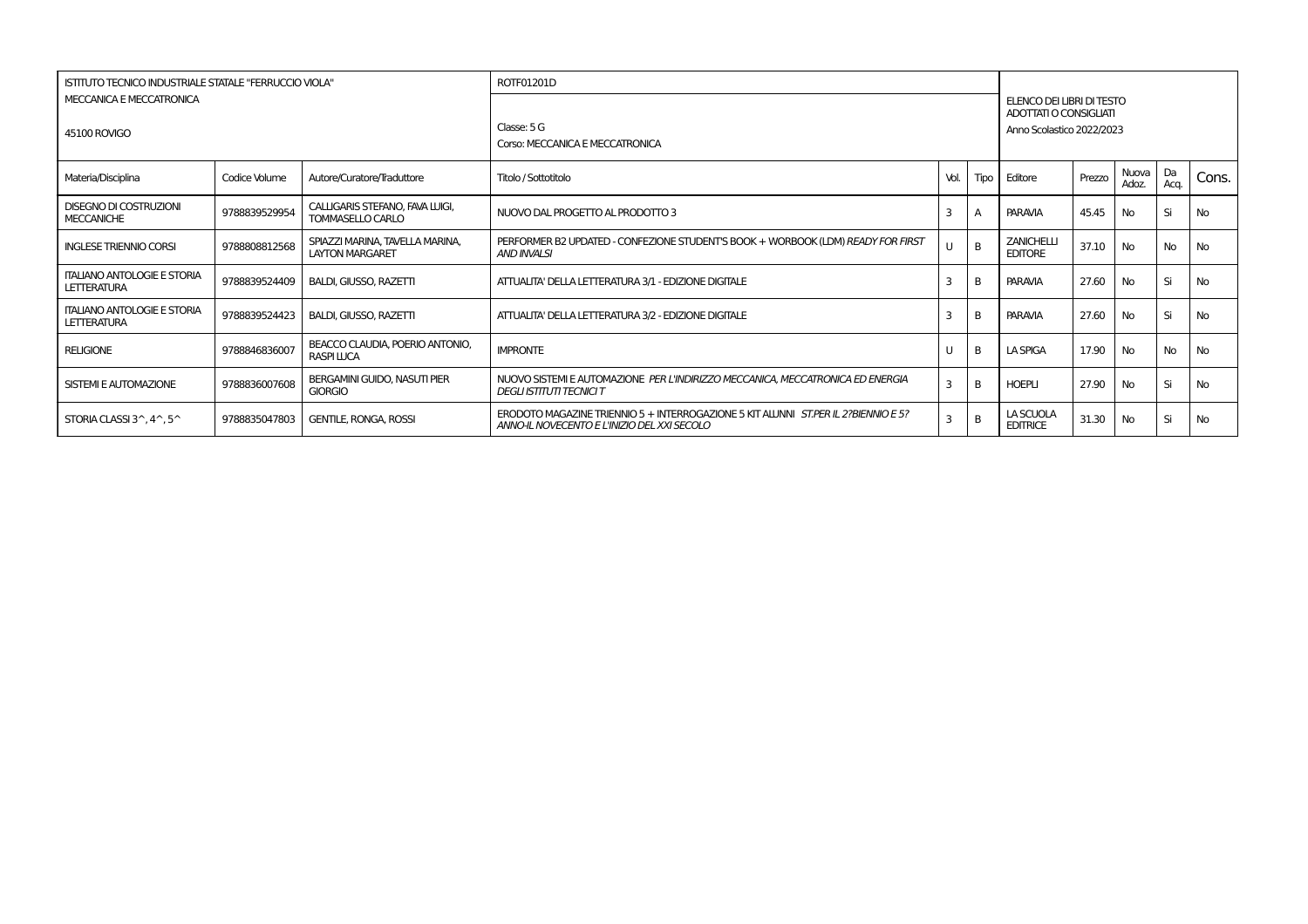| ISTITUTO TECNICO INDUSTRIALE STATALE "FERRUCCIO VIOLA"   |               |                                                           | ROTF01201D                                                                                                                        |      |                |                                     |                                                                                  |                |            |           |  |  |
|----------------------------------------------------------|---------------|-----------------------------------------------------------|-----------------------------------------------------------------------------------------------------------------------------------|------|----------------|-------------------------------------|----------------------------------------------------------------------------------|----------------|------------|-----------|--|--|
| MECCANICA E MECCATRONICA<br><b>45100 ROVIGO</b>          |               |                                                           | Classe: 5 G<br>Corso: MECCANICA E MECCATRONICA                                                                                    |      |                |                                     | ELENCO DEI LIBRI DI TESTO<br>ADOTTATI O CONSIGLIATI<br>Anno Scolastico 2022/2023 |                |            |           |  |  |
| Materia/Disciplina                                       | Codice Volume | Autore/Curatore/Traduttore                                | Titolo / Sottotitolo                                                                                                              | Vol. | Tipo           | Editore                             | Prezzo                                                                           | Nuova<br>Adoz. | Da<br>Acq. | Cons.     |  |  |
| <b>DISEGNO DI COSTRUZIONI</b><br><b>MECCANICHE</b>       | 9788839529954 | CALLIGARIS STEFANO, FAVA LUIGI.<br>TOMMASELLO CARLO       | NUOVO DAL PROGETTO AL PRODOTTO 3                                                                                                  | Е    |                | <b>PARAVIA</b>                      | 45.45                                                                            | <b>No</b>      | Si         | No        |  |  |
| <b>INGLESE TRIENNIO CORSI</b>                            | 9788808812568 | SPIAZZI MARINA, TAVELLA MARINA.<br><b>LAYTON MARGARET</b> | PERFORMER B2 UPDATED - CONFEZIONE STUDENT'S BOOK + WORBOOK (LDM) READY FOR FIRST<br><b>AND INVALSI</b>                            |      | $\overline{B}$ | <b>ZANICHELLI</b><br><b>EDITORE</b> | 37.10                                                                            | <b>No</b>      | No         | No        |  |  |
| <b>ITALIANO ANTOLOGIE E STORIA</b><br>LETTERATURA        | 9788839524409 | <b>BALDI, GIUSSO, RAZETTI</b>                             | ATTUALITA' DELLA LETTERATURA 3/1 - EDIZIONE DIGITALE                                                                              | Е    | B              | <b>PARAVIA</b>                      | 27.60                                                                            | <b>No</b>      | Si         | No        |  |  |
| <b>ITALIANO ANTOLOGIE E STORIA</b><br>LETTERATURA        | 9788839524423 | <b>BALDI, GIUSSO, RAZETTI</b>                             | ATTUALITA' DELLA LETTERATURA 3/2 - EDIZIONE DIGITALE                                                                              |      | B              | <b>PARAVIA</b>                      | 27.60                                                                            | <b>No</b>      | Si         | No        |  |  |
| <b>RELIGIONE</b>                                         | 9788846836007 | BEACCO CLAUDIA, POERIO ANTONIO.<br><b>RASPI LUCA</b>      | <b>IMPRONTE</b>                                                                                                                   |      | B              | <b>LA SPIGA</b>                     | 17.90                                                                            | <b>No</b>      | No         | No        |  |  |
| <b>SISTEMI E AUTOMAZIONE</b>                             | 9788836007608 | <b>BERGAMINI GUIDO, NASUTI PIER</b><br><b>GIORGIO</b>     | NUOVO SISTEMI E AUTOMAZIONE PER L'INDIRIZZO MECCANICA. MECCATRONICA ED ENERGIA<br><b>DEGLI ISTITUTI TECNICI T</b>                 | 3    | B              | <b>HOEPLI</b>                       | 27.90                                                                            | <b>No</b>      | Si         | No        |  |  |
| STORIA CLASSI $3^{\wedge}$ , $4^{\wedge}$ , $5^{\wedge}$ | 9788835047803 | <b>GENTILE, RONGA, ROSSI</b>                              | ERODOTO MAGAZINE TRIENNIO 5 + INTERROGAZIONE 5 KIT ALUNNI ST.PER IL 2?BIENNIO E 5?<br>ANNO-IL NOVECENTO E L'INIZIO DEL XXI SECOLO | 3    | B              | LA SCUOLA<br><b>EDITRICE</b>        | 31.30                                                                            | <b>No</b>      | Si         | <b>No</b> |  |  |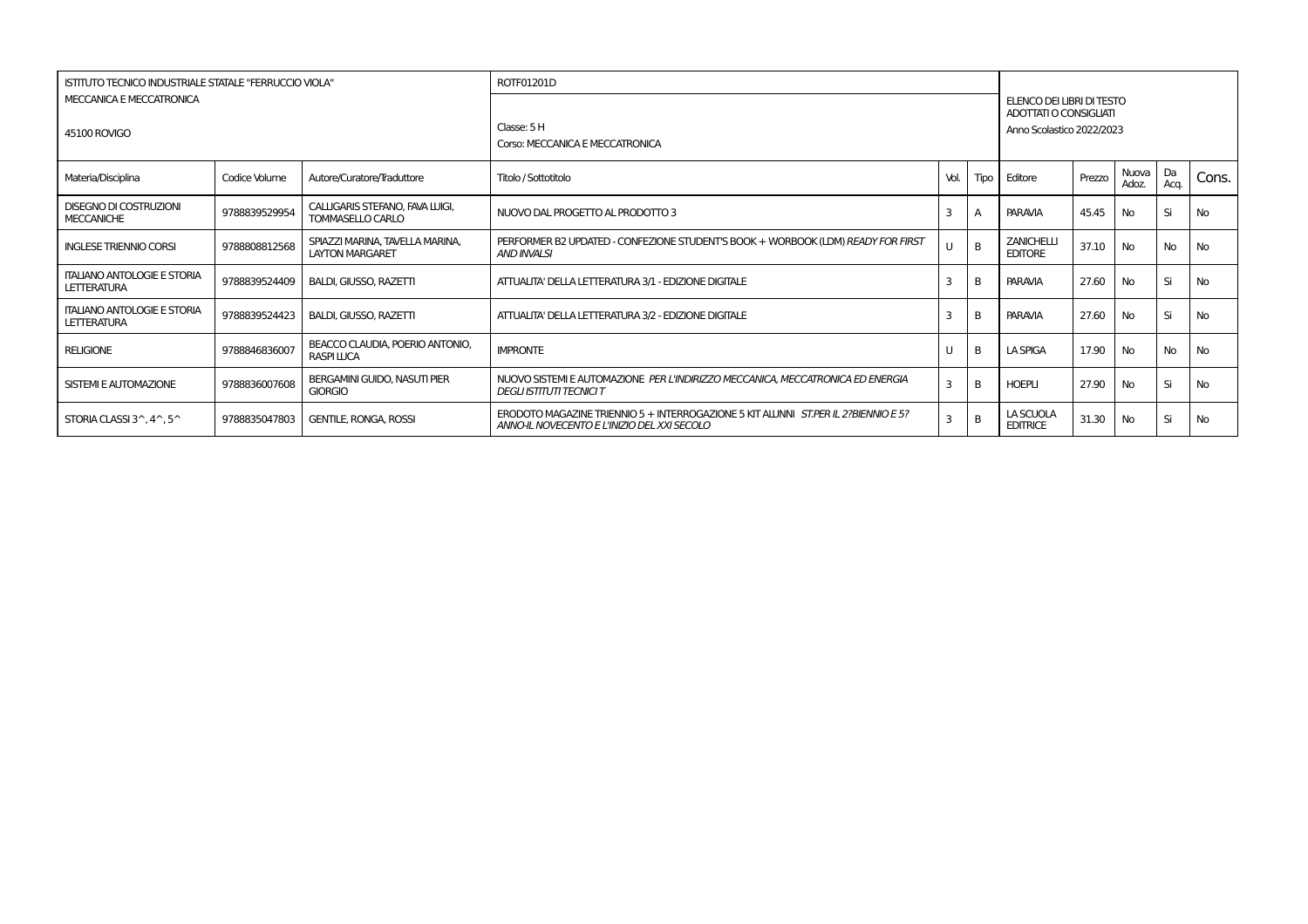| ISTITUTO TECNICO INDUSTRIALE STATALE "FERRUCCIO VIOLA"   |               |                                                           | ROTF01201D                                                                                                                        |      |                |                                     |                                                                                  |                |            |           |  |  |
|----------------------------------------------------------|---------------|-----------------------------------------------------------|-----------------------------------------------------------------------------------------------------------------------------------|------|----------------|-------------------------------------|----------------------------------------------------------------------------------|----------------|------------|-----------|--|--|
| MECCANICA E MECCATRONICA<br><b>45100 ROVIGO</b>          |               |                                                           | Classe: 5 H<br>Corso: MECCANICA E MECCATRONICA                                                                                    |      |                |                                     | ELENCO DEI LIBRI DI TESTO<br>ADOTTATI O CONSIGLIATI<br>Anno Scolastico 2022/2023 |                |            |           |  |  |
| Materia/Disciplina                                       | Codice Volume | Autore/Curatore/Traduttore                                | Titolo / Sottotitolo                                                                                                              | Vol. | Tipo           | Editore                             | Prezzo                                                                           | Nuova<br>Adoz. | Da<br>Acq. | Cons.     |  |  |
| <b>DISEGNO DI COSTRUZIONI</b><br><b>MECCANICHE</b>       | 9788839529954 | CALLIGARIS STEFANO, FAVA LUIGI.<br>TOMMASELLO CARLO       | NUOVO DAL PROGETTO AL PRODOTTO 3                                                                                                  | Е    |                | <b>PARAVIA</b>                      | 45.45                                                                            | <b>No</b>      | Si         | No        |  |  |
| <b>INGLESE TRIENNIO CORSI</b>                            | 9788808812568 | SPIAZZI MARINA, TAVELLA MARINA.<br><b>LAYTON MARGARET</b> | PERFORMER B2 UPDATED - CONFEZIONE STUDENT'S BOOK + WORBOOK (LDM) READY FOR FIRST<br><b>AND INVALSI</b>                            |      | $\overline{B}$ | <b>ZANICHELLI</b><br><b>EDITORE</b> | 37.10                                                                            | <b>No</b>      | No         | No        |  |  |
| <b>ITALIANO ANTOLOGIE E STORIA</b><br>LETTERATURA        | 9788839524409 | <b>BALDI, GIUSSO, RAZETTI</b>                             | ATTUALITA' DELLA LETTERATURA 3/1 - EDIZIONE DIGITALE                                                                              | Е    | B              | <b>PARAVIA</b>                      | 27.60                                                                            | <b>No</b>      | Si         | No        |  |  |
| <b>ITALIANO ANTOLOGIE E STORIA</b><br>LETTERATURA        | 9788839524423 | <b>BALDI, GIUSSO, RAZETTI</b>                             | ATTUALITA' DELLA LETTERATURA 3/2 - EDIZIONE DIGITALE                                                                              |      | B              | <b>PARAVIA</b>                      | 27.60                                                                            | <b>No</b>      | Si         | No        |  |  |
| <b>RELIGIONE</b>                                         | 9788846836007 | BEACCO CLAUDIA, POERIO ANTONIO.<br><b>RASPI LUCA</b>      | <b>IMPRONTE</b>                                                                                                                   |      | B              | <b>LA SPIGA</b>                     | 17.90                                                                            | <b>No</b>      | No         | No        |  |  |
| <b>SISTEMI E AUTOMAZIONE</b>                             | 9788836007608 | <b>BERGAMINI GUIDO, NASUTI PIER</b><br><b>GIORGIO</b>     | NUOVO SISTEMI E AUTOMAZIONE PER L'INDIRIZZO MECCANICA. MECCATRONICA ED ENERGIA<br><b>DEGLI ISTITUTI TECNICI T</b>                 | 3    | B              | <b>HOEPLI</b>                       | 27.90                                                                            | <b>No</b>      | Si         | No        |  |  |
| STORIA CLASSI $3^{\wedge}$ , $4^{\wedge}$ , $5^{\wedge}$ | 9788835047803 | <b>GENTILE, RONGA, ROSSI</b>                              | ERODOTO MAGAZINE TRIENNIO 5 + INTERROGAZIONE 5 KIT ALUNNI ST.PER IL 2?BIENNIO E 5?<br>ANNO-IL NOVECENTO E L'INIZIO DEL XXI SECOLO | 3    | B              | LA SCUOLA<br><b>EDITRICE</b>        | 31.30                                                                            | <b>No</b>      | Si         | <b>No</b> |  |  |